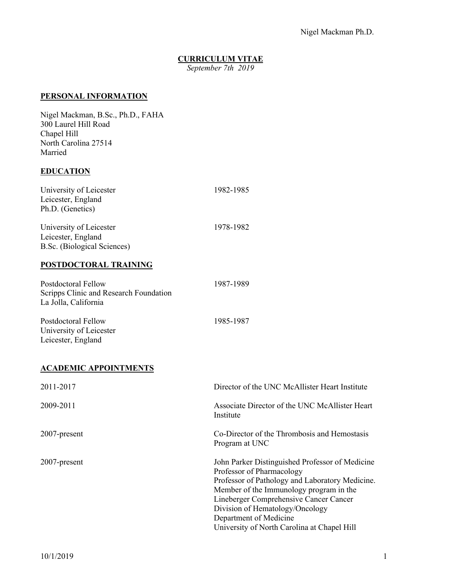## **CURRICULUM VITAE**

*September 7th 2019*

### **PERSONAL INFORMATION**

Nigel Mackman, B.Sc., Ph.D., FAHA 300 Laurel Hill Road Chapel Hill North Carolina 27514 Married

## **EDUCATION**

| University of Leicester     | 1982-1985 |
|-----------------------------|-----------|
| Leicester, England          |           |
| Ph.D. (Genetics)            |           |
| University of Leicester     | 1978-1982 |
| Leicester, England          |           |
| B.Sc. (Biological Sciences) |           |
| POSTDOCTORAL TRAINING       |           |
| Postdoctoral Fellow         | 1987-1989 |

| Scripps Clinic and Research Foundation<br>La Jolla, California       |           |
|----------------------------------------------------------------------|-----------|
| Postdoctoral Fellow<br>University of Leicester<br>Leicester, England | 1985-1987 |

## **ACADEMIC APPOINTMENTS**

| 2011-2017       | Director of the UNC McAllister Heart Institute                                                                                                                                                                                                                                                                                   |
|-----------------|----------------------------------------------------------------------------------------------------------------------------------------------------------------------------------------------------------------------------------------------------------------------------------------------------------------------------------|
| 2009-2011       | Associate Director of the UNC McAllister Heart<br>Institute                                                                                                                                                                                                                                                                      |
| $2007$ -present | Co-Director of the Thrombosis and Hemostasis<br>Program at UNC                                                                                                                                                                                                                                                                   |
| $2007$ -present | John Parker Distinguished Professor of Medicine<br>Professor of Pharmacology<br>Professor of Pathology and Laboratory Medicine.<br>Member of the Immunology program in the<br>Lineberger Comprehensive Cancer Cancer<br>Division of Hematology/Oncology<br>Department of Medicine<br>University of North Carolina at Chapel Hill |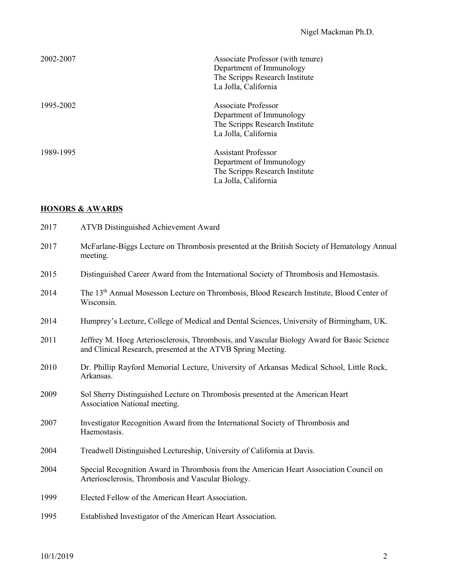| 2002-2007 | Associate Professor (with tenure)<br>Department of Immunology<br>The Scripps Research Institute<br>La Jolla, California |
|-----------|-------------------------------------------------------------------------------------------------------------------------|
| 1995-2002 | Associate Professor<br>Department of Immunology<br>The Scripps Research Institute<br>La Jolla, California               |
| 1989-1995 | <b>Assistant Professor</b><br>Department of Immunology<br>The Scripps Research Institute<br>La Jolla, California        |

## **HONORS & AWARDS**

| 2017 | <b>ATVB Distinguished Achievement Award</b>                                                                                                                |
|------|------------------------------------------------------------------------------------------------------------------------------------------------------------|
| 2017 | McFarlane-Biggs Lecture on Thrombosis presented at the British Society of Hematology Annual<br>meeting.                                                    |
| 2015 | Distinguished Career Award from the International Society of Thrombosis and Hemostasis.                                                                    |
| 2014 | The 13 <sup>th</sup> Annual Mosesson Lecture on Thrombosis, Blood Research Institute, Blood Center of<br>Wisconsin.                                        |
| 2014 | Humprey's Lecture, College of Medical and Dental Sciences, University of Birmingham, UK.                                                                   |
| 2011 | Jeffrey M. Hoeg Arteriosclerosis, Thrombosis, and Vascular Biology Award for Basic Science<br>and Clinical Research, presented at the ATVB Spring Meeting. |
| 2010 | Dr. Phillip Rayford Memorial Lecture, University of Arkansas Medical School, Little Rock,<br>Arkansas.                                                     |
| 2009 | Sol Sherry Distinguished Lecture on Thrombosis presented at the American Heart<br>Association National meeting.                                            |
| 2007 | Investigator Recognition Award from the International Society of Thrombosis and<br>Haemostasis.                                                            |
| 2004 | Treadwell Distinguished Lectureship, University of California at Davis.                                                                                    |
| 2004 | Special Recognition Award in Thrombosis from the American Heart Association Council on<br>Arteriosclerosis, Thrombosis and Vascular Biology.               |
| 1999 | Elected Fellow of the American Heart Association.                                                                                                          |
| 1995 | Established Investigator of the American Heart Association.                                                                                                |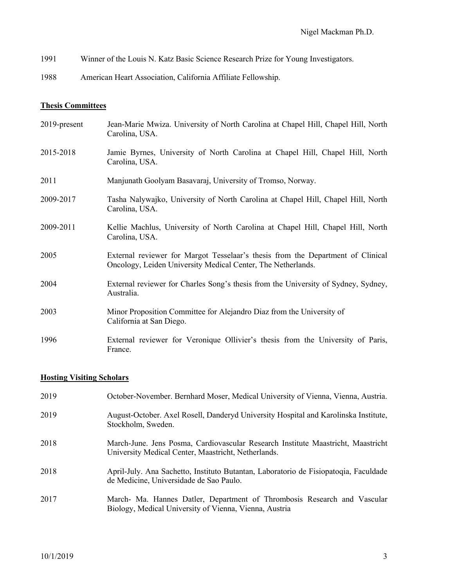- 1991 Winner of the Louis N. Katz Basic Science Research Prize for Young Investigators.
- 1988 American Heart Association, California Affiliate Fellowship.

### **Thesis Committees**

2019-present Jean-Marie Mwiza. University of North Carolina at Chapel Hill, Chapel Hill, North Carolina, USA. 2015-2018 Jamie Byrnes, University of North Carolina at Chapel Hill, Chapel Hill, North Carolina, USA. 2011 Manjunath Goolyam Basavaraj, University of Tromso, Norway. 2009-2017 Tasha Nalywajko, University of North Carolina at Chapel Hill, Chapel Hill, North Carolina, USA. 2009-2011 Kellie Machlus, University of North Carolina at Chapel Hill, Chapel Hill, North Carolina, USA. 2005 External reviewer for Margot Tesselaar's thesis from the Department of Clinical Oncology, Leiden University Medical Center, The Netherlands. 2004 External reviewer for Charles Song's thesis from the University of Sydney, Sydney, Australia. 2003 Minor Proposition Committee for Alejandro Diaz from the University of California at San Diego. 1996 External reviewer for Veronique Ollivier's thesis from the University of Paris,

#### **Hosting Visiting Scholars**

France.

| 2019 | October-November. Bernhard Moser, Medical University of Vienna, Vienna, Austria.                                                        |
|------|-----------------------------------------------------------------------------------------------------------------------------------------|
| 2019 | August-October. Axel Rosell, Danderyd University Hospital and Karolinska Institute,<br>Stockholm, Sweden.                               |
| 2018 | March-June. Jens Posma, Cardiovascular Research Institute Maastricht, Maastricht<br>University Medical Center, Maastricht, Netherlands. |
| 2018 | April-July. Ana Sachetto, Instituto Butantan, Laboratorio de Fisiopatoqia, Faculdade<br>de Medicine, Universidade de Sao Paulo.         |
| 2017 | March- Ma. Hannes Datler, Department of Thrombosis Research and Vascular<br>Biology, Medical University of Vienna, Vienna, Austria      |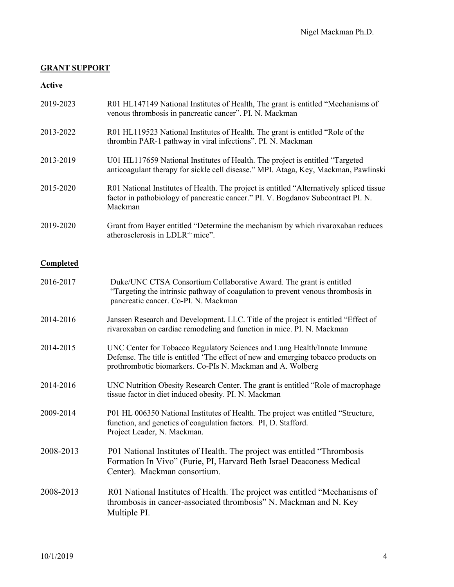## **GRANT SUPPORT**

### **Active**

| 2019-2023 | R01 HL147149 National Institutes of Health, The grant is entitled "Mechanisms of |
|-----------|----------------------------------------------------------------------------------|
|           | venous thrombosis in pancreatic cancer". PI. N. Mackman                          |

- 2013-2022 R01 HL119523 National Institutes of Health. The grant is entitled "Role of the thrombin PAR-1 pathway in viral infections". PI. N. Mackman
- 2013-2019 U01 HL117659 National Institutes of Health. The project is entitled "Targeted anticoagulant therapy for sickle cell disease." MPI. Ataga, Key, Mackman, Pawlinski
- 2015-2020 R01 National Institutes of Health. The project is entitled "Alternatively spliced tissue factor in pathobiology of pancreatic cancer." PI. V. Bogdanov Subcontract PI. N. Mackman
- 2019-2020 Grant from Bayer entitled "Determine the mechanism by which rivaroxaban reduces atherosclerosis in LDLR<sup>-/-</sup> mice".

### **Completed**

| 2016-2017 | Duke/UNC CTSA Consortium Collaborative Award. The grant is entitled<br>"Targeting the intrinsic pathway of coagulation to prevent venous thrombosis in<br>pancreatic cancer. Co-PI. N. Mackman                               |
|-----------|------------------------------------------------------------------------------------------------------------------------------------------------------------------------------------------------------------------------------|
| 2014-2016 | Janssen Research and Development. LLC. Title of the project is entitled "Effect of<br>rivaroxaban on cardiac remodeling and function in mice. PI. N. Mackman                                                                 |
| 2014-2015 | UNC Center for Tobacco Regulatory Sciences and Lung Health/Innate Immune<br>Defense. The title is entitled 'The effect of new and emerging tobacco products on<br>prothrombotic biomarkers. Co-PIs N. Mackman and A. Wolberg |
| 2014-2016 | UNC Nutrition Obesity Research Center. The grant is entitled "Role of macrophage<br>tissue factor in diet induced obesity. PI. N. Mackman                                                                                    |
| 2009-2014 | P01 HL 006350 National Institutes of Health. The project was entitled "Structure,<br>function, and genetics of coagulation factors. PI, D. Stafford.<br>Project Leader, N. Mackman.                                          |
| 2008-2013 | P01 National Institutes of Health. The project was entitled "Thrombosis"<br>Formation In Vivo" (Furie, PI, Harvard Beth Israel Deaconess Medical<br>Center). Mackman consortium.                                             |
| 2008-2013 | R01 National Institutes of Health. The project was entitled "Mechanisms of<br>thrombosis in cancer-associated thrombosis" N. Mackman and N. Key<br>Multiple PI.                                                              |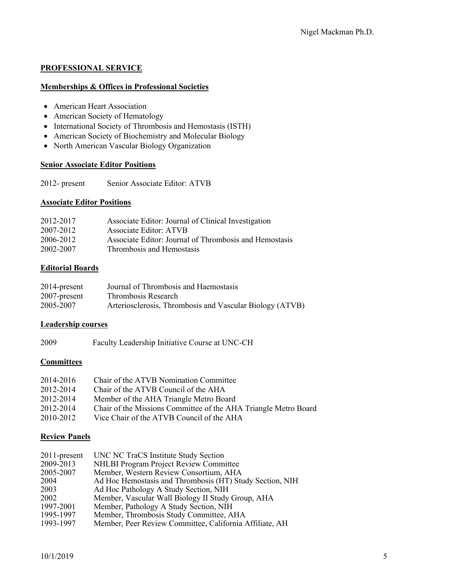### **PROFESSIONAL SERVICE**

### **Memberships & Offices in Professional Societies**

- American Heart Association
- American Society of Hematology
- International Society of Thrombosis and Hemostasis (ISTH)
- American Society of Biochemistry and Molecular Biology
- North American Vascular Biology Organization

### **Senior Associate Editor Positions**

2012- present Senior Associate Editor: ATVB

### **Associate Editor Positions**

| 2012-2017 | Associate Editor: Journal of Clinical Investigation    |
|-----------|--------------------------------------------------------|
| 2007-2012 | <b>Associate Editor: ATVB</b>                          |
| 2006-2012 | Associate Editor: Journal of Thrombosis and Hemostasis |
| 2002-2007 | Thrombosis and Hemostasis                              |

## **Editorial Boards**

| $2014$ -present | Journal of Thrombosis and Haemostasis                    |
|-----------------|----------------------------------------------------------|
| 2007-present    | Thrombosis Research                                      |
| 2005-2007       | Arteriosclerosis, Thrombosis and Vascular Biology (ATVB) |

## **Leadership courses**

2009 Faculty Leadership Initiative Course at UNC-CH

## **Committees**

| 2014-2016 | Chair of the ATVB Nomination Committee                          |
|-----------|-----------------------------------------------------------------|
| 2012-2014 | Chair of the ATVB Council of the AHA                            |
| 2012-2014 | Member of the AHA Triangle Metro Board                          |
| 2012-2014 | Chair of the Missions Committee of the AHA Triangle Metro Board |
| 2010-2012 | Vice Chair of the ATVB Council of the AHA                       |

## **Review Panels**

| $2011$ -present | UNC NC TraCS Institute Study Section                     |
|-----------------|----------------------------------------------------------|
| 2009-2013       | <b>NHLBI Program Project Review Committee</b>            |
| 2005-2007       | Member, Western Review Consortium, AHA                   |
| 2004            | Ad Hoc Hemostasis and Thrombosis (HT) Study Section, NIH |
| 2003            | Ad Hoc Pathology A Study Section, NIH                    |
| 2002            | Member, Vascular Wall Biology II Study Group, AHA        |
| 1997-2001       | Member, Pathology A Study Section, NIH                   |
| 1995-1997       | Member, Thrombosis Study Committee, AHA                  |
| 1993-1997       | Member, Peer Review Committee, California Affiliate, AH  |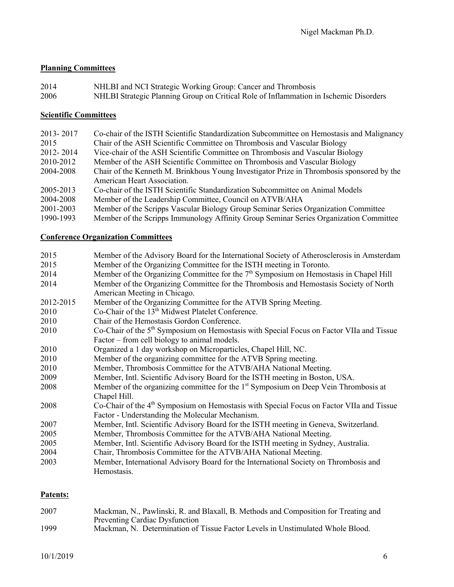## **Planning Committees**

2014 NHLBI and NCI Strategic Working Group: Cancer and Thrombosis 2006 NHLBI Strategic Planning Group on Critical Role of Inflammation in Ischemic Disorders

## **Scientific Committees**

| 2013-2017 | Co-chair of the ISTH Scientific Standardization Subcommittee on Hemostasis and Malignancy |
|-----------|-------------------------------------------------------------------------------------------|
| 2015      | Chair of the ASH Scientific Committee on Thrombosis and Vascular Biology                  |
| 2012-2014 | Vice-chair of the ASH Scientific Committee on Thrombosis and Vascular Biology             |
| 2010-2012 | Member of the ASH Scientific Committee on Thrombosis and Vascular Biology                 |
| 2004-2008 | Chair of the Kenneth M. Brinkhous Young Investigator Prize in Thrombosis sponsored by the |
|           | American Heart Association.                                                               |
| 2005-2013 | Co-chair of the ISTH Scientific Standardization Subcommittee on Animal Models             |
| 2004-2008 | Member of the Leadership Committee, Council on ATVB/AHA                                   |
| 2001-2003 | Member of the Scripps Vascular Biology Group Seminar Series Organization Committee        |
| 1990-1993 | Member of the Scripps Immunology Affinity Group Seminar Series Organization Committee     |

## **Conference Organization Committees**

| 2015      | Member of the Advisory Board for the International Society of Atherosclerosis in Amsterdam           |
|-----------|------------------------------------------------------------------------------------------------------|
| 2015      | Member of the Organizing Committee for the ISTH meeting in Toronto.                                  |
| 2014      | Member of the Organizing Committee for the $7th$ Symposium on Hemostasis in Chapel Hill              |
| 2014      | Member of the Organizing Committee for the Thrombosis and Hemostasis Society of North                |
|           | American Meeting in Chicago.                                                                         |
| 2012-2015 | Member of the Organizing Committee for the ATVB Spring Meeting.                                      |
| 2010      | Co-Chair of the 13 <sup>th</sup> Midwest Platelet Conference.                                        |
| 2010      | Chair of the Hemostasis Gordon Conference.                                                           |
| 2010      | Co-Chair of the 5 <sup>th</sup> Symposium on Hemostasis with Special Focus on Factor VIIa and Tissue |
|           | Factor – from cell biology to animal models.                                                         |
| 2010      | Organized a 1 day workshop on Microparticles, Chapel Hill, NC.                                       |
| 2010      | Member of the organizing committee for the ATVB Spring meeting.                                      |
| 2010      | Member, Thrombosis Committee for the ATVB/AHA National Meeting.                                      |
| 2009      | Member, Intl. Scientific Advisory Board for the ISTH meeting in Boston, USA.                         |
| 2008      | Member of the organizing committee for the 1 <sup>st</sup> Symposium on Deep Vein Thrombosis at      |
|           | Chapel Hill.                                                                                         |
| 2008      | Co-Chair of the 4 <sup>th</sup> Symposium on Hemostasis with Special Focus on Factor VIIa and Tissue |
|           | Factor - Understanding the Molecular Mechanism.                                                      |
| 2007      | Member, Intl. Scientific Advisory Board for the ISTH meeting in Geneva, Switzerland.                 |
| 2005      | Member, Thrombosis Committee for the ATVB/AHA National Meeting.                                      |
| 2005      | Member, Intl. Scientific Advisory Board for the ISTH meeting in Sydney, Australia.                   |
| 2004      | Chair, Thrombosis Committee for the ATVB/AHA National Meeting.                                       |
| 2003      | Member, International Advisory Board for the International Society on Thrombosis and                 |
|           | Hemostasis.                                                                                          |
|           |                                                                                                      |

## **Patents:**

| 2007 | Mackman, N., Pawlinski, R. and Blaxall, B. Methods and Composition for Treating and |
|------|-------------------------------------------------------------------------------------|
|      | <b>Preventing Cardiac Dysfunction</b>                                               |
| 1999 | Mackman, N. Determination of Tissue Factor Levels in Unstimulated Whole Blood.      |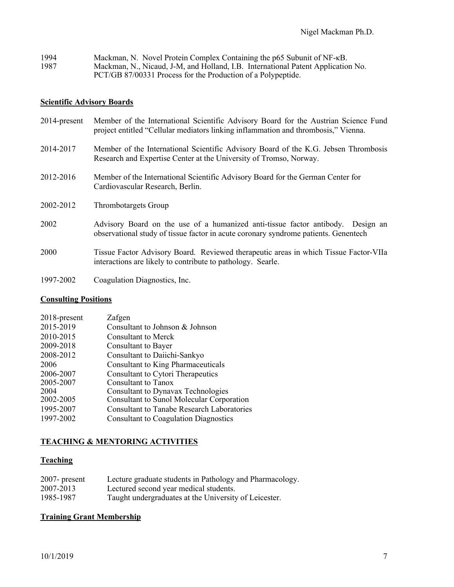| 1994 | Mackman, N. Novel Protein Complex Containing the p65 Subunit of NF-KB.           |
|------|----------------------------------------------------------------------------------|
| 1987 | Mackman, N., Nicaud, J-M, and Holland, I.B. International Patent Application No. |
|      | PCT/GB 87/00331 Process for the Production of a Polypeptide.                     |

## **Scientific Advisory Boards**

| 2014-present | Member of the International Scientific Advisory Board for the Austrian Science Fund<br>project entitled "Cellular mediators linking inflammation and thrombosis," Vienna. |
|--------------|---------------------------------------------------------------------------------------------------------------------------------------------------------------------------|
| 2014-2017    | Member of the International Scientific Advisory Board of the K.G. Jebsen Thrombosis<br>Research and Expertise Center at the University of Tromso, Norway.                 |
| 2012-2016    | Member of the International Scientific Advisory Board for the German Center for<br>Cardiovascular Research, Berlin.                                                       |
| 2002-2012    | Thrombotargets Group                                                                                                                                                      |
| 2002         | Advisory Board on the use of a humanized anti-tissue factor antibody. Design an<br>observational study of tissue factor in acute coronary syndrome patients. Genentech    |
| 2000         | Tissue Factor Advisory Board. Reviewed therapeutic areas in which Tissue Factor-VIIa<br>interactions are likely to contribute to pathology. Searle.                       |
| 1997-2002    | Coagulation Diagnostics, Inc.                                                                                                                                             |

## **Consulting Positions**

| $2018$ -present | Zafgen                                            |
|-----------------|---------------------------------------------------|
| 2015-2019       | Consultant to Johnson & Johnson                   |
| 2010-2015       | <b>Consultant to Merck</b>                        |
| 2009-2018       | <b>Consultant to Bayer</b>                        |
| 2008-2012       | Consultant to Daiichi-Sankyo                      |
| 2006            | Consultant to King Pharmaceuticals                |
| 2006-2007       | <b>Consultant to Cytori Therapeutics</b>          |
| 2005-2007       | Consultant to Tanox                               |
| 2004            | <b>Consultant to Dynavax Technologies</b>         |
| 2002-2005       | <b>Consultant to Sunol Molecular Corporation</b>  |
| 1995-2007       | <b>Consultant to Tanabe Research Laboratories</b> |
| 1997-2002       | <b>Consultant to Coagulation Diagnostics</b>      |
|                 |                                                   |

## **TEACHING & MENTORING ACTIVITIES**

## **Teaching**

| $2007$ - present | Lecture graduate students in Pathology and Pharmacology. |
|------------------|----------------------------------------------------------|
| 2007-2013        | Lectured second year medical students.                   |
| 1985-1987        | Taught undergraduates at the University of Leicester.    |

## **Training Grant Membership**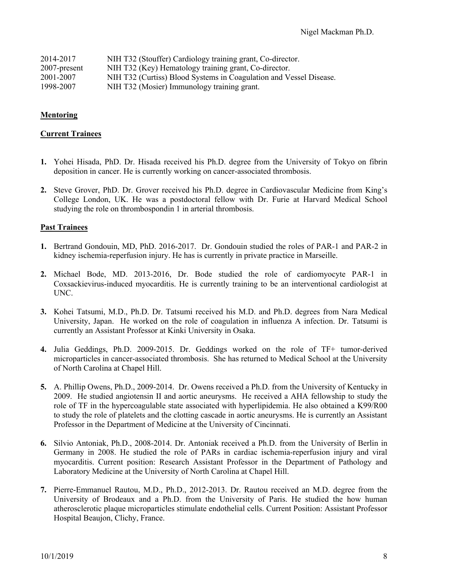| 2014-2017       | NIH T32 (Stouffer) Cardiology training grant, Co-director.         |
|-----------------|--------------------------------------------------------------------|
| $2007$ -present | NIH T32 (Key) Hematology training grant, Co-director.              |
| 2001-2007       | NIH T32 (Curtiss) Blood Systems in Coagulation and Vessel Disease. |
| 1998-2007       | NIH T32 (Mosier) Immunology training grant.                        |

### **Mentoring**

#### **Current Trainees**

- **1.** Yohei Hisada, PhD. Dr. Hisada received his Ph.D. degree from the University of Tokyo on fibrin deposition in cancer. He is currently working on cancer-associated thrombosis.
- **2.** Steve Grover, PhD. Dr. Grover received his Ph.D. degree in Cardiovascular Medicine from King's College London, UK. He was a postdoctoral fellow with Dr. Furie at Harvard Medical School studying the role on thrombospondin 1 in arterial thrombosis.

### **Past Trainees**

- **1.** Bertrand Gondouin, MD, PhD. 2016-2017. Dr. Gondouin studied the roles of PAR-1 and PAR-2 in kidney ischemia-reperfusion injury. He has is currently in private practice in Marseille.
- **2.** Michael Bode, MD. 2013-2016, Dr. Bode studied the role of cardiomyocyte PAR-1 in Coxsackievirus-induced myocarditis. He is currently training to be an interventional cardiologist at UNC.
- **3.** Kohei Tatsumi, M.D., Ph.D. Dr. Tatsumi received his M.D. and Ph.D. degrees from Nara Medical University, Japan. He worked on the role of coagulation in influenza A infection. Dr. Tatsumi is currently an Assistant Professor at Kinki University in Osaka.
- **4.** Julia Geddings, Ph.D. 2009-2015. Dr. Geddings worked on the role of TF+ tumor-derived microparticles in cancer-associated thrombosis. She has returned to Medical School at the University of North Carolina at Chapel Hill.
- **5.** A. Phillip Owens, Ph.D., 2009-2014. Dr. Owens received a Ph.D. from the University of Kentucky in 2009. He studied angiotensin II and aortic aneurysms. He received a AHA fellowship to study the role of TF in the hypercoagulable state associated with hyperlipidemia. He also obtained a K99/R00 to study the role of platelets and the clotting cascade in aortic aneurysms. He is currently an Assistant Professor in the Department of Medicine at the University of Cincinnati.
- **6.** Silvio Antoniak, Ph.D., 2008-2014. Dr. Antoniak received a Ph.D. from the University of Berlin in Germany in 2008. He studied the role of PARs in cardiac ischemia-reperfusion injury and viral myocarditis. Current position: Research Assistant Professor in the Department of Pathology and Laboratory Medicine at the University of North Carolina at Chapel Hill.
- **7.** Pierre-Emmanuel Rautou, M.D., Ph.D., 2012-2013. Dr. Rautou received an M.D. degree from the University of Brodeaux and a Ph.D. from the University of Paris. He studied the how human atherosclerotic plaque microparticles stimulate endothelial cells. Current Position: Assistant Professor Hospital Beaujon, Clichy, France.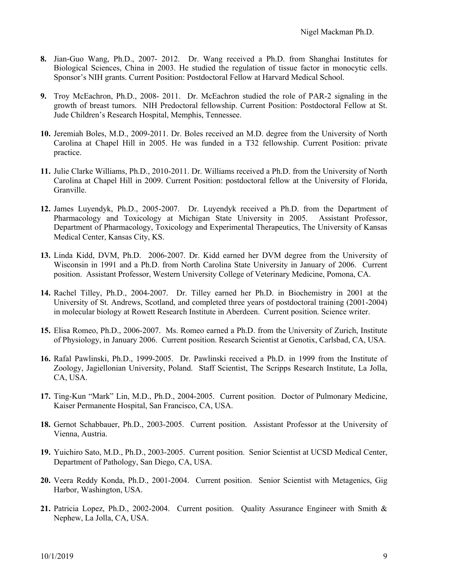- **8.** Jian-Guo Wang, Ph.D., 2007- 2012. Dr. Wang received a Ph.D. from Shanghai Institutes for Biological Sciences, China in 2003. He studied the regulation of tissue factor in monocytic cells. Sponsor's NIH grants. Current Position: Postdoctoral Fellow at Harvard Medical School.
- **9.** Troy McEachron, Ph.D., 2008- 2011. Dr. McEachron studied the role of PAR-2 signaling in the growth of breast tumors. NIH Predoctoral fellowship. Current Position: Postdoctoral Fellow at St. Jude Children's Research Hospital, Memphis, Tennessee.
- **10.** Jeremiah Boles, M.D., 2009-2011. Dr. Boles received an M.D. degree from the University of North Carolina at Chapel Hill in 2005. He was funded in a T32 fellowship. Current Position: private practice.
- **11.** Julie Clarke Williams, Ph.D., 2010-2011. Dr. Williams received a Ph.D. from the University of North Carolina at Chapel Hill in 2009. Current Position: postdoctoral fellow at the University of Florida, Granville.
- **12.** James Luyendyk, Ph.D., 2005-2007. Dr. Luyendyk received a Ph.D. from the Department of Pharmacology and Toxicology at Michigan State University in 2005. Assistant Professor, Department of Pharmacology, Toxicology and Experimental Therapeutics, The University of Kansas Medical Center, Kansas City, KS.
- **13.** Linda Kidd, DVM, Ph.D. 2006-2007. Dr. Kidd earned her DVM degree from the University of Wisconsin in 1991 and a Ph.D. from North Carolina State University in January of 2006. Current position. Assistant Professor, Western University College of Veterinary Medicine, Pomona, CA.
- **14.** Rachel Tilley, Ph.D., 2004-2007. Dr. Tilley earned her Ph.D. in Biochemistry in 2001 at the University of St. Andrews, Scotland, and completed three years of postdoctoral training (2001-2004) in molecular biology at Rowett Research Institute in Aberdeen. Current position. Science writer.
- **15.** Elisa Romeo, Ph.D., 2006-2007. Ms. Romeo earned a Ph.D. from the University of Zurich, Institute of Physiology, in January 2006. Current position. Research Scientist at Genotix, Carlsbad, CA, USA.
- **16.** Rafal Pawlinski, Ph.D., 1999-2005. Dr. Pawlinski received a Ph.D. in 1999 from the Institute of Zoology, Jagiellonian University, Poland. Staff Scientist, The Scripps Research Institute, La Jolla, CA, USA.
- **17.** Ting-Kun "Mark" Lin, M.D., Ph.D., 2004-2005. Current position. Doctor of Pulmonary Medicine, Kaiser Permanente Hospital, San Francisco, CA, USA.
- **18.** Gernot Schabbauer, Ph.D., 2003-2005. Current position. Assistant Professor at the University of Vienna, Austria.
- **19.** Yuichiro Sato, M.D., Ph.D., 2003-2005. Current position. Senior Scientist at UCSD Medical Center, Department of Pathology, San Diego, CA, USA.
- **20.** Veera Reddy Konda, Ph.D., 2001-2004. Current position. Senior Scientist with Metagenics, Gig Harbor, Washington, USA.
- **21.** Patricia Lopez, Ph.D., 2002-2004. Current position. Quality Assurance Engineer with Smith & Nephew, La Jolla, CA, USA.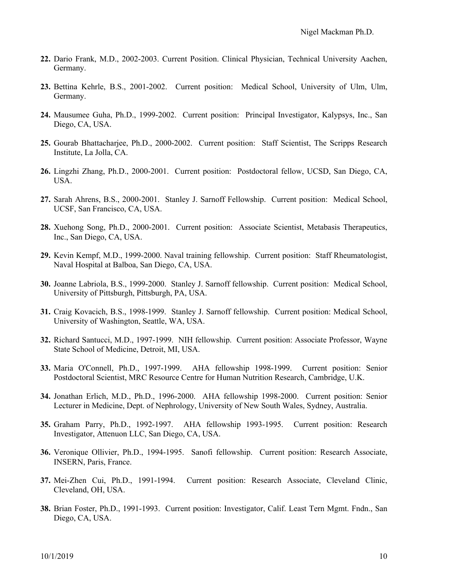- **22.** Dario Frank, M.D., 2002-2003. Current Position. Clinical Physician, Technical University Aachen, Germany.
- **23.** Bettina Kehrle, B.S., 2001-2002. Current position: Medical School, University of Ulm, Ulm, Germany.
- **24.** Mausumee Guha, Ph.D., 1999-2002. Current position: Principal Investigator, Kalypsys, Inc., San Diego, CA, USA.
- **25.** Gourab Bhattacharjee, Ph.D., 2000-2002. Current position: Staff Scientist, The Scripps Research Institute, La Jolla, CA.
- **26.** Lingzhi Zhang, Ph.D., 2000-2001. Current position: Postdoctoral fellow, UCSD, San Diego, CA, USA.
- **27.** Sarah Ahrens, B.S., 2000-2001. Stanley J. Sarnoff Fellowship. Current position: Medical School, UCSF, San Francisco, CA, USA.
- **28.** Xuehong Song, Ph.D., 2000-2001. Current position: Associate Scientist, Metabasis Therapeutics, Inc., San Diego, CA, USA.
- **29.** Kevin Kempf, M.D., 1999-2000. Naval training fellowship. Current position: Staff Rheumatologist, Naval Hospital at Balboa, San Diego, CA, USA.
- **30.** Joanne Labriola, B.S., 1999-2000. Stanley J. Sarnoff fellowship. Current position: Medical School, University of Pittsburgh, Pittsburgh, PA, USA.
- **31.** Craig Kovacich, B.S., 1998-1999. Stanley J. Sarnoff fellowship. Current position: Medical School, University of Washington, Seattle, WA, USA.
- **32.** Richard Santucci, M.D., 1997-1999. NIH fellowship. Current position: Associate Professor, Wayne State School of Medicine, Detroit, MI, USA.
- **33.** Maria O'Connell, Ph.D., 1997-1999. AHA fellowship 1998-1999. Current position: Senior Postdoctoral Scientist, MRC Resource Centre for Human Nutrition Research, Cambridge, U.K.
- **34.** Jonathan Erlich, M.D., Ph.D., 1996-2000. AHA fellowship 1998-2000. Current position: Senior Lecturer in Medicine, Dept. of Nephrology, University of New South Wales, Sydney, Australia.
- **35.** Graham Parry, Ph.D., 1992-1997. AHA fellowship 1993-1995. Current position: Research Investigator, Attenuon LLC, San Diego, CA, USA.
- **36.** Veronique Ollivier, Ph.D., 1994-1995. Sanofi fellowship. Current position: Research Associate, INSERN, Paris, France.
- **37.** Mei-Zhen Cui, Ph.D., 1991-1994. Current position: Research Associate, Cleveland Clinic, Cleveland, OH, USA.
- **38.** Brian Foster, Ph.D., 1991-1993. Current position: Investigator, Calif. Least Tern Mgmt. Fndn., San Diego, CA, USA.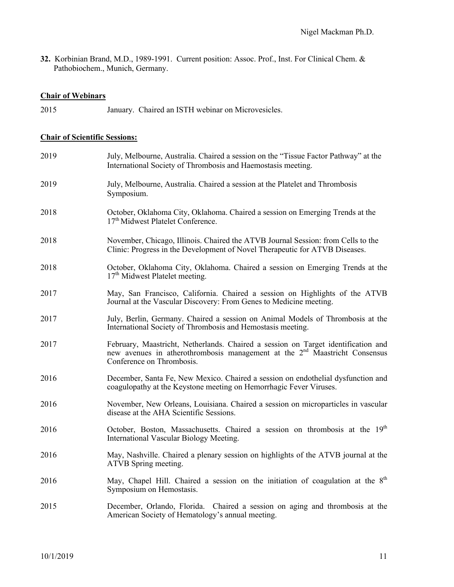**32.** Korbinian Brand, M.D., 1989-1991. Current position: Assoc. Prof., Inst. For Clinical Chem. & Pathobiochem., Munich, Germany.

# **Chair of Webinars**

2015 January. Chaired an ISTH webinar on Microvesicles.

#### **Chair of Scientific Sessions:**

| 2019 | July, Melbourne, Australia. Chaired a session on the "Tissue Factor Pathway" at the<br>International Society of Thrombosis and Haemostasis meeting.                                                      |
|------|----------------------------------------------------------------------------------------------------------------------------------------------------------------------------------------------------------|
| 2019 | July, Melbourne, Australia. Chaired a session at the Platelet and Thrombosis<br>Symposium.                                                                                                               |
| 2018 | October, Oklahoma City, Oklahoma. Chaired a session on Emerging Trends at the<br>17 <sup>th</sup> Midwest Platelet Conference.                                                                           |
| 2018 | November, Chicago, Illinois. Chaired the ATVB Journal Session: from Cells to the<br>Clinic: Progress in the Development of Novel Therapeutic for ATVB Diseases.                                          |
| 2018 | October, Oklahoma City, Oklahoma. Chaired a session on Emerging Trends at the<br>17 <sup>th</sup> Midwest Platelet meeting.                                                                              |
| 2017 | May, San Francisco, California. Chaired a session on Highlights of the ATVB<br>Journal at the Vascular Discovery: From Genes to Medicine meeting.                                                        |
| 2017 | July, Berlin, Germany. Chaired a session on Animal Models of Thrombosis at the<br>International Society of Thrombosis and Hemostasis meeting.                                                            |
| 2017 | February, Maastricht, Netherlands. Chaired a session on Target identification and<br>new avenues in atherothrombosis management at the 2 <sup>nd</sup> Maastricht Consensus<br>Conference on Thrombosis. |
| 2016 | December, Santa Fe, New Mexico. Chaired a session on endothelial dysfunction and<br>coagulopathy at the Keystone meeting on Hemorrhagic Fever Viruses.                                                   |
| 2016 | November, New Orleans, Louisiana. Chaired a session on microparticles in vascular<br>disease at the AHA Scientific Sessions.                                                                             |
| 2016 | October, Boston, Massachusetts. Chaired a session on thrombosis at the 19th<br>International Vascular Biology Meeting.                                                                                   |
| 2016 | May, Nashville. Chaired a plenary session on highlights of the ATVB journal at the<br>ATVB Spring meeting.                                                                                               |
| 2016 | May, Chapel Hill. Chaired a session on the initiation of coagulation at the 8th<br>Symposium on Hemostasis.                                                                                              |
| 2015 | December, Orlando, Florida. Chaired a session on aging and thrombosis at the<br>American Society of Hematology's annual meeting.                                                                         |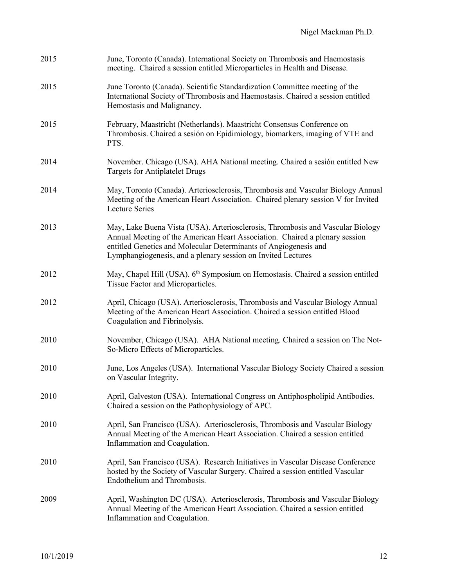| 2015 | June, Toronto (Canada). International Society on Thrombosis and Haemostasis<br>meeting. Chaired a session entitled Microparticles in Health and Disease.                                                                                                                                          |
|------|---------------------------------------------------------------------------------------------------------------------------------------------------------------------------------------------------------------------------------------------------------------------------------------------------|
| 2015 | June Toronto (Canada). Scientific Standardization Committee meeting of the<br>International Society of Thrombosis and Haemostasis. Chaired a session entitled<br>Hemostasis and Malignancy.                                                                                                       |
| 2015 | February, Maastricht (Netherlands). Maastricht Consensus Conference on<br>Thrombosis. Chaired a sesión on Epidimiology, biomarkers, imaging of VTE and<br>PTS.                                                                                                                                    |
| 2014 | November. Chicago (USA). AHA National meeting. Chaired a sesión entitled New<br><b>Targets for Antiplatelet Drugs</b>                                                                                                                                                                             |
| 2014 | May, Toronto (Canada). Arteriosclerosis, Thrombosis and Vascular Biology Annual<br>Meeting of the American Heart Association. Chaired plenary session V for Invited<br><b>Lecture Series</b>                                                                                                      |
| 2013 | May, Lake Buena Vista (USA). Arteriosclerosis, Thrombosis and Vascular Biology<br>Annual Meeting of the American Heart Association. Chaired a plenary session<br>entitled Genetics and Molecular Determinants of Angiogenesis and<br>Lymphangiogenesis, and a plenary session on Invited Lectures |
| 2012 | May, Chapel Hill (USA). 6 <sup>th</sup> Symposium on Hemostasis. Chaired a session entitled<br>Tissue Factor and Microparticles.                                                                                                                                                                  |
| 2012 | April, Chicago (USA). Arteriosclerosis, Thrombosis and Vascular Biology Annual<br>Meeting of the American Heart Association. Chaired a session entitled Blood<br>Coagulation and Fibrinolysis.                                                                                                    |
| 2010 | November, Chicago (USA). AHA National meeting. Chaired a session on The Not-<br>So-Micro Effects of Microparticles.                                                                                                                                                                               |
| 2010 | June, Los Angeles (USA). International Vascular Biology Society Chaired a session<br>on Vascular Integrity.                                                                                                                                                                                       |
| 2010 | April, Galveston (USA). International Congress on Antiphospholipid Antibodies.<br>Chaired a session on the Pathophysiology of APC.                                                                                                                                                                |
| 2010 | April, San Francisco (USA). Arteriosclerosis, Thrombosis and Vascular Biology<br>Annual Meeting of the American Heart Association. Chaired a session entitled<br>Inflammation and Coagulation.                                                                                                    |
| 2010 | April, San Francisco (USA). Research Initiatives in Vascular Disease Conference<br>hosted by the Society of Vascular Surgery. Chaired a session entitled Vascular<br>Endothelium and Thrombosis.                                                                                                  |
| 2009 | April, Washington DC (USA). Arteriosclerosis, Thrombosis and Vascular Biology<br>Annual Meeting of the American Heart Association. Chaired a session entitled<br>Inflammation and Coagulation.                                                                                                    |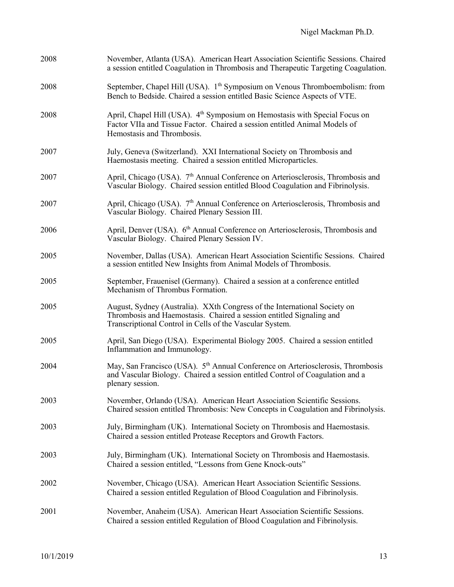| November, Atlanta (USA). American Heart Association Scientific Sessions. Chaired<br>a session entitled Coagulation in Thrombosis and Therapeutic Targeting Coagulation.                                       |
|---------------------------------------------------------------------------------------------------------------------------------------------------------------------------------------------------------------|
| September, Chapel Hill (USA). 1 <sup>th</sup> Symposium on Venous Thromboembolism: from<br>Bench to Bedside. Chaired a session entitled Basic Science Aspects of VTE.                                         |
| April, Chapel Hill (USA). 4 <sup>th</sup> Symposium on Hemostasis with Special Focus on<br>Factor VIIa and Tissue Factor. Chaired a session entitled Animal Models of<br>Hemostasis and Thrombosis.           |
| July, Geneva (Switzerland). XXI International Society on Thrombosis and<br>Haemostasis meeting. Chaired a session entitled Microparticles.                                                                    |
| April, Chicago (USA). 7 <sup>th</sup> Annual Conference on Arteriosclerosis, Thrombosis and<br>Vascular Biology. Chaired session entitled Blood Coagulation and Fibrinolysis.                                 |
| April, Chicago (USA). 7 <sup>th</sup> Annual Conference on Arteriosclerosis, Thrombosis and<br>Vascular Biology. Chaired Plenary Session III.                                                                 |
| April, Denver (USA). 6 <sup>th</sup> Annual Conference on Arteriosclerosis, Thrombosis and<br>Vascular Biology. Chaired Plenary Session IV.                                                                   |
| November, Dallas (USA). American Heart Association Scientific Sessions. Chaired<br>a session entitled New Insights from Animal Models of Thrombosis.                                                          |
| September, Frauenisel (Germany). Chaired a session at a conference entitled<br>Mechanism of Thrombus Formation.                                                                                               |
| August, Sydney (Australia). XXth Congress of the International Society on<br>Thrombosis and Haemostasis. Chaired a session entitled Signaling and<br>Transcriptional Control in Cells of the Vascular System. |
| April, San Diego (USA). Experimental Biology 2005. Chaired a session entitled<br>Inflammation and Immunology.                                                                                                 |
| May, San Francisco (USA). 5 <sup>th</sup> Annual Conference on Arteriosclerosis, Thrombosis<br>and Vascular Biology. Chaired a session entitled Control of Coagulation and a<br>plenary session.              |
| November, Orlando (USA). American Heart Association Scientific Sessions.<br>Chaired session entitled Thrombosis: New Concepts in Coagulation and Fibrinolysis.                                                |
| July, Birmingham (UK). International Society on Thrombosis and Haemostasis.<br>Chaired a session entitled Protease Receptors and Growth Factors.                                                              |
| July, Birmingham (UK). International Society on Thrombosis and Haemostasis.<br>Chaired a session entitled, "Lessons from Gene Knock-outs"                                                                     |
| November, Chicago (USA). American Heart Association Scientific Sessions.<br>Chaired a session entitled Regulation of Blood Coagulation and Fibrinolysis.                                                      |
| November, Anaheim (USA). American Heart Association Scientific Sessions.<br>Chaired a session entitled Regulation of Blood Coagulation and Fibrinolysis.                                                      |
|                                                                                                                                                                                                               |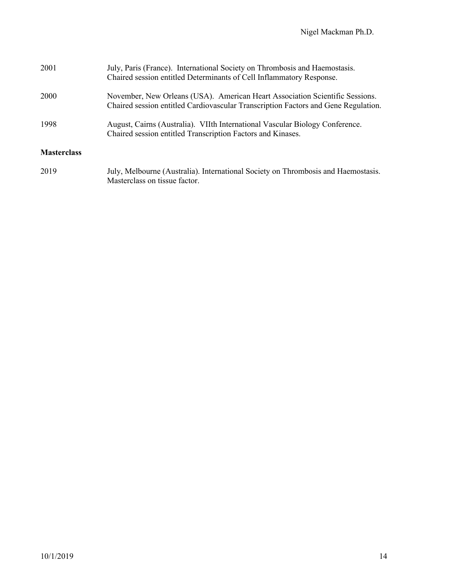| 2001               | July, Paris (France). International Society on Thrombosis and Haemostasis.<br>Chaired session entitled Determinants of Cell Inflammatory Response.                 |
|--------------------|--------------------------------------------------------------------------------------------------------------------------------------------------------------------|
| <b>2000</b>        | November, New Orleans (USA). American Heart Association Scientific Sessions.<br>Chaired session entitled Cardiovascular Transcription Factors and Gene Regulation. |
| 1998               | August, Cairns (Australia). VIIth International Vascular Biology Conference.<br>Chaired session entitled Transcription Factors and Kinases.                        |
| <b>Masterclass</b> |                                                                                                                                                                    |
| 2019               | July, Melbourne (Australia). International Society on Thrombosis and Haemostasis.<br>Masterclass on tissue factor.                                                 |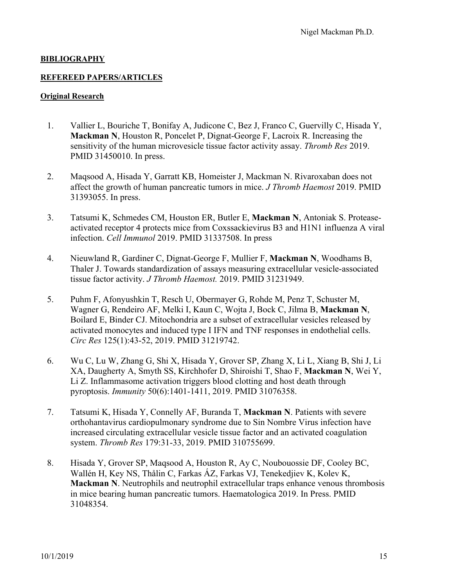### **BIBLIOGRAPHY**

### **REFEREED PAPERS/ARTICLES**

### **Original Research**

- 1. Vallier L, Bouriche T, Bonifay A, Judicone C, Bez J, Franco C, Guervilly C, Hisada Y, **Mackman N**, Houston R, Poncelet P, Dignat-George F, Lacroix R. Increasing the sensitivity of the human microvesicle tissue factor activity assay. *Thromb Res* 2019. PMID 31450010. In press.
- 2. Maqsood A, Hisada Y, Garratt KB, Homeister J, Mackman N. Rivaroxaban does not affect the growth of human pancreatic tumors in mice. *J Thromb Haemost* 2019. PMID 31393055. In press.
- 3. Tatsumi K, Schmedes CM, Houston ER, Butler E, **Mackman N**, Antoniak S. Proteaseactivated receptor 4 protects mice from Coxssackievirus B3 and H1N1 influenza A viral infection. *Cell Immunol* 2019. PMID 31337508. In press
- 4. Nieuwland R, Gardiner C, Dignat-George F, Mullier F, **Mackman N**, Woodhams B, Thaler J. Towards standardization of assays measuring extracellular vesicle-associated tissue factor activity. *J Thromb Haemost.* 2019. PMID 31231949.
- 5. Puhm F, Afonyushkin T, Resch U, Obermayer G, Rohde M, Penz T, Schuster M, Wagner G, Rendeiro AF, Melki I, Kaun C, Wojta J, Bock C, Jilma B, **Mackman N**, Boilard E, Binder CJ. Mitochondria are a subset of extracellular vesicles released by activated monocytes and induced type I IFN and TNF responses in endothelial cells. *Circ Res* 125(1):43-52, 2019. PMID 31219742.
- 6. Wu C, Lu W, Zhang G, Shi X, Hisada Y, Grover SP, Zhang X, Li L, Xiang B, Shi J, Li XA, Daugherty A, Smyth SS, Kirchhofer D, Shiroishi T, Shao F, **Mackman N**, Wei Y, Li Z. Inflammasome activation triggers blood clotting and host death through pyroptosis. *Immunity* 50(6):1401-1411, 2019. PMID 31076358.
- 7. Tatsumi K, Hisada Y, Connelly AF, Buranda T, **Mackman N**. Patients with severe orthohantavirus cardiopulmonary syndrome due to Sin Nombre Virus infection have increased circulating extracellular vesicle tissue factor and an activated coagulation system. *Thromb Res* 179:31-33, 2019. PMID 310755699.
- 8. Hisada Y, Grover SP, Maqsood A, Houston R, Ay C, Noubouossie DF, Cooley BC, Wallén H, Key NS, Thålin C, Farkas ÁZ, Farkas VJ, Tenekedjiev K, Kolev K, **Mackman N**. Neutrophils and neutrophil extracellular traps enhance venous thrombosis in mice bearing human pancreatic tumors. Haematologica 2019. In Press. PMID 31048354.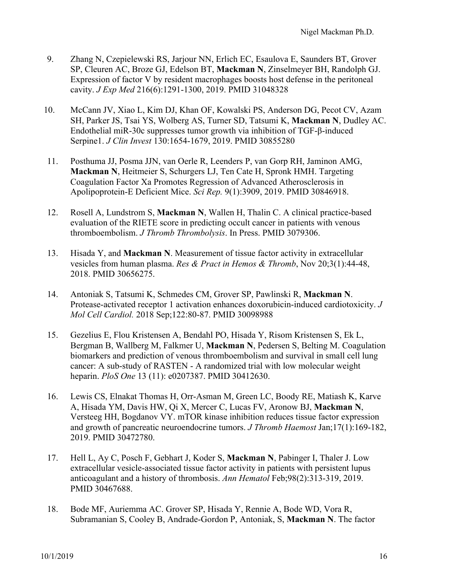- 9. Zhang N, Czepielewski RS, Jarjour NN, Erlich EC, Esaulova E, Saunders BT, Grover SP, Cleuren AC, Broze GJ, Edelson BT, **Mackman N**, Zinselmeyer BH, Randolph GJ. Expression of factor V by resident macrophages boosts host defense in the peritoneal cavity. *J Exp Med* 216(6):1291-1300, 2019. PMID 31048328
- 10. McCann JV, Xiao L, Kim DJ, Khan OF, Kowalski PS, Anderson DG, Pecot CV, Azam SH, Parker JS, Tsai YS, Wolberg AS, Turner SD, Tatsumi K, **Mackman N**, Dudley AC. Endothelial miR-30c suppresses tumor growth via inhibition of TGF-β-induced Serpine1. *J Clin Invest* 130:1654-1679, 2019. PMID 30855280
- 11. Posthuma JJ, Posma JJN, van Oerle R, Leenders P, van Gorp RH, Jaminon AMG, **Mackman N**, Heitmeier S, Schurgers LJ, Ten Cate H, Spronk HMH. Targeting Coagulation Factor Xa Promotes Regression of Advanced Atherosclerosis in Apolipoprotein-E Deficient Mice. *Sci Rep.* 9(1):3909, 2019. PMID 30846918.
- 12. Rosell A, Lundstrom S, **Mackman N**, Wallen H, Thalin C. A clinical practice-based evaluation of the RIETE score in predicting occult cancer in patients with venous thromboembolism. *J Thromb Thrombolysis*. In Press. PMID 3079306.
- 13. Hisada Y, and **Mackman N**. Measurement of tissue factor activity in extracellular vesicles from human plasma. *Res & Pract in Hemos & Thromb*, Nov 20;3(1):44-48, 2018. PMID 30656275.
- 14. Antoniak S, Tatsumi K, Schmedes CM, Grover SP, Pawlinski R, **Mackman N**. Protease-activated receptor 1 activation enhances doxorubicin-induced cardiotoxicity. *J Mol Cell Cardiol.* 2018 Sep;122:80-87. PMID 30098988
- 15. Gezelius E, Flou Kristensen A, Bendahl PO, Hisada Y, Risom Kristensen S, Ek L, Bergman B, Wallberg M, Falkmer U, **Mackman N**, Pedersen S, Belting M. Coagulation biomarkers and prediction of venous thromboembolism and survival in small cell lung cancer: A sub-study of RASTEN - A randomized trial with low molecular weight heparin. *PloS One* 13 (11): e0207387. PMID 30412630.
- 16. Lewis CS, Elnakat Thomas H, Orr-Asman M, Green LC, Boody RE, Matiash K, Karve A, Hisada YM, Davis HW, Qi X, Mercer C, Lucas FV, Aronow BJ, **Mackman N**, Versteeg HH, Bogdanov VY. mTOR kinase inhibition reduces tissue factor expression and growth of pancreatic neuroendocrine tumors. *J Thromb Haemost* Jan;17(1):169-182, 2019. PMID 30472780.
- 17. Hell L, Ay C, Posch F, Gebhart J, Koder S, **Mackman N**, Pabinger I, Thaler J. Low extracellular vesicle-associated tissue factor activity in patients with persistent lupus anticoagulant and a history of thrombosis. *Ann Hematol* Feb;98(2):313-319, 2019. PMID 30467688.
- 18. Bode MF, Auriemma AC. Grover SP, Hisada Y, Rennie A, Bode WD, Vora R, Subramanian S, Cooley B, Andrade-Gordon P, Antoniak, S, **Mackman N**. The factor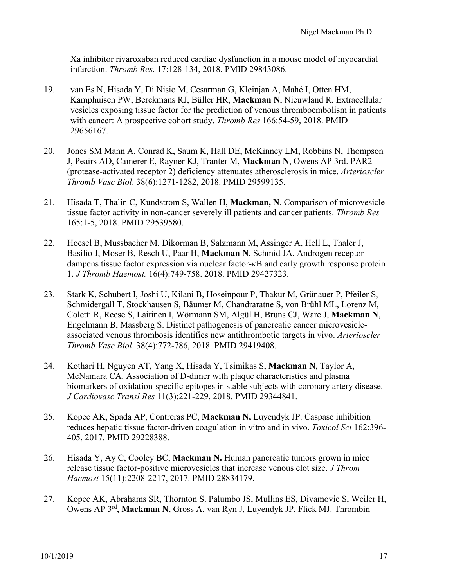Xa inhibitor rivaroxaban reduced cardiac dysfunction in a mouse model of myocardial infarction. *Thromb Res*. 17:128-134, 2018. PMID 29843086.

- 19. van Es N, Hisada Y, Di Nisio M, Cesarman G, Kleinjan A, Mahé I, Otten HM, Kamphuisen PW, Berckmans RJ, Büller HR, **Mackman N**, Nieuwland R. Extracellular vesicles exposing tissue factor for the prediction of venous thromboembolism in patients with cancer: A prospective cohort study. *Thromb Res* 166:54-59, 2018. PMID 29656167.
- 20. Jones SM Mann A, Conrad K, Saum K, Hall DE, McKinney LM, Robbins N, Thompson J, Peairs AD, Camerer E, Rayner KJ, Tranter M, **Mackman N**, Owens AP 3rd. PAR2 (protease-activated receptor 2) deficiency attenuates atherosclerosis in mice. *Arterioscler Thromb Vasc Biol*. 38(6):1271-1282, 2018. PMID 29599135.
- 21. Hisada T, Thalin C, Kundstrom S, Wallen H, **Mackman, N**. Comparison of microvesicle tissue factor activity in non-cancer severely ill patients and cancer patients. *Thromb Res* 165:1-5, 2018. PMID 29539580.
- 22. Hoesel B, Mussbacher M, Dikorman B, Salzmann M, Assinger A, Hell L, Thaler J, Basílio J, Moser B, Resch U, Paar H, **Mackman N**, Schmid JA. Androgen receptor dampens tissue factor expression via nuclear factor-κB and early growth response protein 1. *J Thromb Haemost.* 16(4):749-758. 2018. PMID 29427323.
- 23. Stark K, Schubert I, Joshi U, Kilani B, Hoseinpour P, Thakur M, Grünauer P, Pfeiler S, Schmidergall T, Stockhausen S, Bäumer M, Chandraratne S, von Brühl ML, Lorenz M, Coletti R, Reese S, Laitinen I, Wörmann SM, Algül H, Bruns CJ, Ware J, **Mackman N**, Engelmann B, Massberg S. Distinct pathogenesis of pancreatic cancer microvesicleassociated venous thrombosis identifies new antithrombotic targets in vivo. *Arterioscler Thromb Vasc Biol*. 38(4):772-786, 2018. PMID 29419408.
- 24. Kothari H, Nguyen AT, Yang X, Hisada Y, Tsimikas S, **Mackman N**, Taylor A, McNamara CA. Association of D-dimer with plaque characteristics and plasma biomarkers of oxidation-specific epitopes in stable subjects with coronary artery disease. *J Cardiovasc Transl Res* 11(3):221-229, 2018. PMID 29344841.
- 25. Kopec AK, Spada AP, Contreras PC, **Mackman N,** Luyendyk JP. Caspase inhibition reduces hepatic tissue factor-driven coagulation in vitro and in vivo. *Toxicol Sci* 162:396- 405, 2017. PMID 29228388.
- 26. Hisada Y, Ay C, Cooley BC, **Mackman N.** Human pancreatic tumors grown in mice release tissue factor-positive microvesicles that increase venous clot size. *J Throm Haemost* 15(11):2208-2217, 2017. PMID 28834179.
- 27. Kopec AK, Abrahams SR, Thornton S. Palumbo JS, Mullins ES, Divamovic S, Weiler H, Owens AP 3rd, **Mackman N**, Gross A, van Ryn J, Luyendyk JP, Flick MJ. Thrombin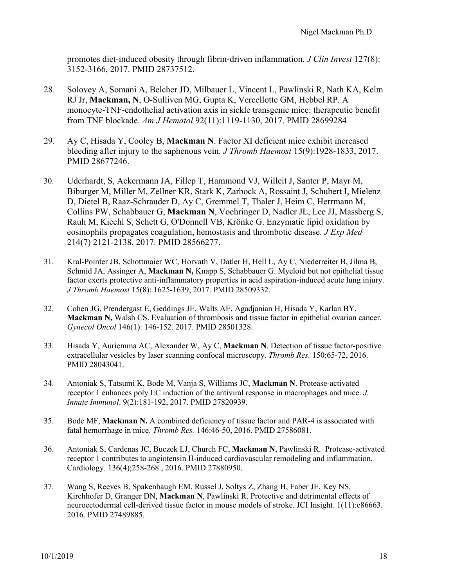promotes diet-induced obesity through fibrin-driven inflammation. *J Clin Invest* 127(8): 3152-3166, 2017. PMID 28737512.

- 28. Solovey A, Somani A, Belcher JD, Milbauer L, Vincent L, Pawlinski R, Nath KA, Kelm RJ Jr, **Mackman, N**, O-Sulliven MG, Gupta K, Vercellotte GM, Hebbel RP. A monocyte-TNF-endothelial activation axis in sickle transgenic mice: therapeutic benefit from TNF blockade. *Am J Hematol* 92(11):1119-1130, 2017. PMID 28699284
- 29. Ay C, Hisada Y, Cooley B, **Mackman N**. Factor XI deficient mice exhibit increased bleeding after injury to the saphenous vein. *J Thromb Haemost* 15(9):1928-1833, 2017. PMID 28677246.
- 30. Uderhardt, S, Ackermann JA, Fillep T, Hammond VJ, Willeit J, Santer P, Mayr M, Biburger M, Miller M, Zellner KR, Stark K, Zarbock A, Rossaint J, Schubert I, Mielenz D, Dietel B, Raaz-Schrauder D, Ay C, Gremmel T, Thaler J, Heim C, Herrmann M, Collins PW, Schabbauer G, **Mackman N**, Voehringer D, Nadler JL, Lee JJ, Massberg S, Rauh M, Kiechl S, Schett G, O'Donnell VB, Krönke G. Enzymatic lipid oxidation by eosinophils propagates coagulation, hemostasis and thrombotic disease. *J Exp Med* 214(7) 2121-2138, 2017. PMID 28566277.
- 31. Kral-Pointer JB, Schottmaier WC, Horvath V, Datler H, Hell L, Ay C, Niederreiter B, Jilma B, Schmid JA, Assinger A, **Mackman N,** Knapp S, Schabbauer G. Myeloid but not epithelial tissue factor exerts protective anti-inflammatory properties in acid aspiration-induced acute lung injury. *J Thromb Haemost* 15(8): 1625-1639, 2017. PMID 28509332.
- 32. Cohen JG, Prendergast E, Geddings JE, Walts AE, Agadjanian H, Hisada Y, Karlan BY, **Mackman N,** Walsh CS. Evaluation of thrombosis and tissue factor in epithelial ovarian cancer. *Gynecol Oncol* 146(1): 146-152. 2017. PMID 28501328.
- 33. Hisada Y, Auriemma AC, Alexander W, Ay C, **Mackman N**. Detection of tissue factor-positive extracellular vesicles by laser scanning confocal microscopy. *Thromb Res.* 150:65-72, 2016. PMID 28043041.
- 34. Antoniak S, Tatsumi K, Bode M, Vanja S, Williams JC, **Mackman N**. Protease-activated receptor 1 enhances poly I:C induction of the antiviral response in macrophages and mice. *J. Innate Immunol*. 9(2):181-192, 2017. PMID 27820939.
- 35. Bode MF, **Mackman N.** A combined deficiency of tissue factor and PAR-4 is associated with fatal hemorrhage in mice. *Thromb Res.* 146:46-50, 2016. PMID 27586081.
- 36. Antoniak S, Cardenas JC, Buczek LJ, Church FC, **Mackman N**, Pawlinski R. Protease-activated receptor 1 contributes to angiotensin II-induced cardiovascular remodeling and inflammation. Cardiology. 136(4);258-268., 2016. PMID 27880950.
- 37. Wang S, Reeves B, Spakenbaugh EM, Russel J, Soltys Z, Zhang H, Faber JE, Key NS, Kirchhofer D, Granger DN, **Mackman N**, Pawlinski R. Protective and detrimental effects of neuroectodermal cell-derived tissue factor in mouse models of stroke. JCI Insight. 1(11):e86663. 2016. PMID 27489885.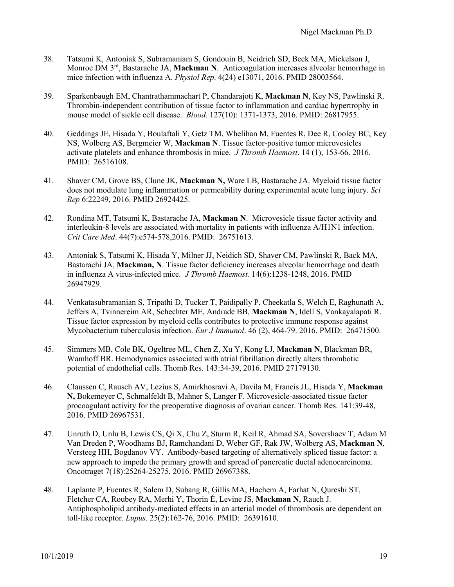- 38. Tatsumi K, Antoniak S, Subramaniam S, Gondouin B, Neidrich SD, Beck MA, Mickelson J, Monroe DM 3rd, Bastarache JA, **Mackman N**. Anticoagulation increases alveolar hemorrhage in mice infection with influenza A. *Physiol Rep*. 4(24) e13071, 2016. PMID 28003564.
- 39. Sparkenbaugh EM, Chantrathammachart P, Chandarajoti K, **Mackman N**, Key NS, Pawlinski R. Thrombin-independent contribution of tissue factor to inflammation and cardiac hypertrophy in mouse model of sickle cell disease. *Blood*. 127(10): 1371-1373, 2016. PMID: 26817955.
- 40. Geddings JE, Hisada Y, Boulaftali Y, Getz TM, Whelihan M, Fuentes R, Dee R, Cooley BC, Key NS, Wolberg AS, Bergmeier W, **Mackman N**. Tissue factor-positive tumor microvesicles activate platelets and enhance thrombosis in mice. *J Thromb Haemost*. 14 (1), 153-66. 2016. PMID: 26516108.
- 41. Shaver CM, Grove BS, Clune JK, **Mackman N,** Ware LB, Bastarache JA. Myeloid tissue factor does not modulate lung inflammation or permeability during experimental acute lung injury. *Sci Rep* 6:22249, 2016. PMID 26924425.
- 42. Rondina MT, Tatsumi K, Bastarache JA, **Mackman N**. Microvesicle tissue factor activity and interleukin-8 levels are associated with mortality in patients with influenza A/H1N1 infection. *Crit Care Med*. 44(7):e574-578,2016. PMID: 26751613.
- 43. Antoniak S, Tatsumi K, Hisada Y, Milner JJ, Neidich SD, Shaver CM, Pawlinski R, Back MA, Bastarachi JA, **Mackman, N**. Tissue factor deficiency increases alveolar hemorrhage and death in influenza A virus-infected mice. *J Thromb Haemost.* 14(6):1238-1248, 2016. PMID 26947929.
- 44. Venkatasubramanian S, Tripathi D, Tucker T, Paidipally P, Cheekatla S, Welch E, Raghunath A, Jeffers A, Tvinnereim AR, Schechter ME, Andrade BB, **Mackman N**, Idell S, Vankayalapati R. Tissue factor expression by myeloid cells contributes to protective immune response against Mycobacterium tuberculosis infection. *Eur J Immunol*. 46 (2), 464-79. 2016. PMID: 26471500.
- 45. Simmers MB, Cole BK, Ogeltree ML, Chen Z, Xu Y, Kong LJ, **Mackman N**, Blackman BR, Wamhoff BR. Hemodynamics associated with atrial fibrillation directly alters thrombotic potential of endothelial cells. Thomb Res. 143:34-39, 2016. PMID 27179130.
- 46. Claussen C, Rausch AV, Lezius S, Amirkhosravi A, Davila M, Francis JL, Hisada Y, **Mackman N,** Bokemeyer C, Schmalfeldt B, Mahner S, Langer F. Microvesicle-associated tissue factor procoagulant activity for the preoperative diagnosis of ovarian cancer. Thomb Res. 141:39-48, 2016. PMID 26967531.
- 47. Unruth D, Unlu B, Lewis CS, Qi X, Chu Z, Sturm R, Keil R, Ahmad SA, Sovershaev T, Adam M Van Dreden P, Woodhams BJ, Ramchandani D, Weber GF, Rak JW, Wolberg AS, **Mackman N**, Versteeg HH, Bogdanov VY. Antibody-based targeting of alternatively spliced tissue factor: a new approach to impede the primary growth and spread of pancreatic ductal adenocarcinoma. Oncotraget 7(18):25264-25275, 2016. PMID 26967388.
- 48. Laplante P, Fuentes R, Salem D, Subang R, Gillis MA, Hachem A, Farhat N, Qureshi ST, Fletcher CA, Roubey RA, Merhi Y, Thorin É, Levine JS, **Mackman N**, Rauch J. Antiphospholipid antibody-mediated effects in an arterial model of thrombosis are dependent on toll-like receptor. *Lupus*. 25(2):162-76, 2016. PMID: 26391610.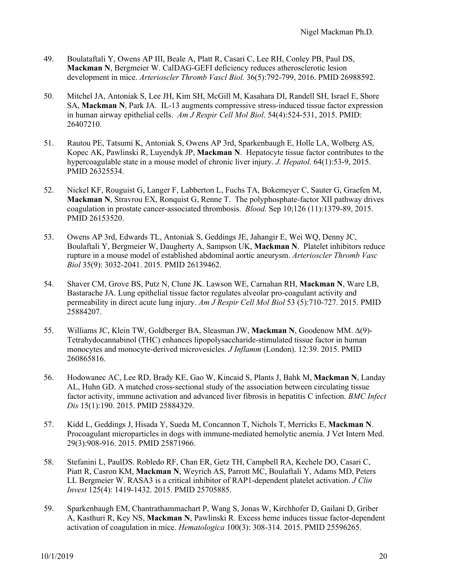- 49. Boulataftali Y, Owens AP III, Beale A, Platt R, Casari C, Lee RH, Conley PB, Paul DS, **Mackman N**, Bergmeier W. CalDAG-GEFI deficiency reduces atherosclerotic lesion development in mice. *Arterioscler Thromb Vascl Biol.* 36(5):792-799, 2016. PMID 26988592.
- 50. Mitchel JA, Antoniak S, Lee JH, Kim SH, McGill M, Kasahara DI, Randell SH, Israel E, Shore SA, **Mackman N**, Park JA. IL-13 augments compressive stress-induced tissue factor expression in human airway epithelial cells. *Am J Respir Cell Mol Biol*. 54(4):524-531, 2015. PMID: 26407210.
- 51. Rautou PE, Tatsumi K, Antoniak S, Owens AP 3rd, Sparkenbaugh E, Holle LA, Wolberg AS, Kopec AK, Pawlinski R, Luyendyk JP, **Mackman N**. Hepatocyte tissue factor contributes to the hypercoagulable state in a mouse model of chronic liver injury. *J. Hepatol.* 64(1):53-9, 2015. PMID 26325534.
- 52. Nickel KF, Rouguist G, Langer F, Labberton L, Fuchs TA, Bokemeyer C, Sauter G, Graefen M, **Mackman N**, Stravrou EX, Ronquist G, Renne T. The polyphosphate-factor XII pathway drives coagulation in prostate cancer-associated thrombosis. *Blood.* Sep 10;126 (11):1379-89, 2015. PMID 26153520.
- 53. Owens AP 3rd, Edwards TL, Antoniak S, Geddings JE, Jahangir E, Wei WQ, Denny JC, Boulaftali Y, Bergmeier W, Daugherty A, Sampson UK, **Mackman N**. Platelet inhibitors reduce rupture in a mouse model of established abdominal aortic aneurysm. *Arterioscler Thromb Vasc Biol* 35(9): 3032-2041. 2015. PMID 26139462.
- 54. Shaver CM, Grove BS, Putz N, Clune JK. Lawson WE, Carnahan RH, **Mackman N**, Ware LB, Bastarache JA. Lung epithelial tissue factor regulates alveolar pro-coagulant activity and permeability in direct acute lung injury. *Am J Respir Cell Mol Biol* 53 (5):710-727. 2015. PMID 25884207.
- 55. Williams JC, Klein TW, Goldberger BA, Sleasman JW, **Mackman N**, Goodenow MM. ∆(9)- Tetrahydocannabinol (THC) enhances lipopolysaccharide-stimulated tissue factor in human monocytes and monocyte-derived microvesicles*. J Inflamm* (London). 12:39. 2015. PMID 260865816.
- 56. Hodowanec AC, Lee RD, Brady KE, Gao W, Kincaid S, Plants J, Bahk M, **Mackman N**, Landay AL, Huhn GD. A matched cross-sectional study of the association between circulating tissue factor activity, immune activation and advanced liver fibrosis in hepatitis C infection. *BMC Infect Dis* 15(1):190. 2015. PMID 25884329.
- 57. Kidd L, Geddings J, Hisada Y, Sueda M, Concannon T, Nichols T, Merricks E, **Mackman N**. Procoagulant microparticles in dogs with immune-mediated hemolytic anemia. J Vet Intern Med. 29(3):908-916. 2015. PMID 25871966.
- 58. Stefanini L, PaulDS. Robledo RF, Chan ER, Getz TH, Campbell RA, Kechele DO, Casari C, Piatt R, Casron KM, **Mackman N**, Weyrich AS, Parrott MC, Boulaftali Y, Adams MD, Peters LL Bergmeier W. RASA3 is a critical inhibitor of RAP1-dependent platelet activation. *J Clin Invest* 125(4): 1419-1432. 2015. PMID 25705885.
- 59. Sparkenbaugh EM, Chantrathammachart P, Wang S, Jonas W, Kirchhofer D, Gailani D, Griber A, Kasthuri R, Key NS, **Mackman N**, Pawlinski R. Excess heme induces tissue factor-dependent activation of coagulation in mice. *Hematologica* 100(3): 308-314. 2015. PMID 25596265.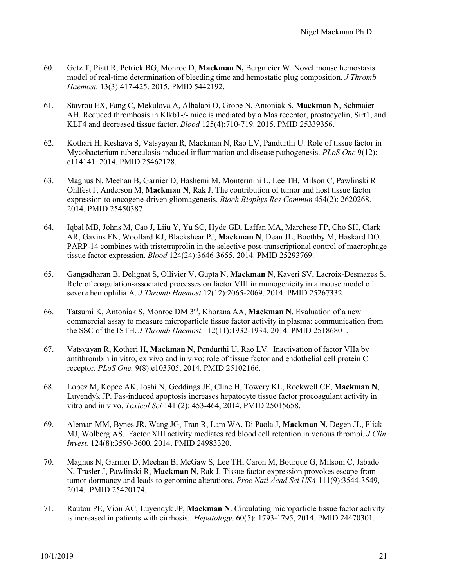- 60. Getz T, Piatt R, Petrick BG, Monroe D, **Mackman N,** Bergmeier W. Novel mouse hemostasis model of real-time determination of bleeding time and hemostatic plug composition. *J Thromb Haemost.* 13(3):417-425. 2015. PMID 5442192.
- 61. Stavrou EX, Fang C, Mekulova A, Alhalabi O, Grobe N, Antoniak S, **Mackman N**, Schmaier AH. Reduced thrombosis in Klkb1-/- mice is mediated by a Mas receptor, prostacyclin, Sirt1, and KLF4 and decreased tissue factor. *Blood* 125(4):710-719. 2015. PMID 25339356.
- 62. Kothari H, Keshava S, Vatsyayan R, Mackman N, Rao LV, Pandurthi U. Role of tissue factor in Mycobacterium tuberculosis-induced inflammation and disease pathogenesis. *PLoS One* 9(12): e114141. 2014. PMID 25462128.
- 63. Magnus N, Meehan B, Garnier D, Hashemi M, Montermini L, Lee TH, Milson C, Pawlinski R Ohlfest J, Anderson M, **Mackman N**, Rak J. The contribution of tumor and host tissue factor expression to oncogene-driven gliomagenesis. *Bioch Biophys Res Commun* 454(2): 2620268. 2014. PMID 25450387
- 64. Iqbal MB, Johns M, Cao J, Liiu Y, Yu SC, Hyde GD, Laffan MA, Marchese FP, Cho SH, Clark AR, Gavins FN, Woollard KJ, Blackshear PJ, **Mackman N**, Dean JL, Boothby M, Haskard DO. PARP-14 combines with tristetraprolin in the selective post-transcriptional control of macrophage tissue factor expression. *Blood* 124(24):3646-3655. 2014. PMID 25293769.
- 65. Gangadharan B, Delignat S, Ollivier V, Gupta N, **Mackman N**, Kaveri SV, Lacroix-Desmazes S. Role of coagulation-associated processes on factor VIII immunogenicity in a mouse model of severe hemophilia A. *J Thromb Haemost* 12(12):2065-2069. 2014. PMID 25267332.
- 66. Tatsumi K, Antoniak S, Monroe DM 3rd, Khorana AA, **Mackman N.** Evaluation of a new commercial assay to measure microparticle tissue factor activity in plasma: communication from the SSC of the ISTH. *J Thromb Haemost.* 12(11):1932-1934. 2014. PMID 25186801.
- 67. Vatsyayan R, Kotheri H, **Mackman N**, Pendurthi U, Rao LV. Inactivation of factor VIIa by antithrombin in vitro, ex vivo and in vivo: role of tissue factor and endothelial cell protein C receptor. *PLoS One.* 9(8):e103505, 2014. PMID 25102166.
- 68. Lopez M, Kopec AK, Joshi N, Geddings JE, Cline H, Towery KL, Rockwell CE, **Mackman N**, Luyendyk JP. Fas-induced apoptosis increases hepatocyte tissue factor procoagulant activity in vitro and in vivo. *Toxicol Sci* 141 (2): 453-464, 2014. PMID 25015658.
- 69. Aleman MM, Bynes JR, Wang JG, Tran R, Lam WA, Di Paola J, **Mackman N**, Degen JL, Flick MJ, Wolberg AS. Factor XIII activity mediates red blood cell retention in venous thrombi. *J Clin Invest.* 124(8):3590-3600, 2014. PMID 24983320.
- 70. Magnus N, Garnier D, Meehan B, McGaw S, Lee TH, Caron M, Bourque G, Milsom C, Jabado N, Trasler J, Pawlinski R, **Mackman N**, Rak J. Tissue factor expression provokes escape from tumor dormancy and leads to genominc alterations. *Proc Natl Acad Sci USA* 111(9):3544-3549, 2014. PMID 25420174.
- 71. Rautou PE, Vion AC, Luyendyk JP, **Mackman N**. Circulating microparticle tissue factor activity is increased in patients with cirrhosis. *Hepatology.* 60(5): 1793-1795, 2014. PMID 24470301.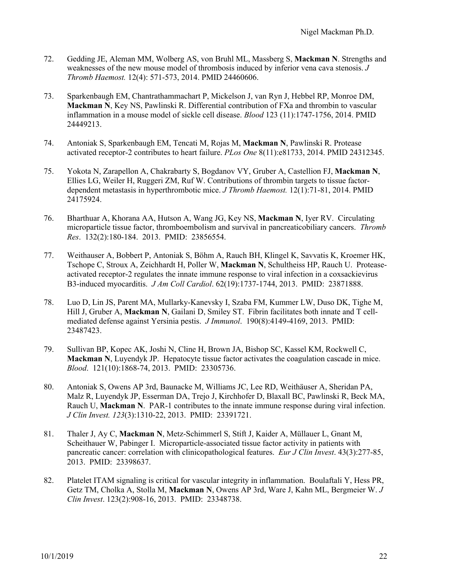- 72. Gedding JE, Aleman MM, Wolberg AS, von Bruhl ML, Massberg S, **Mackman N**. Strengths and weaknesses of the new mouse model of thrombosis induced by inferior vena cava stenosis. *J Thromb Haemost.* 12(4): 571-573, 2014. PMID 24460606.
- 73. Sparkenbaugh EM, Chantrathammachart P, Mickelson J, van Ryn J, Hebbel RP, Monroe DM, **Mackman N**, Key NS, Pawlinski R. Differential contribution of FXa and thrombin to vascular inflammation in a mouse model of sickle cell disease. *Blood* 123 (11):1747-1756, 2014. PMID 24449213.
- 74. Antoniak S, Sparkenbaugh EM, Tencati M, Rojas M, **Mackman N**, Pawlinski R. Protease activated receptor-2 contributes to heart failure. *PLos One* 8(11):e81733, 2014. PMID 24312345.
- 75. Yokota N, Zarapellon A, Chakrabarty S, Bogdanov VY, Gruber A, Castellion FJ, **Mackman N**, Ellies LG, Weiler H, Ruggeri ZM, Ruf W. Contributions of thrombin targets to tissue factordependent metastasis in hyperthrombotic mice. *J Thromb Haemost.* 12(1):71-81, 2014. PMID 24175924.
- 76. Bharthuar A, Khorana AA, Hutson A, Wang JG, Key NS, **Mackman N**, Iyer RV. Circulating microparticle tissue factor, thromboembolism and survival in pancreaticobiliary cancers. *Thromb Res*. 132(2):180-184. 2013. PMID: 23856554.
- 77. Weithauser A, Bobbert P, Antoniak S, Böhm A, Rauch BH, Klingel K, Savvatis K, Kroemer HK, Tschope C, Stroux A, Zeichhardt H, Poller W, **Mackman N**, Schultheiss HP, Rauch U. Proteaseactivated receptor-2 regulates the innate immune response to viral infection in a coxsackievirus B3-induced myocarditis. *J Am Coll Cardiol*. 62(19):1737-1744, 2013. PMID: 23871888.
- 78. Luo D, Lin JS, Parent MA, Mullarky-Kanevsky I, Szaba FM, Kummer LW, Duso DK, Tighe M, Hill J, Gruber A, **Mackman N**, Gailani D, Smiley ST. Fibrin facilitates both innate and T cellmediated defense against Yersinia pestis. *J Immunol*. 190(8):4149-4169, 2013. PMID: 23487423.
- 79. Sullivan BP, Kopec AK, Joshi N, Cline H, Brown JA, Bishop SC, Kassel KM, Rockwell C, **Mackman N**, Luyendyk JP. Hepatocyte tissue factor activates the coagulation cascade in mice. *Blood*. 121(10):1868-74, 2013. PMID: 23305736.
- 80. Antoniak S, Owens AP 3rd, Baunacke M, Williams JC, Lee RD, Weithäuser A, Sheridan PA, Malz R, Luyendyk JP, Esserman DA, Trejo J, Kirchhofer D, Blaxall BC, Pawlinski R, Beck MA, Rauch U, **Mackman N**. PAR-1 contributes to the innate immune response during viral infection. *J Clin Invest. 123*(3):1310-22, 2013. PMID: 23391721.
- 81. Thaler J, Ay C, **Mackman N**, Metz-Schimmerl S, Stift J, Kaider A, Müllauer L, Gnant M, Scheithauer W, Pabinger I. Microparticle-associated tissue factor activity in patients with pancreatic cancer: correlation with clinicopathological features. *Eur J Clin Invest*. 43(3):277-85, 2013. PMID: 23398637.
- 82. Platelet ITAM signaling is critical for vascular integrity in inflammation. Boulaftali Y, Hess PR, Getz TM, Cholka A, Stolla M, **Mackman N**, Owens AP 3rd, Ware J, Kahn ML, Bergmeier W. *J Clin Invest*. 123(2):908-16, 2013. PMID: 23348738.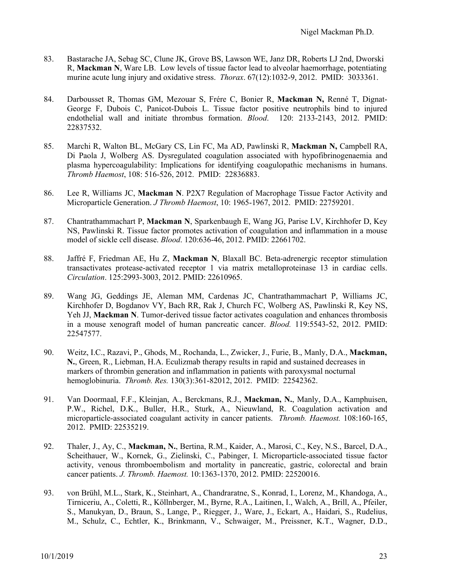- 83. Bastarache JA, Sebag SC, Clune JK, Grove BS, Lawson WE, Janz DR, Roberts LJ 2nd, Dworski R, **Mackman N**, Ware LB. Low levels of tissue factor lead to alveolar haemorrhage, potentiating murine acute lung injury and oxidative stress. *Thorax*. 67(12):1032-9, 2012. PMID: 3033361.
- 84. Darbousset R, Thomas GM, Mezouar S, Frére C, Bonier R, **Mackman N,** Renné T, Dignat-George F, Dubois C, Panicot-Dubois L. Tissue factor positive neutrophils bind to injured endothelial wall and initiate thrombus formation. *Blood*. 120: 2133-2143, 2012. PMID: 22837532.
- 85. Marchi R, Walton BL, McGary CS, Lin FC, Ma AD, Pawlinski R, **Mackman N,** Campbell RA, Di Paola J, Wolberg AS. Dysregulated coagulation associated with hypofibrinogenaemia and plasma hypercoagulability: Implications for identifying coagulopathic mechanisms in humans. *Thromb Haemost*, 108: 516-526, 2012. PMID: 22836883.
- 86. Lee R, Williams JC, **Mackman N**. P2X7 Regulation of Macrophage Tissue Factor Activity and Microparticle Generation. *J Thromb Haemost*, 10: 1965-1967, 2012. PMID: 22759201.
- 87. Chantrathammachart P, **Mackman N**, Sparkenbaugh E, Wang JG, Parise LV, Kirchhofer D, Key NS, Pawlinski R. Tissue factor promotes activation of coagulation and inflammation in a mouse model of sickle cell disease. *Blood*. 120:636-46, 2012. PMID: 22661702.
- 88. Jaffré F, Friedman AE, Hu Z, **Mackman N**, Blaxall BC. Beta-adrenergic receptor stimulation transactivates protease-activated receptor 1 via matrix metalloproteinase 13 in cardiac cells. *Circulation*. 125:2993-3003, 2012. PMID: 22610965.
- 89. Wang JG, Geddings JE, Aleman MM, Cardenas JC, Chantrathammachart P, Williams JC, Kirchhofer D, Bogdanov VY, Bach RR, Rak J, Church FC, Wolberg AS, Pawlinski R, Key NS, Yeh JJ. Mackman N. Tumor-derived tissue factor activates coagulation and enhances thrombosis in a mouse xenograft model of human pancreatic cancer. *Blood.* 119:5543-52, 2012. PMID: 22547577.
- 90. Weitz, I.C., Razavi, P., Ghods, M., Rochanda, L., Zwicker, J., Furie, B., Manly, D.A., **Mackman, N.**, Green, R., Liebman, H.A. Eculizmab therapy results in rapid and sustained decreases in markers of thrombin generation and inflammation in patients with paroxysmal nocturnal hemoglobinuria. *Thromb. Res.* 130(3):361-82012, 2012. PMID: 22542362.
- 91. Van Doormaal, F.F., Kleinjan, A., Berckmans, R.J., **Mackman, N.**, Manly, D.A., Kamphuisen, P.W., Richel, D.K., Buller, H.R., Sturk, A., Nieuwland, R. Coagulation activation and microparticle-associated coagulant activity in cancer patients. *Thromb. Haemost.* 108:160-165, 2012. PMID: 22535219.
- 92. Thaler, J., Ay, C., **Mackman, N.**, Bertina, R.M., Kaider, A., Marosi, C., Key, N.S., Barcel, D.A., Scheithauer, W., Kornek, G., Zielinski, C., Pabinger, I. Microparticle-associated tissue factor activity, venous thromboembolism and mortality in pancreatic, gastric, colorectal and brain cancer patients. *J. Thromb. Haemost.* 10:1363-1370, 2012. PMID: 22520016.
- 93. von Brühl, M.L., Stark, K., Steinhart, A., Chandraratne, S., Konrad, I., Lorenz, M., Khandoga, A., Tirniceriu, A., Coletti, R., Köllnberger, M., Byrne, R.A., Laitinen, I., Walch, A., Brill, A., Pfeiler, S., Manukyan, D., Braun, S., Lange, P., Riegger, J., Ware, J., Eckart, A., Haidari, S., Rudelius, M., Schulz, C., Echtler, K., Brinkmann, V., Schwaiger, M., Preissner, K.T., Wagner, D.D.,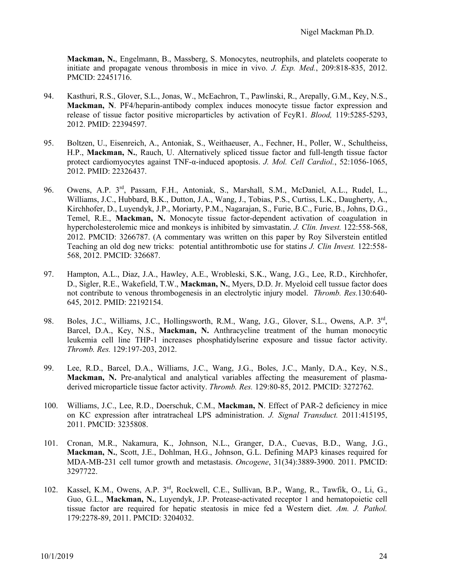**Mackman, N.**, Engelmann, B., Massberg, S. Monocytes, neutrophils, and platelets cooperate to initiate and propagate venous thrombosis in mice in vivo. *J. Exp. Med.*, 209:818-835, 2012. PMCID: 22451716.

- 94. Kasthuri, R.S., Glover, S.L., Jonas, W., McEachron, T., Pawlinski, R., Arepally, G.M., Key, N.S., **Mackman, N**. PF4/heparin-antibody complex induces monocyte tissue factor expression and release of tissue factor positive microparticles by activation of FcyR1. *Blood,* 119:5285-5293, 2012. PMID: 22394597.
- 95. Boltzen, U., Eisenreich, A., Antoniak, S., Weithaeuser, A., Fechner, H., Poller, W., Schultheiss, H.P., **Mackman, N.**, Rauch, U. Alternatively spliced tissue factor and full-length tissue factor protect cardiomyocytes against TNF-α-induced apoptosis. *J. Mol. Cell Cardiol.*, 52:1056-1065, 2012. PMID: 22326437.
- 96. Owens, A.P. 3<sup>rd</sup>, Passam, F.H., Antoniak, S., Marshall, S.M., McDaniel, A.L., Rudel, L., Williams, J.C., Hubbard, B.K., Dutton, J.A., Wang, J., Tobias, P.S., Curtiss, L.K., Daugherty, A., Kirchhofer, D., Luyendyk, J.P., Moriarty, P.M., Nagarajan, S., Furie, B.C., Furie, B., Johns, D.G., Temel, R.E., **Mackman, N.** Monocyte tissue factor-dependent activation of coagulation in hypercholesterolemic mice and monkeys is inhibited by simvastatin. *J. Clin. Invest.* 122:558-568, 2012. PMCID: 3266787. (A commentary was written on this paper by Roy Silverstein entitled Teaching an old dog new tricks: potential antithrombotic use for statins *J. Clin Invest.* 122:558- 568, 2012. PMCID: 326687.
- 97. Hampton, A.L., Diaz, J.A., Hawley, A.E., Wrobleski, S.K., Wang, J.G., Lee, R.D., Kirchhofer, D., Sigler, R.E., Wakefield, T.W., **Mackman, N.**, Myers, D.D. Jr. Myeloid cell tussue factor does not contribute to venous thrombogenesis in an electrolytic injury model. *Thromb. Res.*130:640- 645, 2012. PMID: 22192154.
- 98. Boles, J.C., Williams, J.C., Hollingsworth, R.M., Wang, J.G., Glover, S.L., Owens, A.P. 3rd, Barcel, D.A., Key, N.S., **Mackman, N.** Anthracycline treatment of the human monocytic leukemia cell line THP-1 increases phosphatidylserine exposure and tissue factor activity. *Thromb. Res.* 129:197-203, 2012.
- 99. Lee, R.D., Barcel, D.A., Williams, J.C., Wang, J.G., Boles, J.C., Manly, D.A., Key, N.S., **Mackman, N.** Pre-analytical and analytical variables affecting the measurement of plasmaderived microparticle tissue factor activity. *Thromb. Res.* 129:80-85, 2012. PMCID: 3272762.
- 100. Williams, J.C., Lee, R.D., Doerschuk, C.M., **Mackman, N**. Effect of PAR-2 deficiency in mice on KC expression after intratracheal LPS administration. *J. Signal Transduct.* 2011:415195, 2011. PMCID: 3235808.
- 101. Cronan, M.R., Nakamura, K., Johnson, N.L., Granger, D.A., Cuevas, B.D., Wang, J.G., **Mackman, N.**, Scott, J.E., Dohlman, H.G., Johnson, G.L. Defining MAP3 kinases required for MDA-MB-231 cell tumor growth and metastasis. *Oncogene*, 31(34):3889-3900. 2011. PMCID: 3297722.
- 102. Kassel, K.M., Owens, A.P. 3rd, Rockwell, C.E., Sullivan, B.P., Wang, R., Tawfik, O., Li, G., Guo, G.L., **Mackman, N.**, Luyendyk, J.P. Protease-activated receptor 1 and hematopoietic cell tissue factor are required for hepatic steatosis in mice fed a Western diet. *Am. J. Pathol.*  179:2278-89, 2011. PMCID: 3204032.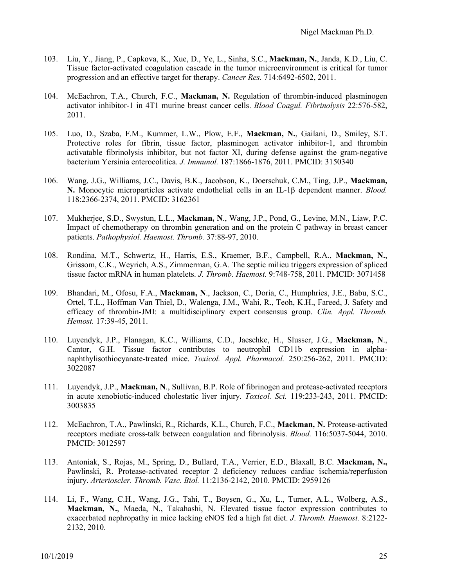- 103. Liu, Y., Jiang, P., Capkova, K., Xue, D., Ye, L., Sinha, S.C., **Mackman, N.**, Janda, K.D., Liu, C. Tissue factor-activated coagulation cascade in the tumor microenvironment is critical for tumor progression and an effective target for therapy. *Cancer Res.* 714:6492-6502, 2011.
- 104. McEachron, T.A., Church, F.C., **Mackman, N.** Regulation of thrombin-induced plasminogen activator inhibitor-1 in 4T1 murine breast cancer cells. *Blood Coagul. Fibrinolysis* 22:576-582, 2011.
- 105. Luo, D., Szaba, F.M., Kummer, L.W., Plow, E.F., **Mackman, N.**, Gailani, D., Smiley, S.T. Protective roles for fibrin, tissue factor, plasminogen activator inhibitor-1, and thrombin activatable fibrinolysis inhibitor, but not factor XI, during defense against the gram-negative bacterium Yersinia enterocolitica. *J. Immunol.* 187:1866-1876, 2011. PMCID: 3150340
- 106. Wang, J.G., Williams, J.C., Davis, B.K., Jacobson, K., Doerschuk, C.M., Ting, J.P., **Mackman, N.** Monocytic microparticles activate endothelial cells in an IL-1β dependent manner. *Blood.* 118:2366-2374, 2011. PMCID: 3162361
- 107. Mukherjee, S.D., Swystun, L.L., **Mackman, N**., Wang, J.P., Pond, G., Levine, M.N., Liaw, P.C. Impact of chemotherapy on thrombin generation and on the protein C pathway in breast cancer patients. *Pathophysiol. Haemost. Thromb.* 37:88-97, 2010.
- 108. Rondina, M.T., Schwertz, H., Harris, E.S., Kraemer, B.F., Campbell, R.A., **Mackman, N.**, Grissom, C.K., Weyrich, A.S., Zimmerman, G.A*.* The septic milieu triggers expression of spliced tissue factor mRNA in human platelets. *J. Thromb. Haemost.* 9:748-758, 2011. PMCID: 3071458
- 109. Bhandari, M., Ofosu, F.A., **Mackman, N**., Jackson, C., Doria, C., Humphries, J.E., Babu, S.C., Ortel, T.L., Hoffman Van Thiel, D., Walenga, J.M., Wahi, R., Teoh, K.H., Fareed, J. Safety and efficacy of thrombin-JMI: a multidisciplinary expert consensus group. *Clin. Appl. Thromb. Hemost.* 17:39-45, 2011.
- 110. Luyendyk, J.P., Flanagan, K.C., Williams, C.D., Jaeschke, H., Slusser, J.G., **Mackman, N**., Cantor, G.H. Tissue factor contributes to neutrophil CD11b expression in alphanaphthylisothiocyanate-treated mice. *Toxicol. Appl. Pharmacol.* 250:256-262, 2011. PMCID: 3022087
- 111. Luyendyk, J.P., **Mackman, N**., Sullivan, B.P. Role of fibrinogen and protease-activated receptors in acute xenobiotic-induced cholestatic liver injury. *Toxicol. Sci.* 119:233-243, 2011. PMCID: 3003835
- 112. McEachron, T.A., Pawlinski, R., Richards, K.L., Church, F.C., **Mackman, N.** Protease-activated receptors mediate cross-talk between coagulation and fibrinolysis. *Blood.* 116:5037-5044, 2010. PMCID: 3012597
- 113. Antoniak, S., Rojas, M., Spring, D., Bullard, T.A., Verrier, E.D., Blaxall, B.C. **Mackman, N.,** Pawlinski, R. Protease-activated receptor 2 deficiency reduces cardiac ischemia/reperfusion injury. *Arterioscler. Thromb. Vasc. Biol.* 11:2136-2142, 2010. PMCID: 2959126
- 114. Li, F., Wang, C.H., Wang, J.G., Tahi, T., Boysen, G., Xu, L., Turner, A.L., Wolberg, A.S., **Mackman, N.**, Maeda, N., Takahashi, N. Elevated tissue factor expression contributes to exacerbated nephropathy in mice lacking eNOS fed a high fat diet. *J*. *Thromb. Haemost.* 8:2122- 2132, 2010.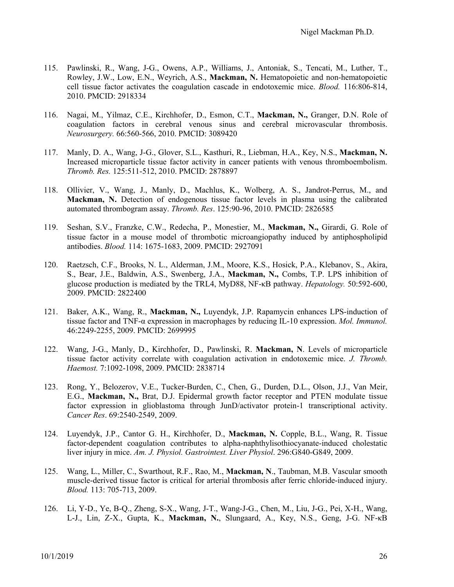- 115. Pawlinski, R., Wang, J-G., Owens, A.P., Williams, J., Antoniak, S., Tencati, M., Luther, T., Rowley, J.W., Low, E.N., Weyrich, A.S., **Mackman, N.** Hematopoietic and non-hematopoietic cell tissue factor activates the coagulation cascade in endotoxemic mice. *Blood.* 116:806-814, 2010. PMCID: 2918334
- 116. Nagai, M., Yilmaz, C.E., Kirchhofer, D., Esmon, C.T., **Mackman, N.,** Granger, D.N. Role of coagulation factors in cerebral venous sinus and cerebral microvascular thrombosis. *Neurosurgery.* 66:560-566, 2010. PMCID: 3089420
- 117. Manly, D. A., Wang, J-G., Glover, S.L., Kasthuri, R., Liebman, H.A., Key, N.S., **Mackman, N.**  Increased microparticle tissue factor activity in cancer patients with venous thromboembolism. *Thromb. Res.* 125:511-512, 2010. PMCID: 2878897
- 118. Ollivier, V., Wang, J., Manly, D., Machlus, K., Wolberg, A. S., Jandrot-Perrus, M., and **Mackman, N.** Detection of endogenous tissue factor levels in plasma using the calibrated automated thrombogram assay. *Thromb. Res*. 125:90-96, 2010. PMCID: 2826585
- 119. Seshan, S.V., Franzke, C.W., Redecha, P., Monestier, M., **Mackman, N.,** Girardi, G. Role of tissue factor in a mouse model of thrombotic microangiopathy induced by antiphospholipid antibodies. *Blood.* 114: 1675-1683, 2009. PMCID: 2927091
- 120. Raetzsch, C.F., Brooks, N. L., Alderman, J.M., Moore, K.S., Hosick, P.A., Klebanov, S., Akira, S., Bear, J.E., Baldwin, A.S., Swenberg, J.A., **Mackman, N.,** Combs, T.P. LPS inhibition of glucose production is mediated by the TRL4, MyD88, NF-κB pathway. *Hepatology.* 50:592-600, 2009. PMCID: 2822400
- 121. Baker, A.K., Wang, R., **Mackman, N.,** Luyendyk, J.P. Rapamycin enhances LPS-induction of tissue factor and TNF-α expression in macrophages by reducing IL-10 expression. *Mol. Immunol.* 46:2249-2255, 2009. PMCID: 2699995
- 122. Wang, J-G., Manly, D., Kirchhofer, D., Pawlinski, R. **Mackman, N**. Levels of microparticle tissue factor activity correlate with coagulation activation in endotoxemic mice. *J. Thromb. Haemost.* 7:1092-1098, 2009. PMCID: 2838714
- 123. Rong, Y., Belozerov, V.E., Tucker-Burden, C., Chen, G., Durden, D.L., Olson, J.J., Van Meir, E.G., **Mackman, N.,** Brat, D.J. Epidermal growth factor receptor and PTEN modulate tissue factor expression in glioblastoma through JunD/activator protein-1 transcriptional activity. *Cancer Res*. 69:2540-2549, 2009.
- 124. Luyendyk, J.P., Cantor G. H., Kirchhofer, D., **Mackman, N.** Copple, B.L., Wang, R. Tissue factor-dependent coagulation contributes to alpha-naphthylisothiocyanate-induced cholestatic liver injury in mice. *Am. J. Physiol. Gastrointest. Liver Physiol*. 296:G840-G849, 2009.
- 125. Wang, L., Miller, C., Swarthout, R.F., Rao, M., **Mackman, N**., Taubman, M.B. Vascular smooth muscle-derived tissue factor is critical for arterial thrombosis after ferric chloride-induced injury. *Blood.* 113: 705-713, 2009.
- 126. Li, Y-D., Ye, B-Q., Zheng, S-X., Wang, J-T., Wang-J-G., Chen, M., Liu, J-G., Pei, X-H., Wang, L-J., Lin, Z-X., Gupta, K., **Mackman, N.**, Slungaard, A., Key, N.S., Geng, J-G. NF-κB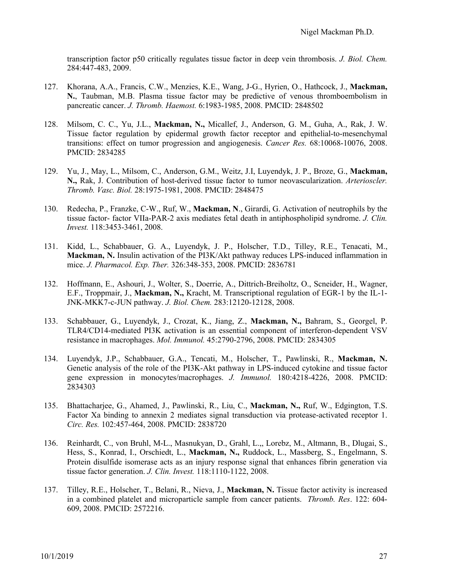transcription factor p50 critically regulates tissue factor in deep vein thrombosis. *J. Biol. Chem.*  284:447-483, 2009.

- 127. Khorana, A.A., Francis, C.W., Menzies, K.E., Wang, J-G., Hyrien, O., Hathcock, J., **Mackman, N.**, Taubman, M.B. Plasma tissue factor may be predictive of venous thromboembolism in pancreatic cancer. *J. Thromb. Haemost.* 6:1983-1985, 2008. PMCID: 2848502
- 128. Milsom, C. C., Yu, J.L., **Mackman, N.,** Micallef, J., Anderson, G. M., Guha, A., Rak, J. W. Tissue factor regulation by epidermal growth factor receptor and epithelial-to-mesenchymal transitions: effect on tumor progression and angiogenesis. *Cancer Res.* 68:10068-10076, 2008. PMCID: 2834285
- 129. Yu, J., May, L., Milsom, C., Anderson, G.M., Weitz, J.I, Luyendyk, J. P., Broze, G., **Mackman, N.,** Rak, J. Contribution of host-derived tissue factor to tumor neovascularization. *Arterioscler. Thromb. Vasc. Biol.* 28:1975-1981, 2008. PMCID: 2848475
- 130. Redecha, P., Franzke, C-W., Ruf, W., **Mackman, N**., Girardi, G. Activation of neutrophils by the tissue factor- factor VIIa-PAR-2 axis mediates fetal death in antiphospholipid syndrome. *J. Clin. Invest.* 118:3453-3461, 2008.
- 131. Kidd, L., Schabbauer, G. A., Luyendyk, J. P., Holscher, T.D., Tilley, R.E., Tenacati, M., **Mackman, N.** Insulin activation of the PI3K/Akt pathway reduces LPS-induced inflammation in mice. *J. Pharmacol. Exp. Ther.* 326:348-353, 2008. PMCID: 2836781
- 132. Hoffmann, E., Ashouri, J., Wolter, S., Doerrie, A., Dittrich-Breiholtz, O., Scneider, H., Wagner, E.F., Troppmair, J., **Mackman, N.,** Kracht, M. Transcriptional regulation of EGR-1 by the IL-1- JNK-MKK7-c-JUN pathway. *J. Biol. Chem.* 283:12120-12128, 2008.
- 133. Schabbauer, G., Luyendyk, J., Crozat, K., Jiang, Z., **Mackman, N.,** Bahram, S., Georgel, P. TLR4/CD14-mediated PI3K activation is an essential component of interferon-dependent VSV resistance in macrophages. *Mol. Immunol.* 45:2790-2796, 2008. PMCID: 2834305
- 134. Luyendyk, J.P., Schabbauer, G.A., Tencati, M., Holscher, T., Pawlinski, R., **Mackman, N.** Genetic analysis of the role of the PI3K-Akt pathway in LPS-induced cytokine and tissue factor gene expression in monocytes/macrophages. *J. Immunol.* 180:4218-4226, 2008. PMCID: 2834303
- 135. Bhattacharjee, G., Ahamed, J., Pawlinski, R., Liu, C., **Mackman, N.,** Ruf, W., Edgington, T.S. Factor Xa binding to annexin 2 mediates signal transduction via protease-activated receptor 1. *Circ. Res.* 102:457-464, 2008. PMCID: 2838720
- 136. Reinhardt, C., von Bruhl, M-L., Masnukyan, D., Grahl, L.,, Lorebz, M., Altmann, B., Dlugai, S., Hess, S., Konrad, I., Orschiedt, L., **Mackman, N.,** Ruddock, L., Massberg, S., Engelmann, S. Protein disulfide isomerase acts as an injury response signal that enhances fibrin generation via tissue factor generation. *J. Clin. Invest.* 118:1110-1122, 2008.
- 137. Tilley, R.E., Holscher, T., Belani, R., Nieva, J., **Mackman, N.** Tissue factor activity is increased in a combined platelet and microparticle sample from cancer patients. *Thromb. Res*. 122: 604- 609, 2008. PMCID: 2572216.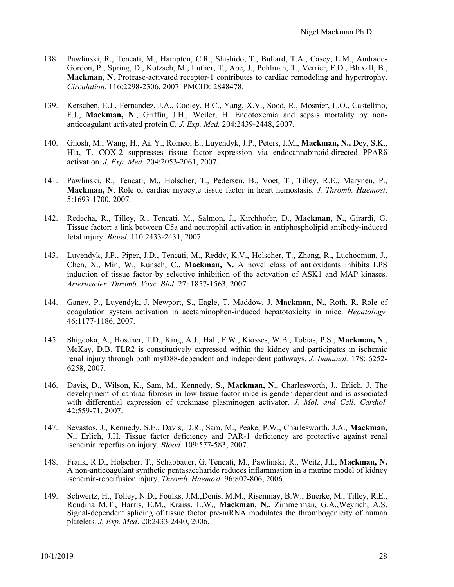- 138. Pawlinski, R., Tencati, M., Hampton, C.R., Shishido, T., Bullard, T.A., Casey, L.M., Andrade-Gordon, P., Spring, D., Kotzsch, M., Luther, T., Abe, J., Pohlman, T., Verrier, E.D., Blaxall, B., **Mackman, N.** Protease-activated receptor-1 contributes to cardiac remodeling and hypertrophy. *Circulation.* 116:2298-2306, 2007. PMCID: 2848478.
- 139. Kerschen, E.J., Fernandez, J.A., Cooley, B.C., Yang, X.V., Sood, R., Mosnier, L.O., Castellino, F.J., **Mackman, N**., Griffin, J.H., Weiler, H. Endotoxemia and sepsis mortality by nonanticoagulant activated protein C*. J. Exp. Med.* 204:2439-2448, 2007.
- 140. Ghosh, M., Wang, H., Ai, Y., Romeo, E., Luyendyk, J.P., Peters, J.M., **Mackman, N.,** Dey, S.K., Hla, T. COX-2 suppresses tissue factor expression via endocannabinoid-directed PPARδ activation. *J. Exp. Med.* 204:2053-2061, 2007.
- 141. Pawlinski, R., Tencati, M., Holscher, T., Pedersen, B., Voet, T., Tilley, R.E., Marynen, P., **Mackman, N**. Role of cardiac myocyte tissue factor in heart hemostasis. *J. Thromb. Haemost*. 5:1693-1700, 2007*.*
- 142. Redecha, R., Tilley, R., Tencati, M., Salmon, J., Kirchhofer, D., **Mackman, N.,** Girardi, G. Tissue factor: a link between C5a and neutrophil activation in antiphospholipid antibody-induced fetal injury. *Blood.* 110:2433-2431, 2007.
- 143. Luyendyk, J.P., Piper, J.D., Tencati, M., Reddy, K.V., Holscher, T., Zhang, R., Luchoomun, J., Chen, X., Min, W., Kunsch, C., **Mackman, N.** A novel class of antioxidants inhibits LPS induction of tissue factor by selective inhibition of the activation of ASK1 and MAP kinases. *Arterioscler. Thromb. Vasc. Biol.* 27: 1857-1563, 2007.
- 144. Ganey, P., Luyendyk, J. Newport, S., Eagle, T. Maddow, J. **Mackman, N.,** Roth, R. Role of coagulation system activation in acetaminophen-induced hepatotoxicity in mice. *Hepatology.* 46:1177-1186, 2007.
- 145. Shigeoka, A., Hoscher, T.D., King, A.J., Hall, F.W., Kiosses, W.B., Tobias, P.S., **Mackman, N**., McKay, D.B. TLR2 is constitutively expressed within the kidney and participates in ischemic renal injury through both myD88-dependent and independent pathways. *J. Immunol.* 178: 6252- 6258, 2007*.*
- 146. Davis, D., Wilson, K., Sam, M., Kennedy, S., **Mackman, N**., Charlesworth, J., Erlich, J. The development of cardiac fibrosis in low tissue factor mice is gender-dependent and is associated with differential expression of urokinase plasminogen activator. *J. Mol. and Cell. Cardiol.* 42:559-71, 2007.
- 147. Sevastos, J., Kennedy, S.E., Davis, D.R., Sam, M., Peake, P.W., Charlesworth, J.A., **Mackman, N.**, Erlich, J.H. Tissue factor deficiency and PAR-1 deficiency are protective against renal ischemia reperfusion injury. *Blood.* 109:577-583, 2007.
- 148. Frank, R.D., Holscher, T., Schabbauer, G. Tencati, M., Pawlinski, R., Weitz, J.I., **Mackman, N.** A non-anticoagulant synthetic pentasaccharide reduces inflammation in a murine model of kidney ischemia-reperfusion injury. *Thromb. Haemost.* 96:802-806, 2006.
- 149. Schwertz, H., Tolley, N.D., Foulks, J.M.,Denis, M.M., Risenmay, B.W., Buerke, M., Tilley, R.E., Rondina M.T., Harris, E.M., Kraiss, L.W., **Mackman, N.,** Zimmerman, G.A.,Weyrich, A.S. Signal-dependent splicing of tissue factor pre-mRNA modulates the thrombogenicity of human platelets. *J. Exp. Med*. 20:2433-2440, 2006.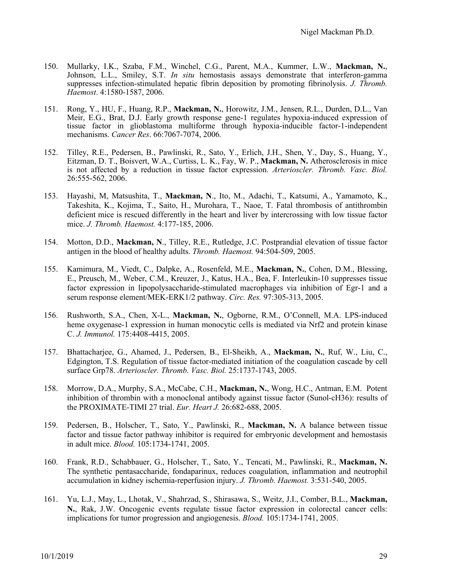- 150. Mullarky, I.K., Szaba, F.M., Winchel, C.G., Parent, M.A., Kummer, L.W., **Mackman, N.**, Johnson, L.L., Smiley, S.T. *In situ* hemostasis assays demonstrate that interferon-gamma suppresses infection-stimulated hepatic fibrin deposition by promoting fibrinolysis. *J. Thromb. Haemost*. 4:1580-1587, 2006.
- 151. Rong, Y., HU, F., Huang, R.P., **Mackman, N.**, Horowitz, J.M., Jensen, R.L., Durden, D.L., Van Meir, E.G., Brat, D.J. Early growth response gene-1 regulates hypoxia-induced expression of tissue factor in glioblastoma multiforme through hypoxia-inducible factor-1-independent mechanisms. *Cancer Res*. 66:7067-7074, 2006*.*
- 152. Tilley, R.E., Pedersen, B., Pawlinski, R., Sato, Y., Erlich, J.H., Shen, Y., Day, S., Huang, Y., Eitzman, D. T., Boisvert, W.A., Curtiss, L. K., Fay, W. P., **Mackman, N.** Atherosclerosis in mice is not affected by a reduction in tissue factor expression. *Arterioscler. Thromb. Vasc. Biol.* 26:555-562, 2006.
- 153. Hayashi, M, Matsushita, T., **Mackman, N**., Ito, M., Adachi, T., Katsumi, A., Yamamoto, K., Takeshita, K., Kojima, T., Saito, H., Murohara, T., Naoe, T. Fatal thrombosis of antithrombin deficient mice is rescued differently in the heart and liver by intercrossing with low tissue factor mice. *J. Thromb. Haemost.* 4:177-185, 2006.
- 154. Motton, D.D., **Mackman, N**., Tilley, R.E., Rutledge, J.C. Postprandial elevation of tissue factor antigen in the blood of healthy adults. *Thromb. Haemost.* 94:504-509, 2005.
- 155. Kamimura, M., Viedt, C., Dalpke, A., Rosenfeld, M.E., **Mackman, N.**, Cohen, D.M., Blessing, E., Preusch, M., Weber, C.M., Kreuzer, J., Katus, H.A., Bea, F. Interleukin-10 suppresses tissue factor expression in lipopolysaccharide-stimulated macrophages via inhibition of Egr-1 and a serum response element/MEK-ERK1/2 pathway. *Circ. Res.* 97:305-313, 2005.
- 156. Rushworth, S.A., Chen, X-L., **Mackman, N.**, Ogborne, R.M., O'Connell, M.A. LPS-induced heme oxygenase-1 expression in human monocytic cells is mediated via Nrf2 and protein kinase C. *J. Immunol.* 175:4408-4415, 2005.
- 157. Bhattacharjee, G., Ahamed, J., Pedersen, B., El-Sheikh, A., **Mackman, N.**, Ruf, W., Liu, C., Edgington, T.S. Regulation of tissue factor-mediated initiation of the coagulation cascade by cell surface Grp78. *Arterioscler. Thromb. Vasc. Biol.* 25:1737-1743, 2005.
- 158. Morrow, D.A., Murphy, S.A., McCabe, C.H., **Mackman, N.**, Wong, H.C., Antman, E.M. Potent inhibition of thrombin with a monoclonal antibody against tissue factor (Sunol-cH36): results of the PROXIMATE-TIMI 27 trial. *Eur. Heart J.* 26:682-688, 2005.
- 159. Pedersen, B., Holscher, T., Sato, Y., Pawlinski, R., **Mackman, N.** A balance between tissue factor and tissue factor pathway inhibitor is required for embryonic development and hemostasis in adult mice. *Blood.* 105:1734-1741, 2005.
- 160. Frank, R.D., Schabbauer, G., Holscher, T., Sato, Y., Tencati, M., Pawlinski, R., **Mackman, N.** The synthetic pentasaccharide, fondaparinux, reduces coagulation, inflammation and neutrophil accumulation in kidney ischemia-reperfusion injury. *J. Thromb. Haemost.* 3:531-540, 2005.
- 161. Yu, L.J., May, L., Lhotak, V., Shahrzad, S., Shirasawa, S., Weitz, J.I., Comber, B.L., **Mackman, N.**, Rak, J.W. Oncogenic events regulate tissue factor expression in colorectal cancer cells: implications for tumor progression and angiogenesis. *Blood.* 105:1734-1741, 2005.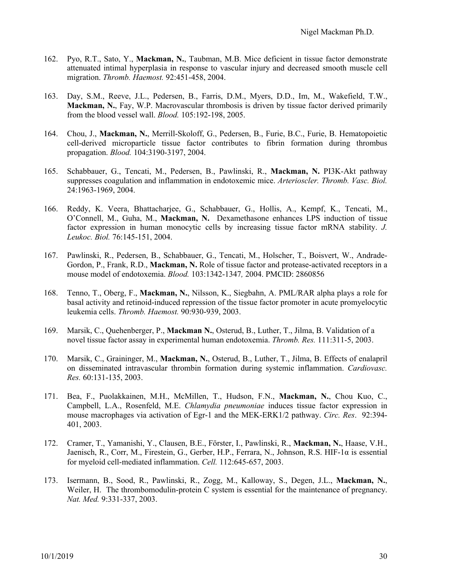- 162. Pyo, R.T., Sato, Y., **Mackman, N.**, Taubman, M.B. Mice deficient in tissue factor demonstrate attenuated intimal hyperplasia in response to vascular injury and decreased smooth muscle cell migration. *Thromb. Haemost.* 92:451-458, 2004.
- 163. Day, S.M., Reeve, J.L., Pedersen, B., Farris, D.M., Myers, D.D., Im, M., Wakefield, T.W., **Mackman, N.**, Fay, W.P. Macrovascular thrombosis is driven by tissue factor derived primarily from the blood vessel wall. *Blood.* 105:192-198, 2005.
- 164. Chou, J., **Mackman, N.**, Merrill-Skoloff, G., Pedersen, B., Furie, B.C., Furie, B. Hematopoietic cell-derived microparticle tissue factor contributes to fibrin formation during thrombus propagation. *Blood.* 104:3190-3197, 2004.
- 165. Schabbauer, G., Tencati, M., Pedersen, B., Pawlinski, R., **Mackman, N.** PI3K-Akt pathway suppresses coagulation and inflammation in endotoxemic mice. *Arterioscler. Thromb. Vasc. Biol.*  24:1963-1969, 2004.
- 166. Reddy, K. Veera, Bhattacharjee, G., Schabbauer, G., Hollis, A., Kempf, K., Tencati, M., O'Connell, M., Guha, M., **Mackman, N.** Dexamethasone enhances LPS induction of tissue factor expression in human monocytic cells by increasing tissue factor mRNA stability. *J. Leukoc. Biol.* 76:145-151, 2004.
- 167. Pawlinski, R., Pedersen, B., Schabbauer, G., Tencati, M., Holscher, T., Boisvert, W., Andrade-Gordon, P., Frank, R.D., **Mackman, N.** Role of tissue factor and protease-activated receptors in a mouse model of endotoxemia. *Blood.* 103:1342-1347*,* 2004. PMCID: 2860856
- 168. Tenno, T., Oberg, F., **Mackman, N.**, Nilsson, K., Siegbahn, A. PML/RAR alpha plays a role for basal activity and retinoid-induced repression of the tissue factor promoter in acute promyelocytic leukemia cells. *Thromb. Haemost.* 90:930-939, 2003.
- 169. Marsik, C., Quehenberger, P., **Mackman N.**, Osterud, B., Luther, T., Jilma, B. Validation of a novel tissue factor assay in experimental human endotoxemia. *Thromb. Res.* 111:311-5, 2003.
- 170. Marsik, C., Graininger, M., **Mackman, N.**, Osterud, B., Luther, T., Jilma, B. Effects of enalapril on disseminated intravascular thrombin formation during systemic inflammation. *Cardiovasc. Res.* 60:131-135, 2003.
- 171. Bea, F., Puolakkainen, M.H., McMillen, T., Hudson, F.N., **Mackman, N.**, Chou Kuo, C., Campbell, L.A., Rosenfeld, M.E. *Chlamydia pneumoniae* induces tissue factor expression in mouse macrophages via activation of Egr-1 and the MEK-ERK1/2 pathway. *Circ. Res*. 92:394- 401, 2003.
- 172. Cramer, T., Yamanishi, Y., Clausen, B.E., Förster, I., Pawlinski, R., **Mackman, N.**, Haase, V.H., Jaenisch, R., Corr, M., Firestein, G., Gerber, H.P., Ferrara, N., Johnson, R.S. HIF-1α is essential for myeloid cell-mediated inflammation. *Cell.* 112:645-657, 2003.
- 173. Isermann, B., Sood, R., Pawlinski, R., Zogg, M., Kalloway, S., Degen, J.L., **Mackman, N.**, Weiler, H. The thrombomodulin-protein C system is essential for the maintenance of pregnancy. *Nat. Med.* 9:331-337, 2003.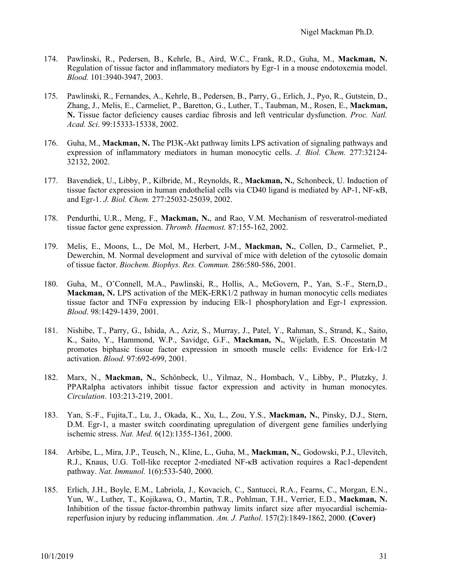- 174. Pawlinski, R., Pedersen, B., Kehrle, B., Aird, W.C., Frank, R.D., Guha, M., **Mackman, N.** Regulation of tissue factor and inflammatory mediators by Egr-1 in a mouse endotoxemia model. *Blood.* 101:3940-3947, 2003.
- 175. Pawlinski, R., Fernandes, A., Kehrle, B., Pedersen, B., Parry, G., Erlich, J., Pyo, R., Gutstein, D., Zhang, J., Melis, E., Carmeliet, P., Baretton, G., Luther, T., Taubman, M., Rosen, E., **Mackman, N.** Tissue factor deficiency causes cardiac fibrosis and left ventricular dysfunction. *Proc. Natl. Acad. Sci*. 99:15333-15338, 2002.
- 176. Guha, M., **Mackman, N.** The PI3K-Akt pathway limits LPS activation of signaling pathways and expression of inflammatory mediators in human monocytic cells. *J. Biol. Chem.* 277:32124- 32132, 2002.
- 177. Bavendiek, U., Libby, P., Kilbride, M., Reynolds, R., **Mackman, N.**, Schonbeck, U. Induction of tissue factor expression in human endothelial cells via CD40 ligand is mediated by AP-1, NF-κB, and Egr-1. *J. Biol. Chem.* 277:25032-25039, 2002.
- 178. Pendurthi, U.R., Meng, F., **Mackman, N.**, and Rao, V.M. Mechanism of resveratrol-mediated tissue factor gene expression. *Thromb. Haemost.* 87:155-162, 2002.
- 179. Melis, E., Moons, L., De Mol, M., Herbert, J-M., **Mackman, N.**, Collen, D., Carmeliet, P., Dewerchin, M. Normal development and survival of mice with deletion of the cytosolic domain of tissue factor. *Biochem. Biophys. Res. Commun.* 286:580-586, 2001.
- 180. Guha, M., O'Connell, M.A., Pawlinski, R., Hollis, A., McGovern, P., Yan, S.-F., Stern,D., **Mackman, N.** LPS activation of the MEK-ERK1/2 pathway in human monocytic cells mediates tissue factor and TNF $\alpha$  expression by inducing Elk-1 phosphorylation and Egr-1 expression. *Blood*. 98:1429-1439, 2001.
- 181. Nishibe, T., Parry, G., Ishida, A., Aziz, S., Murray, J., Patel, Y., Rahman, S., Strand, K., Saito, K., Saito, Y., Hammond, W.P., Savidge, G.F., **Mackman, N.**, Wijelath, E.S. Oncostatin M promotes biphasic tissue factor expression in smooth muscle cells: Evidence for Erk-1/2 activation. *Blood*. 97:692-699, 2001.
- 182. Marx, N., **Mackman, N.**, Schönbeck, U., Yilmaz, N., Hombach, V., Libby, P., Plutzky, J. PPARalpha activators inhibit tissue factor expression and activity in human monocytes. *Circulation*. 103:213-219, 2001.
- 183. Yan, S.-F., Fujita,T., Lu, J., Okada, K., Xu, L., Zou, Y.S., **Mackman, N.**, Pinsky, D.J., Stern, D.M. Egr-1, a master switch coordinating upregulation of divergent gene families underlying ischemic stress. *Nat. Med.* 6(12):1355-1361, 2000.
- 184. Arbibe, L., Mira, J.P., Teusch, N., Kline, L., Guha, M., **Mackman, N.**, Godowski, P.J., Ulevitch, R.J., Knaus, U.G. Toll-like receptor 2-mediated NF-κB activation requires a Rac1-dependent pathway. *Nat. Immunol.* 1(6):533-540, 2000.
- 185. Erlich, J.H., Boyle, E.M., Labriola, J., Kovacich, C., Santucci, R.A., Fearns, C., Morgan, E.N., Yun, W., Luther, T., Kojikawa, O., Martin, T.R., Pohlman, T.H., Verrier, E.D., **Mackman, N.** Inhibition of the tissue factor-thrombin pathway limits infarct size after myocardial ischemiareperfusion injury by reducing inflammation. *Am. J. Pathol*. 157(2):1849-1862, 2000. **(Cover)**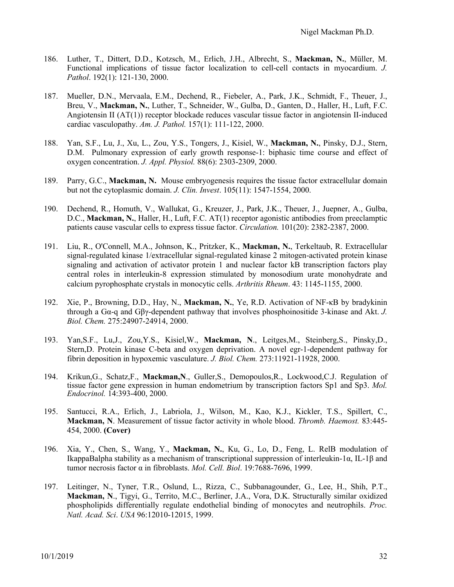- 186. Luther, T., Dittert, D.D., Kotzsch, M., Erlich, J.H., Albrecht, S., **Mackman, N.**, Müller, M. Functional implications of tissue factor localization to cell-cell contacts in myocardium. *J. Pathol*. 192(1): 121-130, 2000.
- 187. Mueller, D.N., Mervaala, E.M., Dechend, R., Fiebeler, A., Park, J.K., Schmidt, F., Theuer, J., Breu, V., **Mackman, N.**, Luther, T., Schneider, W., Gulba, D., Ganten, D., Haller, H., Luft, F.C. Angiotensin II (AT(1)) receptor blockade reduces vascular tissue factor in angiotensin II-induced cardiac vasculopathy. *Am. J. Pathol.* 157(1): 111-122, 2000.
- 188. Yan, S.F., Lu, J., Xu, L., Zou, Y.S., Tongers, J., Kisiel, W., **Mackman, N.**, Pinsky, D.J., Stern, D.M. Pulmonary expression of early growth response-1: biphasic time course and effect of oxygen concentration. *J. Appl. Physiol.* 88(6): 2303-2309, 2000.
- 189. Parry, G.C., **Mackman, N.** Mouse embryogenesis requires the tissue factor extracellular domain but not the cytoplasmic domain. *J. Clin. Invest*. 105(11): 1547-1554, 2000.
- 190. Dechend, R., Homuth, V., Wallukat, G., Kreuzer, J., Park, J.K., Theuer, J., Juepner, A., Gulba, D.C., **Mackman, N.**, Haller, H., Luft, F.C. AT(1) receptor agonistic antibodies from preeclamptic patients cause vascular cells to express tissue factor. *Circulation.* 101(20): 2382-2387, 2000.
- 191. Liu, R., O'Connell, M.A., Johnson, K., Pritzker, K., **Mackman, N.**, Terkeltaub, R. Extracellular signal-regulated kinase 1/extracellular signal-regulated kinase 2 mitogen-activated protein kinase signaling and activation of activator protein 1 and nuclear factor kB transcription factors play central roles in interleukin-8 expression stimulated by monosodium urate monohydrate and calcium pyrophosphate crystals in monocytic cells. *Arthritis Rheum*. 43: 1145-1155, 2000.
- 192. Xie, P., Browning, D.D., Hay, N., **Mackman, N.**, Ye, R.D. Activation of NF-κB by bradykinin through a Gα-q and Gβγ-dependent pathway that involves phosphoinositide 3-kinase and Akt. *J. Biol. Chem.* 275:24907-24914, 2000.
- 193. Yan,S.F., Lu,J., Zou,Y.S., Kisiel,W., **Mackman, N**., Leitges,M., Steinberg,S., Pinsky,D., Stern,D. Protein kinase C-beta and oxygen deprivation. A novel egr-1-dependent pathway for fibrin deposition in hypoxemic vasculature. *J. Biol. Chem.* 273:11921-11928, 2000.
- 194. Krikun,G., Schatz,F., **Mackman,N**., Guller,S., Demopoulos,R., Lockwood,C.J. Regulation of tissue factor gene expression in human endometrium by transcription factors Sp1 and Sp3. *Mol. Endocrinol.* 14:393-400, 2000.
- 195. Santucci, R.A., Erlich, J., Labriola, J., Wilson, M., Kao, K.J., Kickler, T.S., Spillert, C., **Mackman, N**. Measurement of tissue factor activity in whole blood. *Thromb. Haemost.* 83:445- 454, 2000. **(Cover)**
- 196. Xia, Y., Chen, S., Wang, Y., **Mackman, N.**, Ku, G., Lo, D., Feng, L. RelB modulation of IkappaBalpha stability as a mechanism of transcriptional suppression of interleukin-1α, IL-1β and tumor necrosis factor α in fibroblasts. *Mol. Cell. Biol*. 19:7688-7696, 1999.
- 197. Leitinger, N., Tyner, T.R., Oslund, L., Rizza, C., Subbanagounder, G., Lee, H., Shih, P.T., **Mackman, N**., Tigyi, G., Territo, M.C., Berliner, J.A., Vora, D.K. Structurally similar oxidized phospholipids differentially regulate endothelial binding of monocytes and neutrophils. *Proc. Natl. Acad. Sci*. *USA* 96:12010-12015, 1999.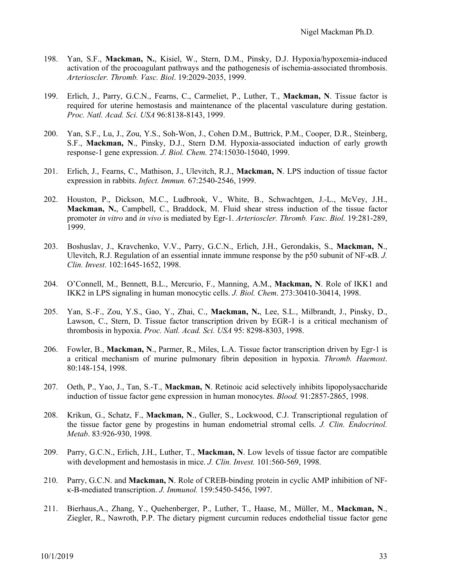- 198. Yan, S.F., **Mackman, N.**, Kisiel, W., Stern, D.M., Pinsky, D.J. Hypoxia/hypoxemia-induced activation of the procoagulant pathways and the pathogenesis of ischemia-associated thrombosis. *Arterioscler. Thromb. Vasc. Biol*. 19:2029-2035, 1999.
- 199. Erlich, J., Parry, G.C.N., Fearns, C., Carmeliet, P., Luther, T., **Mackman, N**. Tissue factor is required for uterine hemostasis and maintenance of the placental vasculature during gestation. *Proc. Natl. Acad. Sci. USA* 96:8138-8143, 1999.
- 200. Yan, S.F., Lu, J., Zou, Y.S., Soh-Won, J., Cohen D.M., Buttrick, P.M., Cooper, D.R., Steinberg, S.F., **Mackman, N**., Pinsky, D.J., Stern D.M. Hypoxia-associated induction of early growth response-1 gene expression. *J. Biol. Chem.* 274:15030-15040, 1999.
- 201. Erlich, J., Fearns, C., Mathison, J., Ulevitch, R.J., **Mackman, N**. LPS induction of tissue factor expression in rabbits. *Infect. Immun.* 67:2540-2546, 1999.
- 202. Houston, P., Dickson, M.C., Ludbrook, V., White, B., Schwachtgen, J.-L., McVey, J.H., **Mackman, N.**, Campbell, C., Braddock, M. Fluid shear stress induction of the tissue factor promoter *in vitro* and *in vivo* is mediated by Egr-1. *Arterioscler. Thromb. Vasc. Biol.* 19:281-289, 1999.
- 203. Boshuslav, J., Kravchenko, V.V., Parry, G.C.N., Erlich, J.H., Gerondakis, S., **Mackman, N**., Ulevitch, R.J. Regulation of an essential innate immune response by the p50 subunit of NF-κB. *J. Clin. Invest*. 102:1645-1652, 1998.
- 204. O'Connell, M., Bennett, B.L., Mercurio, F., Manning, A.M., **Mackman, N**. Role of IKK1 and IKK2 in LPS signaling in human monocytic cells. *J. Biol. Chem*. 273:30410-30414, 1998.
- 205. Yan, S.-F., Zou, Y.S., Gao, Y., Zhai, C., **Mackman, N.**, Lee, S.L., Milbrandt, J., Pinsky, D., Lawson, C., Stern, D. Tissue factor transcription driven by EGR-1 is a critical mechanism of thrombosis in hypoxia. *Proc. Natl. Acad. Sci. USA* 95: 8298-8303, 1998.
- 206. Fowler, B., **Mackman, N**., Parmer, R., Miles, L.A. Tissue factor transcription driven by Egr-1 is a critical mechanism of murine pulmonary fibrin deposition in hypoxia. *Thromb. Haemost*. 80:148-154, 1998.
- 207. Oeth, P., Yao, J., Tan, S.-T., **Mackman, N**. Retinoic acid selectively inhibits lipopolysaccharide induction of tissue factor gene expression in human monocytes. *Blood.* 91:2857-2865, 1998.
- 208. Krikun, G., Schatz, F., **Mackman, N**., Guller, S., Lockwood, C.J. Transcriptional regulation of the tissue factor gene by progestins in human endometrial stromal cells. *J. Clin. Endocrinol. Metab*. 83:926-930, 1998.
- 209. Parry, G.C.N., Erlich, J.H., Luther, T., **Mackman, N**. Low levels of tissue factor are compatible with development and hemostasis in mice. *J. Clin. Invest.* 101:560-569, 1998.
- 210. Parry, G.C.N. and **Mackman, N**. Role of CREB-binding protein in cyclic AMP inhibition of NFκ-B-mediated transcription. *J. Immunol.* 159:5450-5456, 1997.
- 211. Bierhaus,A., Zhang, Y., Quehenberger, P., Luther, T., Haase, M., Müller, M., **Mackman, N**., Ziegler, R., Nawroth, P.P. The dietary pigment curcumin reduces endothelial tissue factor gene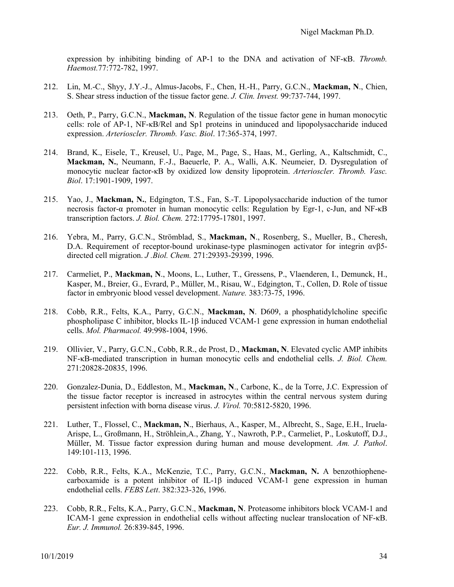expression by inhibiting binding of AP-1 to the DNA and activation of NF-κB. *Thromb. Haemost.*77:772-782, 1997.

- 212. Lin, M.-C., Shyy, J.Y.-J., Almus-Jacobs, F., Chen, H.-H., Parry, G.C.N., **Mackman, N**., Chien, S. Shear stress induction of the tissue factor gene. *J. Clin. Invest.* 99:737-744, 1997.
- 213. Oeth, P., Parry, G.C.N., **Mackman, N**. Regulation of the tissue factor gene in human monocytic cells: role of AP-1, NF-κB/Rel and Sp1 proteins in uninduced and lipopolysaccharide induced expression. *Arterioscler. Thromb. Vasc. Biol*. 17:365-374, 1997.
- 214. Brand, K., Eisele, T., Kreusel, U., Page, M., Page, S., Haas, M., Gerling, A., Kaltschmidt, C., **Mackman, N.**, Neumann, F.-J., Baeuerle, P. A., Walli, A.K. Neumeier, D. Dysregulation of monocytic nuclear factor-κB by oxidized low density lipoprotein. *Arterioscler. Thromb. Vasc. Biol*. 17:1901-1909, 1997.
- 215. Yao, J., **Mackman, N.**, Edgington, T.S., Fan, S.-T. Lipopolysaccharide induction of the tumor necrosis factor-α promoter in human monocytic cells: Regulation by Egr-1, c-Jun, and NF-κB transcription factors. *J. Biol. Chem.* 272:17795-17801, 1997.
- 216. Yebra, M., Parry, G.C.N., Strömblad, S., **Mackman, N**., Rosenberg, S., Mueller, B., Cheresh, D.A. Requirement of receptor-bound urokinase-type plasminogen activator for integrin αvβ5 directed cell migration. *J .Biol. Chem.* 271:29393-29399, 1996.
- 217. Carmeliet, P., **Mackman, N**., Moons, L., Luther, T., Gressens, P., Vlaenderen, I., Demunck, H., Kasper, M., Breier, G., Evrard, P., Müller, M., Risau, W., Edgington, T., Collen, D. Role of tissue factor in embryonic blood vessel development. *Nature.* 383:73-75, 1996.
- 218. Cobb, R.R., Felts, K.A., Parry, G.C.N., **Mackman, N**. D609, a phosphatidylcholine specific phospholipase C inhibitor, blocks IL-1β induced VCAM-1 gene expression in human endothelial cells. *Mol. Pharmacol.* 49:998-1004, 1996.
- 219. Ollivier, V., Parry, G.C.N., Cobb, R.R., de Prost, D., **Mackman, N**. Elevated cyclic AMP inhibits NF-κB-mediated transcription in human monocytic cells and endothelial cells. *J. Biol. Chem.* 271:20828-20835, 1996.
- 220. Gonzalez-Dunia, D., Eddleston, M., **Mackman, N**., Carbone, K., de la Torre, J.C. Expression of the tissue factor receptor is increased in astrocytes within the central nervous system during persistent infection with borna disease virus. *J. Virol.* 70:5812-5820, 1996.
- 221. Luther, T., Flossel, C., **Mackman, N**., Bierhaus, A., Kasper, M., Albrecht, S., Sage, E.H., Iruela-Arispe, L., Großmann, H., Ströhlein,A., Zhang, Y., Nawroth, P.P., Carmeliet, P., Loskutoff, D.J., Müller, M. Tissue factor expression during human and mouse development. *Am. J. Pathol*. 149:101-113, 1996.
- 222. Cobb, R.R., Felts, K.A., McKenzie, T.C., Parry, G.C.N., **Mackman, N.** A benzothiophenecarboxamide is a potent inhibitor of IL-1 $\beta$  induced VCAM-1 gene expression in human endothelial cells. *FEBS Lett*. 382:323-326, 1996.
- 223. Cobb, R.R., Felts, K.A., Parry, G.C.N., **Mackman, N**. Proteasome inhibitors block VCAM-1 and ICAM-1 gene expression in endothelial cells without affecting nuclear translocation of NF-κB. *Eur. J. Immunol.* 26:839-845, 1996.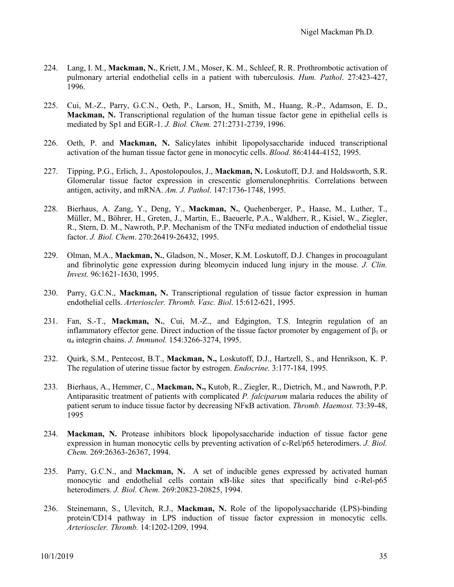- 224. Lang, I. M., **Mackman, N.**, Kriett, J.M., Moser, K. M., Schleef, R. R. Prothrombotic activation of pulmonary arterial endothelial cells in a patient with tuberculosis. *Hum. Pathol*. 27:423-427, 1996.
- 225. Cui, M.-Z., Parry, G.C.N., Oeth, P., Larson, H., Smith, M., Huang, R.-P., Adamson, E. D., **Mackman, N.** Transcriptional regulation of the human tissue factor gene in epithelial cells is mediated by Sp1 and EGR-1. *J. Biol. Chem.* 271:2731-2739, 1996.
- 226. Oeth, P. and **Mackman, N.** Salicylates inhibit lipopolysaccharide induced transcriptional activation of the human tissue factor gene in monocytic cells. *Blood.* 86:4144-4152, 1995.
- 227. Tipping, P.G., Erlich, J., Apostolopoulos, J., **Mackman, N.** Loskutoff, D.J. and Holdsworth, S.R. Glomerular tissue factor expression in crescentic glomerulonephritis. Correlations between antigen, activity, and mRNA. *Am. J. Pathol*. 147:1736-1748, 1995.
- 228. Bierhaus, A. Zang, Y., Deng, Y., **Mackman, N.**, Quehenberger, P., Haase, M., Luther, T., Müller, M., Böhrer, H., Greten, J., Martin, E., Baeuerle, P.A., Waldherr, R., Kisiel, W., Ziegler, R., Stern, D. M., Nawroth, P.P. Mechanism of the TNFα mediated induction of endothelial tissue factor. *J. Biol. Chem*. 270:26419-26432, 1995.
- 229. Olman, M.A., **Mackman, N.**, Gladson, N., Moser, K.M. Loskutoff, D.J. Changes in procoagulant and fibrinolytic gene expression during bleomycin induced lung injury in the mouse. *J. Clin. Invest.* 96:1621-1630, 1995.
- 230. Parry, G.C.N., **Mackman, N.** Transcriptional regulation of tissue factor expression in human endothelial cells. *Arterioscler. Thromb. Vasc. Biol*. 15:612-621, 1995.
- 231. Fan, S.-T., **Mackman, N.**, Cui, M.-Z., and Edgington, T.S. Integrin regulation of an inflammatory effector gene. Direct induction of the tissue factor promoter by engagement of  $\beta_1$  or α4 integrin chains. *J. Immunol.* 154:3266-3274, 1995.
- 232. Quirk, S.M., Pentecost, B.T., **Mackman, N.,** Loskutoff, D.J., Hartzell, S., and Henrikson, K. P. The regulation of uterine tissue factor by estrogen. *Endocrine.* 3:177-184, 1995.
- 233. Bierhaus, A., Hemmer, C., **Mackman, N.,** Kutob, R., Ziegler, R., Dietrich, M., and Nawroth, P.P. Antiparasitic treatment of patients with complicated *P. falciparum* malaria reduces the ability of patient serum to induce tissue factor by decreasing NFκB activation. *Thromb. Haemost.* 73:39-48, 1995
- 234. **Mackman, N.** Protease inhibitors block lipopolysaccharide induction of tissue factor gene expression in human monocytic cells by preventing activation of c-Rel/p65 heterodimers. *J. Biol. Chem.* 269:26363-26367, 1994.
- 235. Parry, G.C.N., and **Mackman, N.** A set of inducible genes expressed by activated human monocytic and endothelial cells contain κB-like sites that specifically bind c-Rel-p65 heterodimers. *J. Biol. Chem.* 269:20823-20825, 1994.
- 236. Steinemann, S., Ulevitch, R.J., **Mackman, N.** Role of the lipopolysaccharide (LPS)-binding protein/CD14 pathway in LPS induction of tissue factor expression in monocytic cells. *Arterioscler. Thromb.* 14:1202-1209, 1994.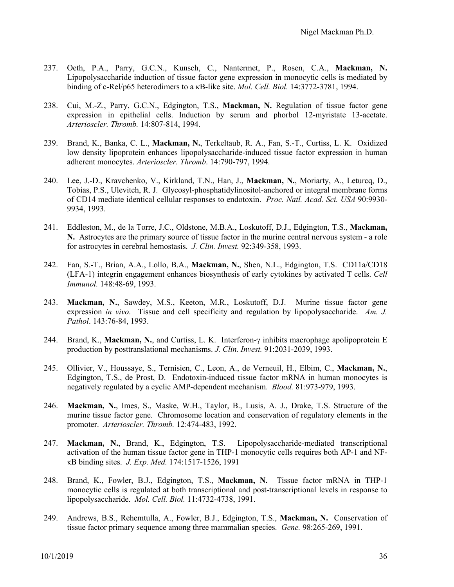- 237. Oeth, P.A., Parry, G.C.N., Kunsch, C., Nantermet, P., Rosen, C.A., **Mackman, N.** Lipopolysaccharide induction of tissue factor gene expression in monocytic cells is mediated by binding of c-Rel/p65 heterodimers to a κB-like site. *Mol. Cell. Biol.* 14:3772-3781, 1994.
- 238. Cui, M.-Z., Parry, G.C.N., Edgington, T.S., **Mackman, N.** Regulation of tissue factor gene expression in epithelial cells. Induction by serum and phorbol 12-myristate 13-acetate. *Arterioscler. Thromb.* 14:807-814, 1994.
- 239. Brand, K., Banka, C. L., **Mackman, N.**, Terkeltaub, R. A., Fan, S.-T., Curtiss, L. K. Oxidized low density lipoprotein enhances lipopolysaccharide-induced tissue factor expression in human adherent monocytes. *Arterioscler. Thromb*. 14:790-797, 1994.
- 240. Lee, J.-D., Kravchenko, V., Kirkland, T.N., Han, J., **Mackman, N.**, Moriarty, A., Leturcq, D., Tobias, P.S., Ulevitch, R. J. Glycosyl-phosphatidylinositol-anchored or integral membrane forms of CD14 mediate identical cellular responses to endotoxin. *Proc. Natl. Acad. Sci. USA* 90:9930- 9934, 1993.
- 241. Eddleston, M., de la Torre, J.C., Oldstone, M.B.A., Loskutoff, D.J., Edgington, T.S., **Mackman, N.** Astrocytes are the primary source of tissue factor in the murine central nervous system - a role for astrocytes in cerebral hemostasis. *J. Clin. Invest.* 92:349-358, 1993.
- 242. Fan, S.-T., Brian, A.A., Lollo, B.A., **Mackman, N.**, Shen, N.L., Edgington, T.S. CD11a/CD18 (LFA-1) integrin engagement enhances biosynthesis of early cytokines by activated T cells. *Cell Immunol.* 148:48-69, 1993.
- 243. **Mackman, N.**, Sawdey, M.S., Keeton, M.R., Loskutoff, D.J. Murine tissue factor gene expression *in vivo*. Tissue and cell specificity and regulation by lipopolysaccharide. *Am. J. Pathol*. 143:76-84, 1993.
- 244. Brand, K., **Mackman, N.**, and Curtiss, L. K. Interferon-γ inhibits macrophage apolipoprotein E production by posttranslational mechanisms. *J. Clin. Invest.* 91:2031-2039, 1993.
- 245. Ollivier, V., Houssaye, S., Ternisien, C., Leon, A., de Verneuil, H., Elbim, C., **Mackman, N.**, Edgington, T.S., de Prost, D. Endotoxin-induced tissue factor mRNA in human monocytes is negatively regulated by a cyclic AMP-dependent mechanism. *Blood.* 81:973-979, 1993.
- 246. **Mackman, N.**, Imes, S., Maske, W.H., Taylor, B., Lusis, A. J., Drake, T.S. Structure of the murine tissue factor gene. Chromosome location and conservation of regulatory elements in the promoter. *Arterioscler. Thromb.* 12:474-483, 1992.
- 247. **Mackman, N.**, Brand, K., Edgington, T.S. Lipopolysaccharide-mediated transcriptional activation of the human tissue factor gene in THP-1 monocytic cells requires both AP-1 and NFκB binding sites. *J. Exp. Med.* 174:1517-1526, 1991
- 248. Brand, K., Fowler, B.J., Edgington, T.S., **Mackman, N.** Tissue factor mRNA in THP-1 monocytic cells is regulated at both transcriptional and post-transcriptional levels in response to lipopolysaccharide. *Mol. Cell. Biol.* 11:4732-4738, 1991.
- 249. Andrews, B.S., Rehemtulla, A., Fowler, B.J., Edgington, T.S., **Mackman, N.** Conservation of tissue factor primary sequence among three mammalian species. *Gene.* 98:265-269, 1991.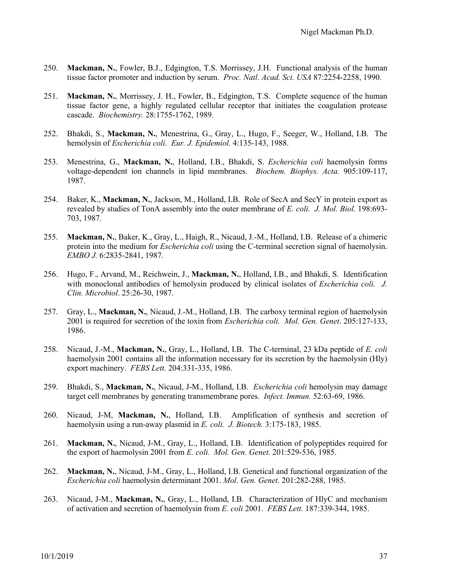- 250. **Mackman, N.**, Fowler, B.J., Edgington, T.S. Morrissey, J.H. Functional analysis of the human tissue factor promoter and induction by serum. *Proc. Natl. Acad. Sci. USA* 87:2254-2258, 1990.
- 251. **Mackman, N.**, Morrissey, J. H., Fowler, B., Edgington, T.S. Complete sequence of the human tissue factor gene, a highly regulated cellular receptor that initiates the coagulation protease cascade. *Biochemistry.* 28:1755-1762, 1989.
- 252. Bhakdi, S., **Mackman, N.**, Menestrina, G., Gray, L., Hugo, F., Seeger, W., Holland, I.B. The hemolysin of *Escherichia coli. Eur. J. Epidemiol.* 4:135-143, 1988.
- 253. Menestrina, G., **Mackman, N.**, Holland, I.B., Bhakdi, S. *Escherichia coli* haemolysin forms voltage-dependent ion channels in lipid membranes. *Biochem. Biophys. Acta.* 905:109-117, 1987.
- 254. Baker, K., **Mackman, N.**, Jackson, M., Holland, I.B. Role of SecA and SecY in protein export as revealed by studies of TonA assembly into the outer membrane of *E. coli. J. Mol. Biol.* 198:693- 703, 1987.
- 255. **Mackman, N.**, Baker, K., Gray, L., Haigh, R., Nicaud, J.-M., Holland, I.B. Release of a chimeric protein into the medium for *Escherichia coli* using the C-terminal secretion signal of haemolysin. *EMBO J.* 6:2835-2841, 1987.
- 256. Hugo, F., Arvand, M., Reichwein, J., **Mackman, N.**, Holland, I.B., and Bhakdi, S. Identification with monoclonal antibodies of hemolysin produced by clinical isolates of *Escherichia coli. J. Clin. Microbiol*. 25:26-30, 1987.
- 257. Gray, L., **Mackman, N.**, Nicaud, J.-M., Holland, I.B. The carboxy terminal region of haemolysin 2001 is required for secretion of the toxin from *Escherichia coli. Mol. Gen. Genet*. 205:127-133, 1986.
- 258. Nicaud, J.-M., **Mackman, N.**, Gray, L., Holland, I.B. The C-terminal, 23 kDa peptide of *E. coli*  haemolysin 2001 contains all the information necessary for its secretion by the haemolysin (Hly) export machinery. *FEBS Lett.* 204:331-335, 1986.
- 259. Bhakdi, S., **Mackman, N.**, Nicaud, J-M., Holland, I.B. *Escherichia coli* hemolysin may damage target cell membranes by generating transmembrane pores. *Infect. Immun.* 52:63-69, 1986.
- 260. Nicaud, J-M, **Mackman, N.**, Holland, I.B. Amplification of synthesis and secretion of haemolysin using a run-away plasmid in *E. coli. J. Biotech.* 3:175-183, 1985.
- 261. **Mackman, N.**, Nicaud, J-M., Gray, L., Holland, I.B. Identification of polypeptides required for the export of haemolysin 2001 from *E. coli. Mol. Gen. Genet.* 201:529-536, 1985.
- 262. **Mackman, N.**, Nicaud, J-M., Gray, L., Holland, I.B. Genetical and functional organization of the *Escherichia coli* haemolysin determinant 2001. *Mol. Gen. Genet*. 201:282-288, 1985.
- 263. Nicaud, J-M., **Mackman, N.**, Gray, L., Holland, I.B. Characterization of HlyC and mechanism of activation and secretion of haemolysin from *E. coli* 2001. *FEBS Lett*. 187:339-344, 1985.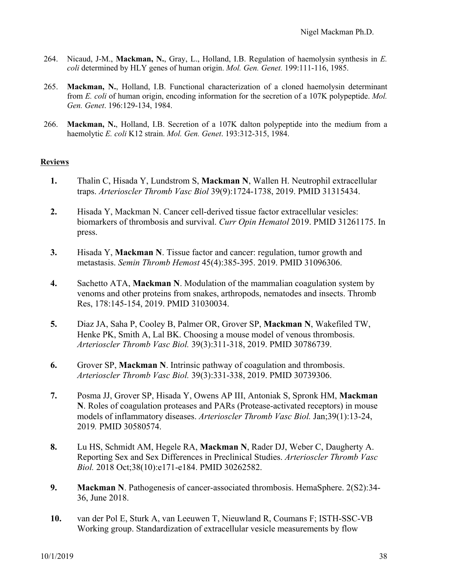- 264. Nicaud, J-M., **Mackman, N.**, Gray, L., Holland, I.B. Regulation of haemolysin synthesis in *E. coli* determined by HLY genes of human origin. *Mol. Gen. Genet.* 199:111-116, 1985.
- 265. **Mackman, N.**, Holland, I.B. Functional characterization of a cloned haemolysin determinant from *E. coli* of human origin, encoding information for the secretion of a 107K polypeptide. *Mol. Gen. Genet*. 196:129-134, 1984.
- 266. **Mackman, N.**, Holland, I.B. Secretion of a 107K dalton polypeptide into the medium from a haemolytic *E. coli* K12 strain. *Mol. Gen. Genet*. 193:312-315, 1984.

### **Reviews**

- **1.** Thalin C, Hisada Y, Lundstrom S, **Mackman N**, Wallen H. Neutrophil extracellular traps. *Arterioscler Thromb Vasc Biol* 39(9):1724-1738, 2019. PMID 31315434.
- **2.** Hisada Y, Mackman N. Cancer cell-derived tissue factor extracellular vesicles: biomarkers of thrombosis and survival. *Curr Opin Hematol* 2019. PMID 31261175. In press.
- **3.** Hisada Y, **Mackman N**. Tissue factor and cancer: regulation, tumor growth and metastasis. *Semin Thromb Hemost* 45(4):385-395. 2019. PMID 31096306.
- **4.** Sachetto ATA, **Mackman N**. Modulation of the mammalian coagulation system by venoms and other proteins from snakes, arthropods, nematodes and insects. Thromb Res, 178:145-154, 2019. PMID 31030034.
- **5.** Diaz JA, Saha P, Cooley B, Palmer OR, Grover SP, **Mackman N**, Wakefiled TW, Henke PK, Smith A, Lal BK. Choosing a mouse model of venous thrombosis. *Arterioscler Thromb Vasc Biol.* 39(3):311-318, 2019. PMID 30786739.
- **6.** Grover SP, **Mackman N**. Intrinsic pathway of coagulation and thrombosis. *Arterioscler Thromb Vasc Biol.* 39(3):331-338, 2019. PMID 30739306.
- **7.** Posma JJ, Grover SP, Hisada Y, Owens AP III, Antoniak S, Spronk HM, **Mackman N**. Roles of coagulation proteases and PARs (Protease-activated receptors) in mouse models of inflammatory diseases. *Arterioscler Thromb Vasc Biol.* Jan;39(1):13-24, 2019*.* PMID 30580574.
- **8.** Lu HS, Schmidt AM, Hegele RA, **Mackman N**, Rader DJ, Weber C, Daugherty A. Reporting Sex and Sex Differences in Preclinical Studies. *Arterioscler Thromb Vasc Biol.* 2018 Oct;38(10):e171-e184. PMID 30262582.
- **9. Mackman N**. Pathogenesis of cancer-associated thrombosis. HemaSphere. 2(S2):34-36, June 2018.
- **10.** van der Pol E, Sturk A, van Leeuwen T, Nieuwland R, Coumans F; ISTH-SSC-VB Working group. Standardization of extracellular vesicle measurements by flow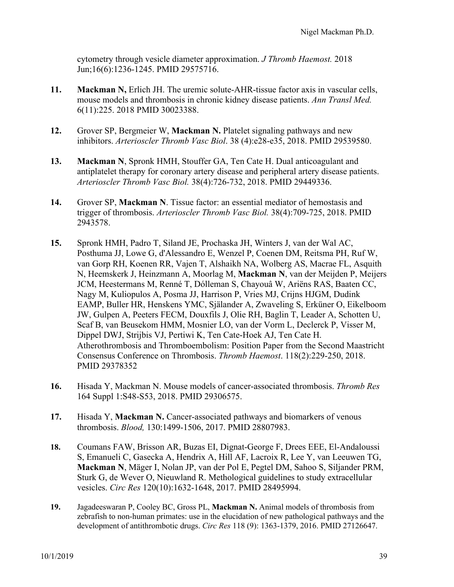cytometry through vesicle diameter approximation. *J Thromb Haemost.* 2018 Jun;16(6):1236-1245. PMID 29575716.

- **11. Mackman N,** Erlich JH. The uremic solute-AHR-tissue factor axis in vascular cells, mouse models and thrombosis in chronic kidney disease patients. *Ann Transl Med.* 6(11):225. 2018 PMID 30023388.
- **12.** Grover SP, Bergmeier W, **Mackman N.** Platelet signaling pathways and new inhibitors. *Arterioscler Thromb Vasc Biol*. 38 (4):e28-e35, 2018. PMID 29539580.
- **13. Mackman N**, Spronk HMH, Stouffer GA, Ten Cate H. Dual anticoagulant and antiplatelet therapy for coronary artery disease and peripheral artery disease patients. *Arterioscler Thromb Vasc Biol.* 38(4):726-732, 2018. PMID 29449336.
- **14.** Grover SP, **Mackman N**. Tissue factor: an essential mediator of hemostasis and trigger of thrombosis. *Arterioscler Thromb Vasc Biol.* 38(4):709-725, 2018. PMID 2943578.
- **15.** Spronk HMH, Padro T, Siland JE, Prochaska JH, Winters J, van der Wal AC, Posthuma JJ, Lowe G, d'Alessandro E, Wenzel P, Coenen DM, Reitsma PH, Ruf W, van Gorp RH, Koenen RR, Vajen T, Alshaikh NA, Wolberg AS, Macrae FL, Asquith N, Heemskerk J, Heinzmann A, Moorlag M, **Mackman N**, van der Meijden P, Meijers JCM, Heestermans M, Renné T, Dólleman S, Chayouâ W, Ariëns RAS, Baaten CC, Nagy M, Kuliopulos A, Posma JJ, Harrison P, Vries MJ, Crijns HJGM, Dudink EAMP, Buller HR, Henskens YMC, Själander A, Zwaveling S, Erküner O, Eikelboom JW, Gulpen A, Peeters FECM, Douxfils J, Olie RH, Baglin T, Leader A, Schotten U, Scaf B, van Beusekom HMM, Mosnier LO, van der Vorm L, Declerck P, Visser M, Dippel DWJ, Strijbis VJ, Pertiwi K, Ten Cate-Hoek AJ, Ten Cate H. Atherothrombosis and Thromboembolism: Position Paper from the Second Maastricht Consensus Conference on Thrombosis. *Thromb Haemost*. 118(2):229-250, 2018. PMID 29378352
- **16.** Hisada Y, Mackman N. Mouse models of cancer-associated thrombosis. *Thromb Res* 164 Suppl 1:S48-S53, 2018. PMID 29306575.
- **17.** Hisada Y, **Mackman N.** Cancer-associated pathways and biomarkers of venous thrombosis. *Blood,* 130:1499-1506, 2017. PMID 28807983.
- **18.** Coumans FAW, Brisson AR, Buzas EI, Dignat-George F, Drees EEE, El-Andaloussi S, Emanueli C, Gasecka A, Hendrix A, Hill AF, Lacroix R, Lee Y, van Leeuwen TG, **Mackman N**, Mäger I, Nolan JP, van der Pol E, Pegtel DM, Sahoo S, Siljander PRM, Sturk G, de Wever O, Nieuwland R. Methological guidelines to study extracellular vesicles. *Circ Res* 120(10):1632-1648, 2017. PMID 28495994.
- **19.** Jagadeeswaran P, Cooley BC, Gross PL, **Mackman N.** Animal models of thrombosis from zebrafish to non-human primates: use in the elucidation of new pathological pathways and the development of antithrombotic drugs. *Circ Res* 118 (9): 1363-1379, 2016. PMID 27126647.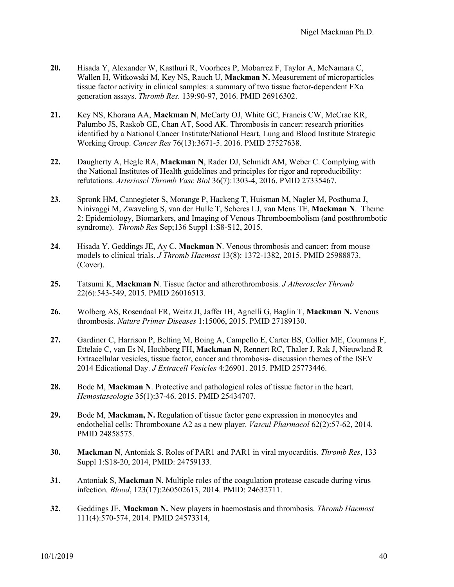- **20.** Hisada Y, Alexander W, Kasthuri R, Voorhees P, Mobarrez F, Taylor A, McNamara C, Wallen H, Witkowski M, Key NS, Rauch U, **Mackman N.** Measurement of microparticles tissue factor activity in clinical samples: a summary of two tissue factor-dependent FXa generation assays. *Thromb Res.* 139:90-97, 2016. PMID 26916302.
- **21.** Key NS, Khorana AA, **Mackman N**, McCarty OJ, White GC, Francis CW, McCrae KR, Palumbo JS, Raskob GE, Chan AT, Sood AK. Thrombosis in cancer: research priorities identified by a National Cancer Institute/National Heart, Lung and Blood Institute Strategic Working Group. *Cancer Res* 76(13):3671-5. 2016. PMID 27527638.
- **22.** Daugherty A, Hegle RA, **Mackman N**, Rader DJ, Schmidt AM, Weber C. Complying with the National Institutes of Health guidelines and principles for rigor and reproducibility: refutations. *Arterioscl Thromb Vasc Biol* 36(7):1303-4, 2016. PMID 27335467.
- **23.** Spronk HM, Cannegieter S, Morange P, Hackeng T, Huisman M, Nagler M, Posthuma J, Ninivaggi M, Zwaveling S, van der Hulle T, Scheres LJ, van Mens TE, **Mackman N**. Theme 2: Epidemiology, Biomarkers, and Imaging of Venous Thromboembolism (and postthrombotic syndrome). *Thromb Res* Sep;136 Suppl 1:S8-S12, 2015.
- **24.** Hisada Y, Geddings JE, Ay C, **Mackman N**. Venous thrombosis and cancer: from mouse models to clinical trials. *J Thromb Haemost* 13(8): 1372-1382, 2015. PMID 25988873. (Cover).
- **25.** Tatsumi K, **Mackman N**. Tissue factor and atherothrombosis. *J Atheroscler Thromb* 22(6):543-549, 2015. PMID 26016513.
- **26.** Wolberg AS, Rosendaal FR, Weitz JI, Jaffer IH, Agnelli G, Baglin T, **Mackman N.** Venous thrombosis. *Nature Primer Diseases* 1:15006, 2015. PMID 27189130.
- **27.** Gardiner C, Harrison P, Belting M, Boing A, Campello E, Carter BS, Collier ME, Coumans F, Ettelaie C, van Es N, Hochberg FH, **Mackman N**, Rennert RC, Thaler J, Rak J, Nieuwland R Extracellular vesicles, tissue factor, cancer and thrombosis- discussion themes of the ISEV 2014 Edicational Day. *J Extracell Vesicles* 4:26901. 2015. PMID 25773446.
- **28.** Bode M, **Mackman N**. Protective and pathological roles of tissue factor in the heart. *Hemostaseologie* 35(1):37-46. 2015. PMID 25434707.
- **29.** Bode M, **Mackman, N.** Regulation of tissue factor gene expression in monocytes and endothelial cells: Thromboxane A2 as a new player. *Vascul Pharmacol* 62(2):57-62, 2014. PMID 24858575.
- **30. Mackman N**, Antoniak S. Roles of PAR1 and PAR1 in viral myocarditis. *Thromb Res*, 133 Suppl 1:S18-20, 2014, PMID: 24759133.
- **31.** Antoniak S, **Mackman N.** Multiple roles of the coagulation protease cascade during virus infection*. Blood*, 123(17):260502613, 2014. PMID: 24632711.
- **32.** Geddings JE, **Mackman N.** New players in haemostasis and thrombosis. *Thromb Haemost* 111(4):570-574, 2014. PMID 24573314,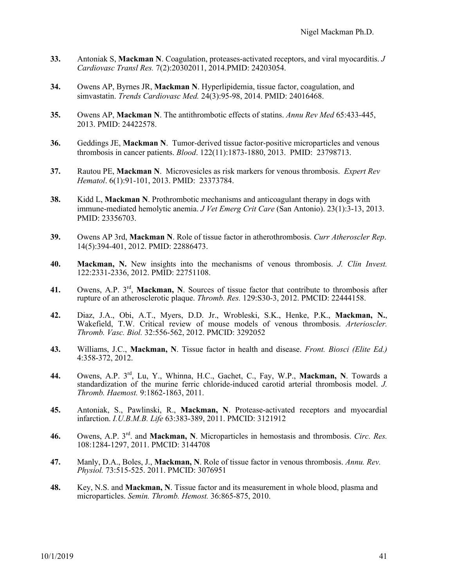- **33.** Antoniak S, **Mackman N**. Coagulation, proteases-activated receptors, and viral myocarditis. *J Cardiovasc Transl Res.* 7(2):20302011, 2014.PMID: 24203054.
- **34.** Owens AP, Byrnes JR, **Mackman N**. Hyperlipidemia, tissue factor, coagulation, and simvastatin. *Trends Cardiovasc Med.* 24(3):95-98, 2014. PMID: 24016468.
- **35.** Owens AP, **Mackman N**. The antithrombotic effects of statins. *Annu Rev Med* 65:433-445, 2013. PMID: 24422578.
- **36.** Geddings JE, **Mackman N**. Tumor-derived tissue factor-positive microparticles and venous thrombosis in cancer patients. *Blood*. 122(11):1873-1880, 2013. PMID: 23798713.
- **37.** Rautou PE, **Mackman N**. Microvesicles as risk markers for venous thrombosis. *Expert Rev Hematol*. 6(1):91-101, 2013. PMID: 23373784.
- **38.** Kidd L, **Mackman N**. Prothrombotic mechanisms and anticoagulant therapy in dogs with immune-mediated hemolytic anemia. *J Vet Emerg Crit Care* (San Antonio). 23(1):3-13, 2013. PMID: 23356703.
- **39.** Owens AP 3rd, **Mackman N**. Role of tissue factor in atherothrombosis. *Curr Atheroscler Rep*. 14(5):394-401, 2012. PMID: 22886473.
- **40. Mackman, N.** New insights into the mechanisms of venous thrombosis. *J. Clin Invest.*  122:2331-2336, 2012. PMID: 22751108.
- **41.** Owens, A.P. 3rd, **Mackman, N**. Sources of tissue factor that contribute to thrombosis after rupture of an atherosclerotic plaque. *Thromb. Res.* 129:S30-3, 2012. PMCID: 22444158.
- **42.** Diaz, J.A., Obi, A.T., Myers, D.D. Jr., Wrobleski, S.K., Henke, P.K., **Mackman, N.**, Wakefield, T.W. Critical review of mouse models of venous thrombosis. *Arterioscler. Thromb. Vasc. Biol.* 32:556-562, 2012. PMCID: 3292052
- **43.** Williams, J.C., **Mackman, N**. Tissue factor in health and disease. *Front. Biosci (Elite Ed.)*  4:358-372, 2012.
- **44.** Owens, A.P. 3rd, Lu, Y., Whinna, H.C., Gachet, C., Fay, W.P., **Mackman, N**. Towards a standardization of the murine ferric chloride-induced carotid arterial thrombosis model. *J. Thromb. Haemost.* 9:1862-1863, 2011.
- **45.** Antoniak, S., Pawlinski, R., **Mackman, N**. Protease-activated receptors and myocardial infarction. *I.U.B.M.B. Life* 63:383-389, 2011. PMCID: 3121912
- **46.** Owens, A.P. 3rd. and **Mackman, N**. Microparticles in hemostasis and thrombosis. *Circ. Res.* 108:1284-1297, 2011. PMCID: 3144708
- **47.** Manly, D.A., Boles, J., **Mackman, N**. Role of tissue factor in venous thrombosis. *Annu. Rev. Physiol.* 73:515-525. 2011. PMCID: 3076951
- **48.** Key, N.S. and **Mackman, N**. Tissue factor and its measurement in whole blood, plasma and microparticles. *Semin. Thromb. Hemost.* 36:865-875, 2010.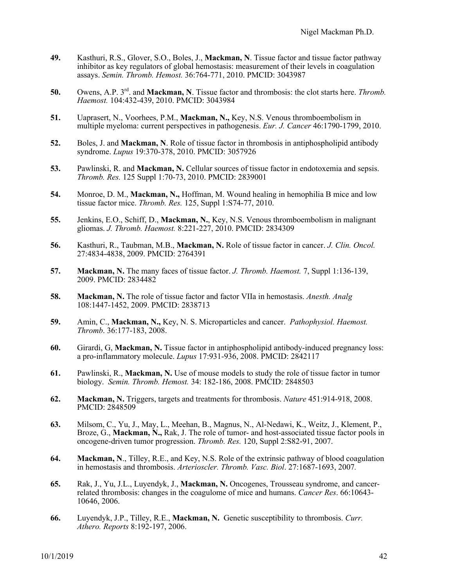- **49.** Kasthuri, R.S., Glover, S.O., Boles, J., **Mackman, N**. Tissue factor and tissue factor pathway inhibitor as key regulators of global hemostasis: measurement of their levels in coagulation assays. *Semin. Thromb. Hemost.* 36:764-771, 2010. PMCID: 3043987
- **50.** Owens, A.P. 3rd. and **Mackman, N**. Tissue factor and thrombosis: the clot starts here. *Thromb. Haemost.* 104:432-439, 2010. PMCID: 3043984
- **51.** Uaprasert, N., Voorhees, P.M., **Mackman, N.,** Key, N.S. Venous thromboembolism in multiple myeloma: current perspectives in pathogenesis. *Eur. J. Cancer* 46:1790-1799, 2010.
- **52.** Boles, J. and **Mackman, N**. Role of tissue factor in thrombosis in antiphospholipid antibody syndrome. *Lupus* 19:370-378, 2010. PMCID: 3057926
- **53.** Pawlinski, R. and **Mackman, N.** Cellular sources of tissue factor in endotoxemia and sepsis. *Thromb. Res.* 125 Suppl 1:70-73, 2010. PMCID: 2839001
- **54.** Monroe, D. M., **Mackman, N.,** Hoffman, M. Wound healing in hemophilia B mice and low tissue factor mice. *Thromb. Res.* 125, Suppl 1:S74-77, 2010.
- **55.** Jenkins, E.O., Schiff, D., **Mackman, N.**, Key, N.S. Venous thromboembolism in malignant gliomas. *J. Thromb. Haemost.* 8:221-227, 2010. PMCID: 2834309
- **56.** Kasthuri, R., Taubman, M.B., **Mackman, N.** Role of tissue factor in cancer. *J. Clin. Oncol.* 27:4834-4838, 2009. PMCID: 2764391
- **57. Mackman, N.** The many faces of tissue factor. *J. Thromb. Haemost.* 7, Suppl 1:136-139, 2009. PMCID: 2834482
- **58. Mackman, N.** The role of tissue factor and factor VIIa in hemostasis. *Anesth. Analg* 108:1447-1452, 2009. PMCID: 2838713
- **59.** Amin, C., **Mackman, N.,** Key, N. S. Microparticles and cancer. *Pathophysiol. Haemost. Thromb*. 36:177-183, 2008.
- **60.** Girardi, G, **Mackman, N.** Tissue factor in antiphospholipid antibody-induced pregnancy loss: a pro-inflammatory molecule. *Lupus* 17:931-936, 2008. PMCID: 2842117
- **61.** Pawlinski, R., **Mackman, N.** Use of mouse models to study the role of tissue factor in tumor biology. *Semin. Thromb. Hemost.* 34: 182-186, 2008. PMCID: 2848503
- **62. Mackman, N.** Triggers, targets and treatments for thrombosis. *Nature* 451:914-918, 2008. PMCID: 2848509
- **63.** Milsom, C., Yu, J., May, L., Meehan, B., Magnus, N., Al-Nedawi, K., Weitz, J., Klement, P., Broze, G., **Mackman, N.,** Rak, J. The role of tumor- and host-associated tissue factor pools in oncogene-driven tumor progression. *Thromb. Res.* 120, Suppl 2:S82-91, 2007.
- **64. Mackman, N**., Tilley, R.E., and Key, N.S. Role of the extrinsic pathway of blood coagulation in hemostasis and thrombosis. *Arterioscler. Thromb. Vasc. Biol*. 27:1687-1693, 2007*.*
- **65.** Rak, J., Yu, J.L., Luyendyk, J., **Mackman, N.** Oncogenes, Trousseau syndrome, and cancerrelated thrombosis: changes in the coagulome of mice and humans. *Cancer Res*. 66:10643- 10646, 2006.
- **66.** Luyendyk, J.P., Tilley, R.E., **Mackman, N.** Genetic susceptibility to thrombosis. *Curr. Athero. Reports* 8:192-197, 2006.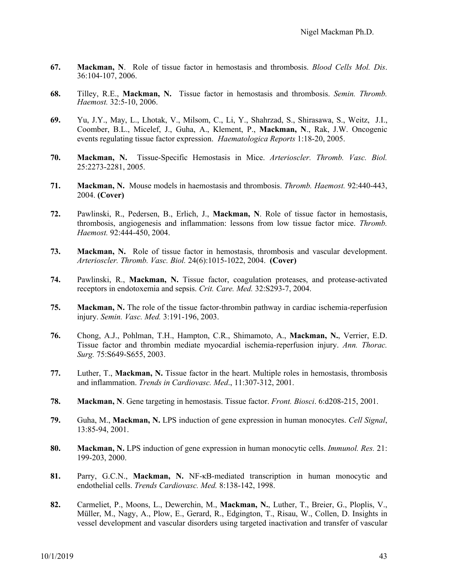- **67. Mackman, N**. Role of tissue factor in hemostasis and thrombosis. *Blood Cells Mol. Dis*. 36:104-107, 2006.
- **68.** Tilley, R.E., **Mackman, N.** Tissue factor in hemostasis and thrombosis. *Semin. Thromb. Haemost.* 32:5-10, 2006.
- **69.** Yu, J.Y., May, L., Lhotak, V., Milsom, C., Li, Y., Shahrzad, S., Shirasawa, S., Weitz, J.I., Coomber, B.L., Micelef, J., Guha, A., Klement, P., **Mackman, N**., Rak, J.W. Oncogenic events regulating tissue factor expression. *Haematologica Reports* 1:18-20, 2005.
- **70. Mackman, N.** Tissue-Specific Hemostasis in Mice. *Arterioscler. Thromb. Vasc. Biol.*  25:2273-2281, 2005.
- **71. Mackman, N.** Mouse models in haemostasis and thrombosis. *Thromb. Haemost.* 92:440-443, 2004. **(Cover)**
- **72.** Pawlinski, R., Pedersen, B., Erlich, J., **Mackman, N**. Role of tissue factor in hemostasis, thrombosis, angiogenesis and inflammation: lessons from low tissue factor mice. *Thromb. Haemost.* 92:444-450, 2004.
- **73. Mackman, N.** Role of tissue factor in hemostasis, thrombosis and vascular development. *Arterioscler. Thromb. Vasc. Biol.* 24(6):1015-1022, 2004. **(Cover)**
- **74.** Pawlinski, R., **Mackman, N.** Tissue factor, coagulation proteases, and protease-activated receptors in endotoxemia and sepsis. *Crit. Care. Med.* 32:S293-7, 2004.
- **75. Mackman, N.** The role of the tissue factor-thrombin pathway in cardiac ischemia-reperfusion injury. *Semin. Vasc. Med.* 3:191-196, 2003.
- **76.** Chong, A.J., Pohlman, T.H., Hampton, C.R., Shimamoto, A., **Mackman, N.**, Verrier, E.D. Tissue factor and thrombin mediate myocardial ischemia-reperfusion injury. *Ann. Thorac. Surg.* 75:S649-S655, 2003.
- **77.** Luther, T., **Mackman, N.** Tissue factor in the heart. Multiple roles in hemostasis, thrombosis and inflammation. *Trends in Cardiovasc. Med*., 11:307-312, 2001.
- **78. Mackman, N**. Gene targeting in hemostasis. Tissue factor. *Front. Biosci*. 6:d208-215, 2001.
- **79.** Guha, M., **Mackman, N.** LPS induction of gene expression in human monocytes. *Cell Signal*, 13:85-94, 2001.
- **80. Mackman, N.** LPS induction of gene expression in human monocytic cells. *Immunol. Res.* 21: 199-203, 2000.
- **81.** Parry, G.C.N., **Mackman, N.** NF-κB-mediated transcription in human monocytic and endothelial cells. *Trends Cardiovasc. Med.* 8:138-142, 1998.
- **82.** Carmeliet, P., Moons, L., Dewerchin, M., **Mackman, N.**, Luther, T., Breier, G., Ploplis, V., Müller, M., Nagy, A., Plow, E., Gerard, R., Edgington, T., Risau, W., Collen, D. Insights in vessel development and vascular disorders using targeted inactivation and transfer of vascular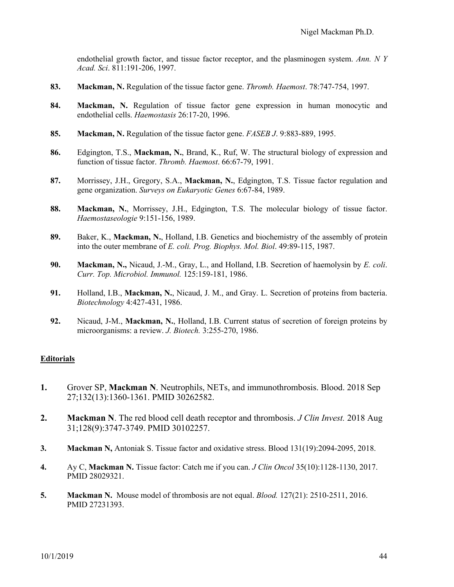endothelial growth factor, and tissue factor receptor, and the plasminogen system. *Ann. N Y Acad. Sci*. 811:191-206, 1997.

- **83. Mackman, N.** Regulation of the tissue factor gene. *Thromb. Haemost*. 78:747-754, 1997.
- **84. Mackman, N.** Regulation of tissue factor gene expression in human monocytic and endothelial cells. *Haemostasis* 26:17-20, 1996.
- **85. Mackman, N.** Regulation of the tissue factor gene. *FASEB J*. 9:883-889, 1995.
- **86.** Edgington, T.S., **Mackman, N.**, Brand, K., Ruf, W. The structural biology of expression and function of tissue factor. *Thromb. Haemost*. 66:67-79, 1991.
- **87.** Morrissey, J.H., Gregory, S.A., **Mackman, N.**, Edgington, T.S. Tissue factor regulation and gene organization. *Surveys on Eukaryotic Genes* 6:67-84, 1989.
- **88. Mackman, N.**, Morrissey, J.H., Edgington, T.S. The molecular biology of tissue factor. *Haemostaseologie* 9:151-156, 1989.
- **89.** Baker, K., **Mackman, N.**, Holland, I.B. Genetics and biochemistry of the assembly of protein into the outer membrane of *E. coli. Prog. Biophys. Mol. Biol*. 49:89-115, 1987.
- **90. Mackman, N.,** Nicaud, J.-M., Gray, L., and Holland, I.B. Secretion of haemolysin by *E. coli*. *Curr. Top. Microbiol. Immunol.* 125:159-181, 1986.
- **91.** Holland, I.B., **Mackman, N.**, Nicaud, J. M., and Gray. L. Secretion of proteins from bacteria. *Biotechnology* 4:427-431, 1986.
- **92.** Nicaud, J-M., **Mackman, N.**, Holland, I.B. Current status of secretion of foreign proteins by microorganisms: a review. *J. Biotech.* 3:255-270, 1986.

### **Editorials**

- **1.** Grover SP, **Mackman N**. Neutrophils, NETs, and immunothrombosis. Blood. 2018 Sep 27;132(13):1360-1361. PMID 30262582.
- **2. Mackman N**. The red blood cell death receptor and thrombosis. *J Clin Invest.* 2018 Aug 31;128(9):3747-3749. PMID 30102257.
- **3. Mackman N,** Antoniak S. Tissue factor and oxidative stress. Blood 131(19):2094-2095, 2018.
- **4.** Ay C, **Mackman N.** Tissue factor: Catch me if you can. *J Clin Oncol* 35(10):1128-1130, 2017. PMID 28029321.
- **5. Mackman N.** Mouse model of thrombosis are not equal. *Blood.* 127(21): 2510-2511, 2016. PMID 27231393.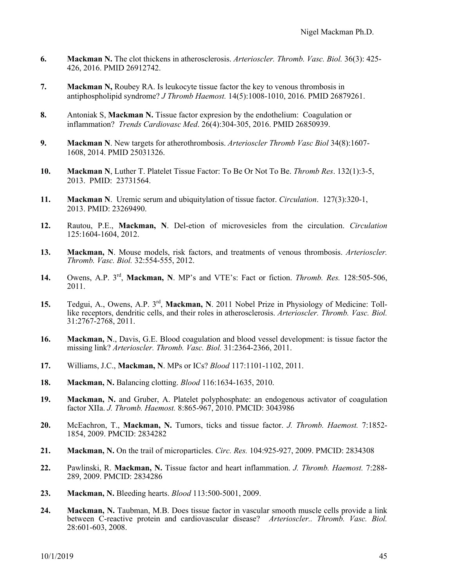- **6. Mackman N.** The clot thickens in atherosclerosis. *Arterioscler. Thromb. Vasc. Biol.* 36(3): 425- 426, 2016. PMID 26912742.
- **7. Mackman N,** Roubey RA. Is leukocyte tissue factor the key to venous thrombosis in antiphospholipid syndrome? *J Thromb Haemost.* 14(5):1008-1010, 2016. PMID 26879261.
- **8.** Antoniak S, **Mackman N.** Tissue factor expresion by the endothelium: Coagulation or inflammation? *Trends Cardiovasc Med*. 26(4):304-305, 2016. PMID 26850939.
- **9. Mackman N**. New targets for atherothrombosis. *Arterioscler Thromb Vasc Biol* 34(8):1607- 1608, 2014. PMID 25031326.
- **10. Mackman N**, Luther T. Platelet Tissue Factor: To Be Or Not To Be. *Thromb Res*. 132(1):3-5, 2013. PMID: 23731564.
- **11. Mackman N**. Uremic serum and ubiquitylation of tissue factor. *Circulation*. 127(3):320-1, 2013. PMID: 23269490.
- **12.** Rautou, P.E., **Mackman, N**. Del-etion of microvesicles from the circulation. *Circulation* 125:1604-1604, 2012.
- **13. Mackman, N**. Mouse models, risk factors, and treatments of venous thrombosis. *Arterioscler. Thromb. Vasc. Biol.* 32:554-555, 2012.
- **14.** Owens, A.P. 3rd, **Mackman, N**. MP's and VTE's: Fact or fiction. *Thromb. Res.* 128:505-506, 2011.
- **15.** Tedgui, A., Owens, A.P. 3rd, **Mackman, N**. 2011 Nobel Prize in Physiology of Medicine: Tolllike receptors, dendritic cells, and their roles in atherosclerosis. *Arterioscler. Thromb. Vasc. Biol.*  31:2767-2768, 2011.
- **16. Mackman, N**., Davis, G.E. Blood coagulation and blood vessel development: is tissue factor the missing link? *Arterioscler. Thromb. Vasc. Biol.* 31:2364-2366, 2011.
- **17.** Williams, J.C., **Mackman, N**. MPs or ICs? *Blood* 117:1101-1102, 2011.
- **18. Mackman, N.** Balancing clotting. *Blood* 116:1634-1635, 2010.
- **19. Mackman, N.** and Gruber, A. Platelet polyphosphate: an endogenous activator of coagulation factor XIIa. *J. Thromb. Haemost.* 8:865-967, 2010. PMCID: 3043986
- **20.** McEachron, T., **Mackman, N.** Tumors, ticks and tissue factor. *J. Thromb. Haemost.* 7:1852- 1854, 2009. PMCID: 2834282
- **21. Mackman, N.** On the trail of microparticles. *Circ. Res.* 104:925-927, 2009. PMCID: 2834308
- **22.** Pawlinski, R. **Mackman, N.** Tissue factor and heart inflammation. *J. Thromb. Haemost.* 7:288- 289, 2009. PMCID: 2834286
- **23. Mackman, N.** Bleeding hearts. *Blood* 113:500-5001, 2009.
- **24. Mackman, N.** Taubman, M.B. Does tissue factor in vascular smooth muscle cells provide a link between C-reactive protein and cardiovascular disease? *Arterioscler.. Thromb. Vasc. Biol.*  28:601-603, 2008.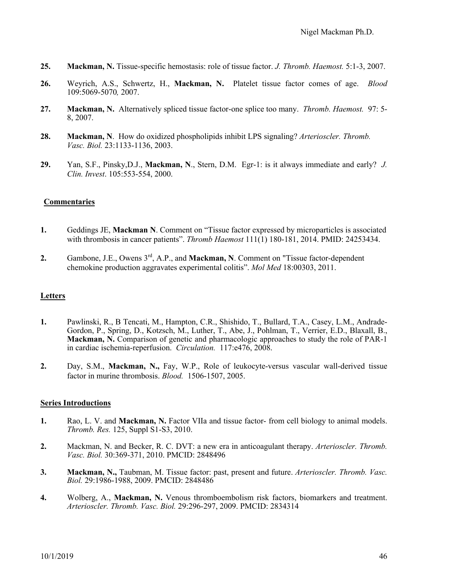- **25. Mackman, N.** Tissue-specific hemostasis: role of tissue factor. *J. Thromb. Haemost.* 5:1-3, 2007.
- **26.** Weyrich, A.S., Schwertz, H., **Mackman, N.** Platelet tissue factor comes of age. *Blood*  109:5069-5070*,* 2007.
- **27. Mackman, N.** Alternatively spliced tissue factor-one splice too many. *Thromb. Haemost.* 97: 5- 8, 2007.
- **28. Mackman, N**. How do oxidized phospholipids inhibit LPS signaling? *Arterioscler. Thromb. Vasc. Biol.* 23:1133-1136, 2003.
- **29.** Yan, S.F., Pinsky,D.J., **Mackman, N**., Stern, D.M. Egr-1: is it always immediate and early? *J. Clin. Invest*. 105:553-554, 2000.

### **Commentaries**

- **1.** Geddings JE, **Mackman N**. Comment on "Tissue factor expressed by microparticles is associated with thrombosis in cancer patients". *Thromb Haemost* 111(1) 180-181, 2014. PMID: 24253434.
- **2.** Gambone, J.E., Owens 3rd, A.P., and **Mackman, N**. Comment on "Tissue factor-dependent chemokine production aggravates experimental colitis". *Mol Med* 18:00303, 2011.

### **Letters**

- **1.** Pawlinski, R., B Tencati, M., Hampton, C.R., Shishido, T., Bullard, T.A., Casey, L.M., Andrade-Gordon, P., Spring, D., Kotzsch, M., Luther, T., Abe, J., Pohlman, T., Verrier, E.D., Blaxall, B., **Mackman, N.** Comparison of genetic and pharmacologic approaches to study the role of PAR-1 in cardiac ischemia-reperfusion. *Circulation.* 117:e476, 2008.
- **2.** Day, S.M., **Mackman, N.,** Fay, W.P., Role of leukocyte-versus vascular wall-derived tissue factor in murine thrombosis. *Blood.* 1506-1507, 2005.

### **Series Introductions**

- **1.** Rao, L. V. and **Mackman, N.** Factor VIIa and tissue factor- from cell biology to animal models. *Thromb. Res.* 125, Suppl S1-S3, 2010.
- **2.** Mackman, N. and Becker, R. C. DVT: a new era in anticoagulant therapy. *Arterioscler. Thromb. Vasc. Biol.* 30:369-371, 2010. PMCID: 2848496
- **3. Mackman, N.,** Taubman, M. Tissue factor: past, present and future. *Arterioscler. Thromb. Vasc. Biol.* 29:1986-1988, 2009. PMCID: 2848486
- **4.** Wolberg, A., **Mackman, N.** Venous thromboembolism risk factors, biomarkers and treatment. *Arterioscler. Thromb. Vasc. Biol.* 29:296-297, 2009. PMCID: 2834314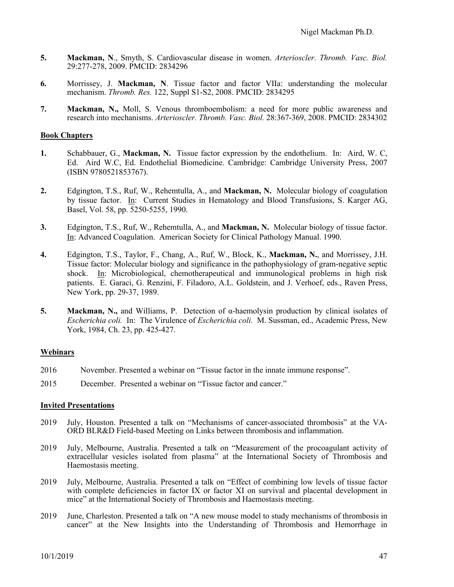- **5. Mackman, N**., Smyth, S. Cardiovascular disease in women. *Arterioscler. Thromb. Vasc. Biol.*  29:277-278, 2009. PMCID: 2834296
- **6.** Morrissey, J. **Mackman, N**. Tissue factor and factor VIIa: understanding the molecular mechanism. *Thromb. Res.* 122, Suppl S1-S2, 2008. PMCID: 2834295
- **7. Mackman, N.,** Moll, S. Venous thromboembolism: a need for more public awareness and research into mechanisms. *Arterioscler. Thromb. Vasc. Biol.* 28:367-369, 2008. PMCID: 2834302

#### **Book Chapters**

- **1.** Schabbauer, G., **Mackman, N.** Tissue factor expression by the endothelium. In: Aird, W. C, Ed. Aird W.C, Ed. Endothelial Biomedicine. Cambridge: Cambridge University Press, 2007 (ISBN 9780521853767).
- **2.** Edgington, T.S., Ruf, W., Rehemtulla, A., and **Mackman, N.** Molecular biology of coagulation by tissue factor. In: Current Studies in Hematology and Blood Transfusions, S. Karger AG, Basel, Vol. 58, pp. 5250-5255, 1990.
- **3.** Edgington, T.S., Ruf, W., Rehemtulla, A., and **Mackman, N.** Molecular biology of tissue factor. In: Advanced Coagulation. American Society for Clinical Pathology Manual. 1990.
- **4.** Edgington, T.S., Taylor, F., Chang, A., Ruf, W., Block, K., **Mackman, N.**, and Morrissey, J.H. Tissue factor: Molecular biology and significance in the pathophysiology of gram-negative septic shock. In: Microbiological, chemotherapeutical and immunological problems in high risk patients. E. Garaci, G. Renzini, F. Filadoro, A.L. Goldstein, and J. Verhoef, eds., Raven Press, New York, pp. 29-37, 1989.
- **5. Mackman, N.,** and Williams, P. Detection of α-haemolysin production by clinical isolates of *Escherichia coli.* In: The Virulence of *Escherichia coli.* M. Sussman, ed., Academic Press, New York, 1984, Ch. 23, pp. 425-427.

### **Webinars**

- 2016 November. Presented a webinar on "Tissue factor in the innate immune response".
- 2015 December. Presented a webinar on "Tissue factor and cancer."

#### **Invited Presentations**

- 2019 July, Houston. Presented a talk on "Mechanisms of cancer-associated thrombosis" at the VA-ORD BLR&D Field-based Meeting on Links between thrombosis and inflammation.
- 2019 July, Melbourne, Australia. Presented a talk on "Measurement of the procoagulant activity of extracellular vesicles isolated from plasma" at the International Society of Thrombosis and Haemostasis meeting.
- 2019 July, Melbourne, Australia. Presented a talk on "Effect of combining low levels of tissue factor with complete deficiencies in factor IX or factor XI on survival and placental development in mice" at the International Society of Thrombosis and Haemostasis meeting.
- 2019 June, Charleston. Presented a talk on "A new mouse model to study mechanisms of thrombosis in cancer" at the New Insights into the Understanding of Thrombosis and Hemorrhage in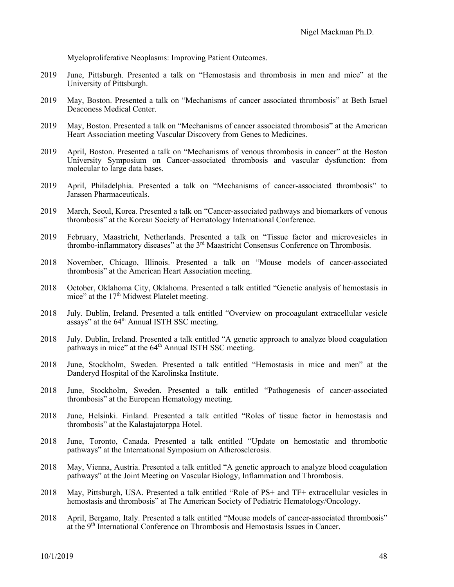Myeloproliferative Neoplasms: Improving Patient Outcomes.

- 2019 June, Pittsburgh. Presented a talk on "Hemostasis and thrombosis in men and mice" at the University of Pittsburgh.
- 2019 May, Boston. Presented a talk on "Mechanisms of cancer associated thrombosis" at Beth Israel Deaconess Medical Center.
- 2019 May, Boston. Presented a talk on "Mechanisms of cancer associated thrombosis" at the American Heart Association meeting Vascular Discovery from Genes to Medicines.
- 2019 April, Boston. Presented a talk on "Mechanisms of venous thrombosis in cancer" at the Boston University Symposium on Cancer-associated thrombosis and vascular dysfunction: from molecular to large data bases.
- 2019 April, Philadelphia. Presented a talk on "Mechanisms of cancer-associated thrombosis" to Janssen Pharmaceuticals.
- 2019 March, Seoul, Korea. Presented a talk on "Cancer-associated pathways and biomarkers of venous thrombosis" at the Korean Society of Hematology International Conference.
- 2019 February, Maastricht, Netherlands. Presented a talk on "Tissue factor and microvesicles in thrombo-inflammatory diseases" at the  $3<sup>rd</sup>$  Maastricht Consensus Conference on Thrombosis.
- 2018 November, Chicago, Illinois. Presented a talk on "Mouse models of cancer-associated thrombosis" at the American Heart Association meeting.
- 2018 October, Oklahoma City, Oklahoma. Presented a talk entitled "Genetic analysis of hemostasis in mice" at the 17<sup>th</sup> Midwest Platelet meeting.
- 2018 July. Dublin, Ireland. Presented a talk entitled "Overview on procoagulant extracellular vesicle assays" at the 64<sup>th</sup> Annual ISTH SSC meeting.
- 2018 July. Dublin, Ireland. Presented a talk entitled "A genetic approach to analyze blood coagulation pathways in mice" at the 64<sup>th</sup> Annual ISTH SSC meeting.
- 2018 June, Stockholm, Sweden. Presented a talk entitled "Hemostasis in mice and men" at the Danderyd Hospital of the Karolinska Institute.
- 2018 June, Stockholm, Sweden. Presented a talk entitled "Pathogenesis of cancer-associated thrombosis" at the European Hematology meeting.
- 2018 June, Helsinki. Finland. Presented a talk entitled "Roles of tissue factor in hemostasis and thrombosis" at the Kalastajatorppa Hotel.
- 2018 June, Toronto, Canada. Presented a talk entitled "Update on hemostatic and thrombotic pathways" at the International Symposium on Atherosclerosis.
- 2018 May, Vienna, Austria. Presented a talk entitled "A genetic approach to analyze blood coagulation pathways" at the Joint Meeting on Vascular Biology, Inflammation and Thrombosis.
- 2018 May, Pittsburgh, USA. Presented a talk entitled "Role of PS+ and TF+ extracellular vesicles in hemostasis and thrombosis" at The American Society of Pediatric Hematology/Oncology.
- 2018 April, Bergamo, Italy. Presented a talk entitled "Mouse models of cancer-associated thrombosis" at the 9th International Conference on Thrombosis and Hemostasis Issues in Cancer.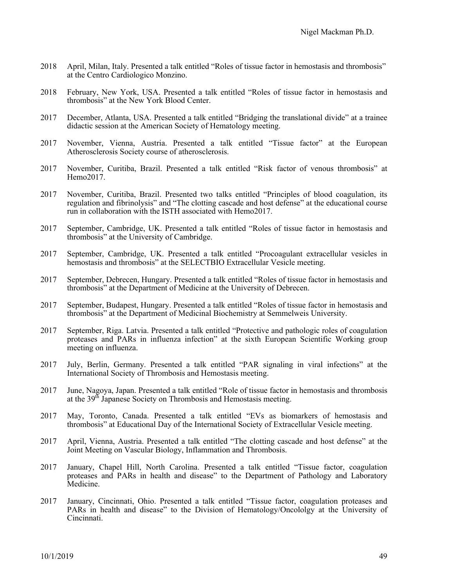- 2018 April, Milan, Italy. Presented a talk entitled "Roles of tissue factor in hemostasis and thrombosis" at the Centro Cardiologico Monzino.
- 2018 February, New York, USA. Presented a talk entitled "Roles of tissue factor in hemostasis and thrombosis" at the New York Blood Center.
- 2017 December, Atlanta, USA. Presented a talk entitled "Bridging the translational divide" at a trainee didactic session at the American Society of Hematology meeting.
- 2017 November, Vienna, Austria. Presented a talk entitled "Tissue factor" at the European Atherosclerosis Society course of atherosclerosis.
- 2017 November, Curitiba, Brazil. Presented a talk entitled "Risk factor of venous thrombosis" at Hemo2017.
- 2017 November, Curitiba, Brazil. Presented two talks entitled "Principles of blood coagulation, its regulation and fibrinolysis" and "The clotting cascade and host defense" at the educational course run in collaboration with the ISTH associated with Hemo2017.
- 2017 September, Cambridge, UK. Presented a talk entitled "Roles of tissue factor in hemostasis and thrombosis" at the University of Cambridge.
- 2017 September, Cambridge, UK. Presented a talk entitled "Procoagulant extracellular vesicles in hemostasis and thrombosis" at the SELECTBIO Extracellular Vesicle meeting.
- 2017 September, Debrecen, Hungary. Presented a talk entitled "Roles of tissue factor in hemostasis and thrombosis" at the Department of Medicine at the University of Debrecen.
- 2017 September, Budapest, Hungary. Presented a talk entitled "Roles of tissue factor in hemostasis and thrombosis" at the Department of Medicinal Biochemistry at Semmelweis University.
- 2017 September, Riga. Latvia. Presented a talk entitled "Protective and pathologic roles of coagulation proteases and PARs in influenza infection" at the sixth European Scientific Working group meeting on influenza.
- 2017 July, Berlin, Germany. Presented a talk entitled "PAR signaling in viral infections" at the International Society of Thrombosis and Hemostasis meeting.
- 2017 June, Nagoya, Japan. Presented a talk entitled "Role of tissue factor in hemostasis and thrombosis at the  $39<sup>th</sup>$  Japanese Society on Thrombosis and Hemostasis meeting.
- 2017 May, Toronto, Canada. Presented a talk entitled "EVs as biomarkers of hemostasis and thrombosis" at Educational Day of the International Society of Extracellular Vesicle meeting.
- 2017 April, Vienna, Austria. Presented a talk entitled "The clotting cascade and host defense" at the Joint Meeting on Vascular Biology, Inflammation and Thrombosis.
- 2017 January, Chapel Hill, North Carolina. Presented a talk entitled "Tissue factor, coagulation proteases and PARs in health and disease" to the Department of Pathology and Laboratory Medicine.
- 2017 January, Cincinnati, Ohio. Presented a talk entitled "Tissue factor, coagulation proteases and PARs in health and disease" to the Division of Hematology/Oncololgy at the University of Cincinnati.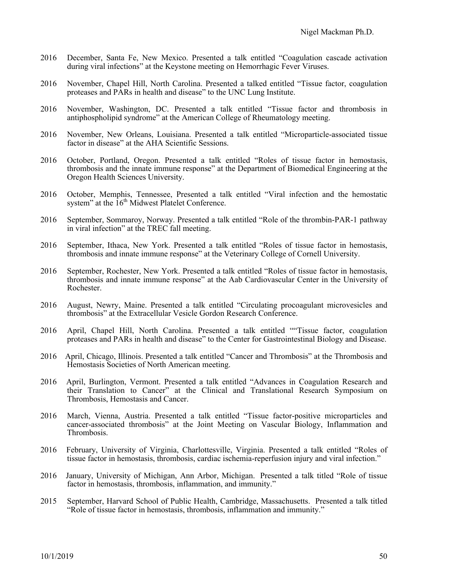- 2016 December, Santa Fe, New Mexico. Presented a talk entitled "Coagulation cascade activation during viral infections" at the Keystone meeting on Hemorrhagic Fever Viruses.
- 2016 November, Chapel Hill, North Carolina. Presented a talked entitled "Tissue factor, coagulation proteases and PARs in health and disease" to the UNC Lung Institute.
- 2016 November, Washington, DC. Presented a talk entitled "Tissue factor and thrombosis in antiphospholipid syndrome" at the American College of Rheumatology meeting.
- 2016 November, New Orleans, Louisiana. Presented a talk entitled "Microparticle-associated tissue factor in disease" at the AHA Scientific Sessions.
- 2016 October, Portland, Oregon. Presented a talk entitled "Roles of tissue factor in hemostasis, thrombosis and the innate immune response" at the Department of Biomedical Engineering at the Oregon Health Sciences University.
- 2016 October, Memphis, Tennessee, Presented a talk entitled "Viral infection and the hemostatic system" at the  $16<sup>th</sup>$  Midwest Platelet Conference.
- 2016 September, Sommaroy, Norway. Presented a talk entitled "Role of the thrombin-PAR-1 pathway in viral infection" at the TREC fall meeting.
- 2016 September, Ithaca, New York. Presented a talk entitled "Roles of tissue factor in hemostasis, thrombosis and innate immune response" at the Veterinary College of Cornell University.
- 2016 September, Rochester, New York. Presented a talk entitled "Roles of tissue factor in hemostasis, thrombosis and innate immune response" at the Aab Cardiovascular Center in the University of Rochester.
- 2016 August, Newry, Maine. Presented a talk entitled "Circulating procoagulant microvesicles and thrombosis" at the Extracellular Vesicle Gordon Research Conference.
- 2016 April, Chapel Hill, North Carolina. Presented a talk entitled ""Tissue factor, coagulation proteases and PARs in health and disease" to the Center for Gastrointestinal Biology and Disease.
- 2016 April, Chicago, Illinois. Presented a talk entitled "Cancer and Thrombosis" at the Thrombosis and Hemostasis Societies of North American meeting.
- 2016 April, Burlington, Vermont. Presented a talk entitled "Advances in Coagulation Research and their Translation to Cancer" at the Clinical and Translational Research Symposium on Thrombosis, Hemostasis and Cancer.
- 2016 March, Vienna, Austria. Presented a talk entitled "Tissue factor-positive microparticles and cancer-associated thrombosis" at the Joint Meeting on Vascular Biology, Inflammation and Thrombosis.
- 2016 February, University of Virginia, Charlottesville, Virginia. Presented a talk entitled "Roles of tissue factor in hemostasis, thrombosis, cardiac ischemia-reperfusion injury and viral infection."
- 2016 January, University of Michigan, Ann Arbor, Michigan. Presented a talk titled "Role of tissue factor in hemostasis, thrombosis, inflammation, and immunity."
- 2015 September, Harvard School of Public Health, Cambridge, Massachusetts. Presented a talk titled "Role of tissue factor in hemostasis, thrombosis, inflammation and immunity."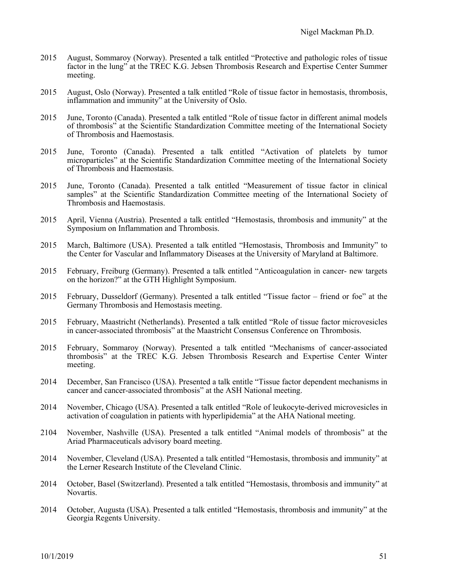- 2015 August, Sommaroy (Norway). Presented a talk entitled "Protective and pathologic roles of tissue factor in the lung" at the TREC K.G. Jebsen Thrombosis Research and Expertise Center Summer meeting.
- 2015 August, Oslo (Norway). Presented a talk entitled "Role of tissue factor in hemostasis, thrombosis, inflammation and immunity" at the University of Oslo.
- 2015 June, Toronto (Canada). Presented a talk entitled "Role of tissue factor in different animal models of thrombosis" at the Scientific Standardization Committee meeting of the International Society of Thrombosis and Haemostasis.
- 2015 June, Toronto (Canada). Presented a talk entitled "Activation of platelets by tumor microparticles" at the Scientific Standardization Committee meeting of the International Society of Thrombosis and Haemostasis.
- 2015 June, Toronto (Canada). Presented a talk entitled "Measurement of tissue factor in clinical samples" at the Scientific Standardization Committee meeting of the International Society of Thrombosis and Haemostasis.
- 2015 April, Vienna (Austria). Presented a talk entitled "Hemostasis, thrombosis and immunity" at the Symposium on Inflammation and Thrombosis.
- 2015 March, Baltimore (USA). Presented a talk entitled "Hemostasis, Thrombosis and Immunity" to the Center for Vascular and Inflammatory Diseases at the University of Maryland at Baltimore.
- 2015 February, Freiburg (Germany). Presented a talk entitled "Anticoagulation in cancer- new targets on the horizon?" at the GTH Highlight Symposium.
- 2015 February, Dusseldorf (Germany). Presented a talk entitled "Tissue factor friend or foe" at the Germany Thrombosis and Hemostasis meeting.
- 2015 February, Maastricht (Netherlands). Presented a talk entitled "Role of tissue factor microvesicles in cancer-associated thrombosis" at the Maastricht Consensus Conference on Thrombosis.
- 2015 February, Sommaroy (Norway). Presented a talk entitled "Mechanisms of cancer-associated thrombosis" at the TREC K.G. Jebsen Thrombosis Research and Expertise Center Winter meeting.
- 2014 December, San Francisco (USA). Presented a talk entitle "Tissue factor dependent mechanisms in cancer and cancer-associated thrombosis" at the ASH National meeting.
- 2014 November, Chicago (USA). Presented a talk entitled "Role of leukocyte-derived microvesicles in activation of coagulation in patients with hyperlipidemia" at the AHA National meeting.
- 2104 November, Nashville (USA). Presented a talk entitled "Animal models of thrombosis" at the Ariad Pharmaceuticals advisory board meeting.
- 2014 November, Cleveland (USA). Presented a talk entitled "Hemostasis, thrombosis and immunity" at the Lerner Research Institute of the Cleveland Clinic.
- 2014 October, Basel (Switzerland). Presented a talk entitled "Hemostasis, thrombosis and immunity" at Novartis.
- 2014 October, Augusta (USA). Presented a talk entitled "Hemostasis, thrombosis and immunity" at the Georgia Regents University.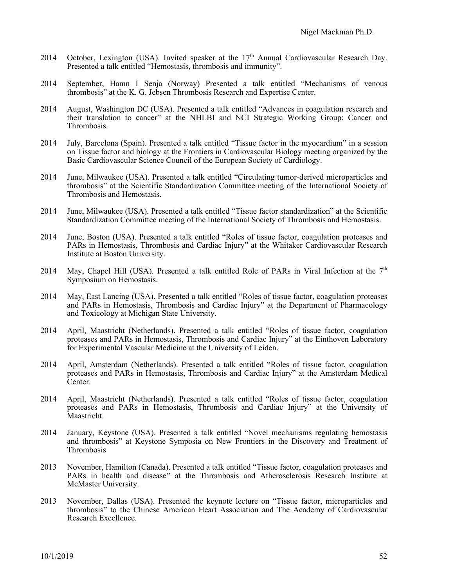- 2014 October, Lexington (USA). Invited speaker at the 17<sup>th</sup> Annual Cardiovascular Research Day. Presented a talk entitled "Hemostasis, thrombosis and immunity".
- 2014 September, Hamn I Senja (Norway) Presented a talk entitled "Mechanisms of venous thrombosis" at the K. G. Jebsen Thrombosis Research and Expertise Center.
- 2014 August, Washington DC (USA). Presented a talk entitled "Advances in coagulation research and their translation to cancer" at the NHLBI and NCI Strategic Working Group: Cancer and Thrombosis.
- 2014 July, Barcelona (Spain). Presented a talk entitled "Tissue factor in the myocardium" in a session on Tissue factor and biology at the Frontiers in Cardiovascular Biology meeting organized by the Basic Cardiovascular Science Council of the European Society of Cardiology.
- 2014 June, Milwaukee (USA). Presented a talk entitled "Circulating tumor-derived microparticles and thrombosis" at the Scientific Standardization Committee meeting of the International Society of Thrombosis and Hemostasis.
- 2014 June, Milwaukee (USA). Presented a talk entitled "Tissue factor standardization" at the Scientific Standardization Committee meeting of the International Society of Thrombosis and Hemostasis.
- 2014 June, Boston (USA). Presented a talk entitled "Roles of tissue factor, coagulation proteases and PARs in Hemostasis, Thrombosis and Cardiac Injury" at the Whitaker Cardiovascular Research Institute at Boston University.
- 2014 May, Chapel Hill (USA). Presented a talk entitled Role of PARs in Viral Infection at the  $7<sup>th</sup>$ Symposium on Hemostasis.
- 2014 May, East Lancing (USA). Presented a talk entitled "Roles of tissue factor, coagulation proteases and PARs in Hemostasis, Thrombosis and Cardiac Injury" at the Department of Pharmacology and Toxicology at Michigan State University.
- 2014 April, Maastricht (Netherlands). Presented a talk entitled "Roles of tissue factor, coagulation proteases and PARs in Hemostasis, Thrombosis and Cardiac Injury" at the Einthoven Laboratory for Experimental Vascular Medicine at the University of Leiden.
- 2014 April, Amsterdam (Netherlands). Presented a talk entitled "Roles of tissue factor, coagulation proteases and PARs in Hemostasis, Thrombosis and Cardiac Injury" at the Amsterdam Medical Center.
- 2014 April, Maastricht (Netherlands). Presented a talk entitled "Roles of tissue factor, coagulation proteases and PARs in Hemostasis, Thrombosis and Cardiac Injury" at the University of Maastricht.
- 2014 January, Keystone (USA). Presented a talk entitled "Novel mechanisms regulating hemostasis and thrombosis" at Keystone Symposia on New Frontiers in the Discovery and Treatment of Thrombosis
- 2013 November, Hamilton (Canada). Presented a talk entitled "Tissue factor, coagulation proteases and PARs in health and disease" at the Thrombosis and Atherosclerosis Research Institute at McMaster University.
- 2013 November, Dallas (USA). Presented the keynote lecture on "Tissue factor, microparticles and thrombosis" to the Chinese American Heart Association and The Academy of Cardiovascular Research Excellence.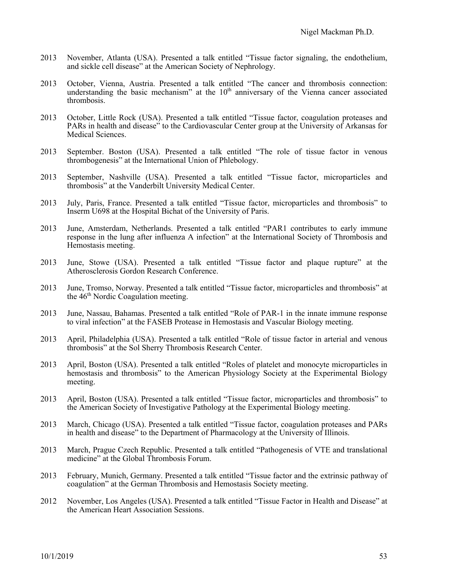- 2013 November, Atlanta (USA). Presented a talk entitled "Tissue factor signaling, the endothelium, and sickle cell disease" at the American Society of Nephrology.
- 2013 October, Vienna, Austria. Presented a talk entitled "The cancer and thrombosis connection: understanding the basic mechanism" at the  $10<sup>th</sup>$  anniversary of the Vienna cancer associated thrombosis.
- 2013 October, Little Rock (USA). Presented a talk entitled "Tissue factor, coagulation proteases and PARs in health and disease" to the Cardiovascular Center group at the University of Arkansas for Medical Sciences.
- 2013 September. Boston (USA). Presented a talk entitled "The role of tissue factor in venous thrombogenesis" at the International Union of Phlebology.
- 2013 September, Nashville (USA). Presented a talk entitled "Tissue factor, microparticles and thrombosis" at the Vanderbilt University Medical Center.
- 2013 July, Paris, France. Presented a talk entitled "Tissue factor, microparticles and thrombosis" to Inserm U698 at the Hospital Bichat of the University of Paris.
- 2013 June, Amsterdam, Netherlands. Presented a talk entitled "PAR1 contributes to early immune response in the lung after influenza A infection" at the International Society of Thrombosis and Hemostasis meeting.
- 2013 June, Stowe (USA). Presented a talk entitled "Tissue factor and plaque rupture" at the Atherosclerosis Gordon Research Conference.
- 2013 June, Tromso, Norway. Presented a talk entitled "Tissue factor, microparticles and thrombosis" at the  $46<sup>th</sup>$  Nordic Coagulation meeting.
- 2013 June, Nassau, Bahamas. Presented a talk entitled "Role of PAR-1 in the innate immune response to viral infection" at the FASEB Protease in Hemostasis and Vascular Biology meeting.
- 2013 April, Philadelphia (USA). Presented a talk entitled "Role of tissue factor in arterial and venous thrombosis" at the Sol Sherry Thrombosis Research Center.
- 2013 April, Boston (USA). Presented a talk entitled "Roles of platelet and monocyte microparticles in hemostasis and thrombosis" to the American Physiology Society at the Experimental Biology meeting.
- 2013 April, Boston (USA). Presented a talk entitled "Tissue factor, microparticles and thrombosis" to the American Society of Investigative Pathology at the Experimental Biology meeting.
- 2013 March, Chicago (USA). Presented a talk entitled "Tissue factor, coagulation proteases and PARs in health and disease" to the Department of Pharmacology at the University of Illinois.
- 2013 March, Prague Czech Republic. Presented a talk entitled "Pathogenesis of VTE and translational medicine" at the Global Thrombosis Forum.
- 2013 February, Munich, Germany. Presented a talk entitled "Tissue factor and the extrinsic pathway of coagulation" at the German Thrombosis and Hemostasis Society meeting.
- 2012 November, Los Angeles (USA). Presented a talk entitled "Tissue Factor in Health and Disease" at the American Heart Association Sessions.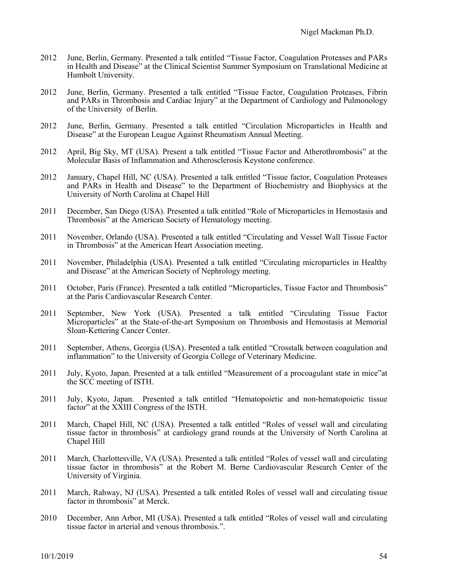- 2012 June, Berlin, Germany. Presented a talk entitled "Tissue Factor, Coagulation Proteases and PARs in Health and Disease" at the Clinical Scientist Summer Symposium on Translational Medicine at Humbolt University.
- 2012 June, Berlin, Germany. Presented a talk entitled "Tissue Factor, Coagulation Proteases, Fibrin and PARs in Thrombosis and Cardiac Injury" at the Department of Cardiology and Pulmonology of the University of Berlin.
- 2012 June, Berlin, Germany. Presented a talk entitled "Circulation Microparticles in Health and Disease" at the European League Against Rheumatism Annual Meeting.
- 2012 April, Big Sky, MT (USA). Present a talk entitled "Tissue Factor and Atherothrombosis" at the Molecular Basis of Inflammation and Atherosclerosis Keystone conference.
- 2012 January, Chapel Hill, NC (USA). Presented a talk entitled "Tissue factor, Coagulation Proteases and PARs in Health and Disease" to the Department of Biochemistry and Biophysics at the University of North Carolina at Chapel Hill
- 2011 December, San Diego (USA). Presented a talk entitled "Role of Microparticles in Hemostasis and Thrombosis" at the American Society of Hematology meeting.
- 2011 November, Orlando (USA). Presented a talk entitled "Circulating and Vessel Wall Tissue Factor in Thrombosis" at the American Heart Association meeting.
- 2011 November, Philadelphia (USA). Presented a talk entitled "Circulating microparticles in Healthy and Disease" at the American Society of Nephrology meeting.
- 2011 October, Paris (France). Presented a talk entitled "Microparticles, Tissue Factor and Thrombosis" at the Paris Cardiovascular Research Center.
- 2011 September, New York (USA). Presented a talk entitled "Circulating Tissue Factor Microparticles" at the State-of-the-art Symposium on Thrombosis and Hemostasis at Memorial Sloan-Kettering Cancer Center.
- 2011 September, Athens, Georgia (USA). Presented a talk entitled "Crosstalk between coagulation and inflammation" to the University of Georgia College of Veterinary Medicine.
- 2011 July, Kyoto, Japan. Presented at a talk entitled "Measurement of a procoagulant state in mice"at the SCC meeting of ISTH.
- 2011 July, Kyoto, Japan. Presented a talk entitled "Hematopoietic and non-hematopoietic tissue factor" at the XXIII Congress of the ISTH.
- 2011 March, Chapel Hill, NC (USA). Presented a talk entitled "Roles of vessel wall and circulating tissue factor in thrombosis" at cardiology grand rounds at the University of North Carolina at Chapel Hill
- 2011 March, Charlottesville, VA (USA). Presented a talk entitled "Roles of vessel wall and circulating tissue factor in thrombosis" at the Robert M. Berne Cardiovascular Research Center of the University of Virginia.
- 2011 March, Rahway, NJ (USA). Presented a talk entitled Roles of vessel wall and circulating tissue factor in thrombosis" at Merck.
- 2010 December, Ann Arbor, MI (USA). Presented a talk entitled "Roles of vessel wall and circulating tissue factor in arterial and venous thrombosis.".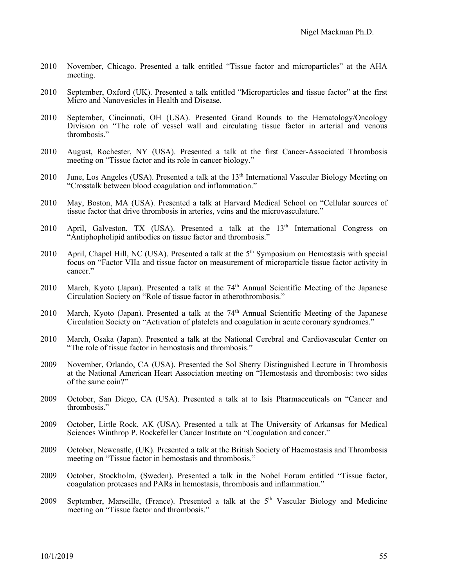- 2010 November, Chicago. Presented a talk entitled "Tissue factor and microparticles" at the AHA meeting.
- 2010 September, Oxford (UK). Presented a talk entitled "Microparticles and tissue factor" at the first Micro and Nanovesicles in Health and Disease.
- 2010 September, Cincinnati, OH (USA). Presented Grand Rounds to the Hematology/Oncology Division on "The role of vessel wall and circulating tissue factor in arterial and venous thrombosis."
- 2010 August, Rochester, NY (USA). Presented a talk at the first Cancer-Associated Thrombosis meeting on "Tissue factor and its role in cancer biology."
- 2010 June, Los Angeles (USA). Presented a talk at the  $13<sup>th</sup>$  International Vascular Biology Meeting on "Crosstalk between blood coagulation and inflammation."
- 2010 May, Boston, MA (USA). Presented a talk at Harvard Medical School on "Cellular sources of tissue factor that drive thrombosis in arteries, veins and the microvasculature."
- 2010 April, Galveston, TX (USA). Presented a talk at the  $13<sup>th</sup>$  International Congress on "Antiphopholipid antibodies on tissue factor and thrombosis."
- 2010 April, Chapel Hill, NC (USA). Presented a talk at the 5<sup>th</sup> Symposium on Hemostasis with special focus on "Factor VIIa and tissue factor on measurement of microparticle tissue factor activity in cancer."
- 2010 March, Kyoto (Japan). Presented a talk at the 74<sup>th</sup> Annual Scientific Meeting of the Japanese Circulation Society on "Role of tissue factor in atherothrombosis."
- 2010 March, Kyoto (Japan). Presented a talk at the 74<sup>th</sup> Annual Scientific Meeting of the Japanese Circulation Society on "Activation of platelets and coagulation in acute coronary syndromes."
- 2010 March, Osaka (Japan). Presented a talk at the National Cerebral and Cardiovascular Center on "The role of tissue factor in hemostasis and thrombosis."
- 2009 November, Orlando, CA (USA). Presented the Sol Sherry Distinguished Lecture in Thrombosis at the National American Heart Association meeting on "Hemostasis and thrombosis: two sides of the same coin?"
- 2009 October, San Diego, CA (USA). Presented a talk at to Isis Pharmaceuticals on "Cancer and thrombosis."
- 2009 October, Little Rock, AK (USA). Presented a talk at The University of Arkansas for Medical Sciences Winthrop P. Rockefeller Cancer Institute on "Coagulation and cancer."
- 2009 October, Newcastle, (UK). Presented a talk at the British Society of Haemostasis and Thrombosis meeting on "Tissue factor in hemostasis and thrombosis."
- 2009 October, Stockholm, (Sweden). Presented a talk in the Nobel Forum entitled "Tissue factor, coagulation proteases and PARs in hemostasis, thrombosis and inflammation."
- 2009 September, Marseille, (France). Presented a talk at the  $5<sup>th</sup>$  Vascular Biology and Medicine meeting on "Tissue factor and thrombosis."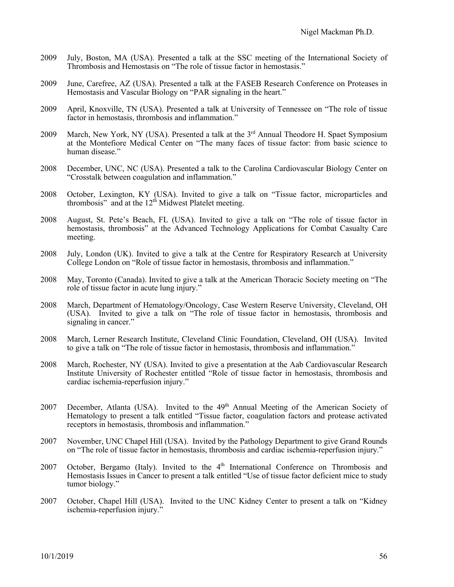- 2009 July, Boston, MA (USA). Presented a talk at the SSC meeting of the International Society of Thrombosis and Hemostasis on "The role of tissue factor in hemostasis."
- 2009 June, Carefree, AZ (USA). Presented a talk at the FASEB Research Conference on Proteases in Hemostasis and Vascular Biology on "PAR signaling in the heart."
- 2009 April, Knoxville, TN (USA). Presented a talk at University of Tennessee on "The role of tissue factor in hemostasis, thrombosis and inflammation."
- 2009 March, New York, NY (USA). Presented a talk at the 3<sup>rd</sup> Annual Theodore H. Spaet Symposium at the Montefiore Medical Center on "The many faces of tissue factor: from basic science to human disease."
- 2008 December, UNC, NC (USA). Presented a talk to the Carolina Cardiovascular Biology Center on "Crosstalk between coagulation and inflammation."
- 2008 October, Lexington, KY (USA). Invited to give a talk on "Tissue factor, microparticles and thrombosis" and at the  $12<sup>th</sup>$  Midwest Platelet meeting.
- 2008 August, St. Pete's Beach, FL (USA). Invited to give a talk on "The role of tissue factor in hemostasis, thrombosis" at the Advanced Technology Applications for Combat Casualty Care meeting.
- 2008 July, London (UK). Invited to give a talk at the Centre for Respiratory Research at University College London on "Role of tissue factor in hemostasis, thrombosis and inflammation."
- 2008 May, Toronto (Canada). Invited to give a talk at the American Thoracic Society meeting on "The role of tissue factor in acute lung injury."
- 2008 March, Department of Hematology/Oncology, Case Western Reserve University, Cleveland, OH (USA). Invited to give a talk on "The role of tissue factor in hemostasis, thrombosis and signaling in cancer."
- 2008 March, Lerner Research Institute, Cleveland Clinic Foundation, Cleveland, OH (USA). Invited to give a talk on "The role of tissue factor in hemostasis, thrombosis and inflammation."
- 2008 March, Rochester, NY (USA). Invited to give a presentation at the Aab Cardiovascular Research Institute University of Rochester entitled "Role of tissue factor in hemostasis, thrombosis and cardiac ischemia-reperfusion injury."
- 2007 December, Atlanta (USA). Invited to the 49<sup>th</sup> Annual Meeting of the American Society of Hematology to present a talk entitled "Tissue factor, coagulation factors and protease activated receptors in hemostasis, thrombosis and inflammation."
- 2007 November, UNC Chapel Hill (USA). Invited by the Pathology Department to give Grand Rounds on "The role of tissue factor in hemostasis, thrombosis and cardiac ischemia-reperfusion injury."
- 2007 October, Bergamo (Italy). Invited to the  $4<sup>th</sup>$  International Conference on Thrombosis and Hemostasis Issues in Cancer to present a talk entitled "Use of tissue factor deficient mice to study tumor biology."
- 2007 October, Chapel Hill (USA). Invited to the UNC Kidney Center to present a talk on "Kidney ischemia-reperfusion injury."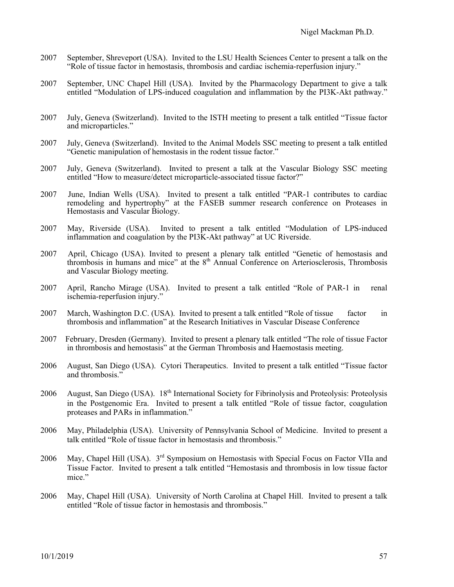- 2007 September, Shreveport (USA). Invited to the LSU Health Sciences Center to present a talk on the "Role of tissue factor in hemostasis, thrombosis and cardiac ischemia-reperfusion injury."
- 2007 September, UNC Chapel Hill (USA). Invited by the Pharmacology Department to give a talk entitled "Modulation of LPS-induced coagulation and inflammation by the PI3K-Akt pathway."
- 2007 July, Geneva (Switzerland). Invited to the ISTH meeting to present a talk entitled "Tissue factor and microparticles."
- 2007 July, Geneva (Switzerland). Invited to the Animal Models SSC meeting to present a talk entitled "Genetic manipulation of hemostasis in the rodent tissue factor."
- 2007 July, Geneva (Switzerland). Invited to present a talk at the Vascular Biology SSC meeting entitled "How to measure/detect microparticle-associated tissue factor?"
- 2007 June, Indian Wells (USA). Invited to present a talk entitled "PAR-1 contributes to cardiac remodeling and hypertrophy" at the FASEB summer research conference on Proteases in Hemostasis and Vascular Biology.
- 2007 May, Riverside (USA). Invited to present a talk entitled "Modulation of LPS-induced inflammation and coagulation by the PI3K-Akt pathway" at UC Riverside.
- 2007 April, Chicago (USA). Invited to present a plenary talk entitled "Genetic of hemostasis and thrombosis in humans and mice" at the 8th Annual Conference on Arteriosclerosis, Thrombosis and Vascular Biology meeting.
- 2007 April, Rancho Mirage (USA). Invited to present a talk entitled "Role of PAR-1 in renal ischemia-reperfusion injury."
- 2007 March, Washington D.C. (USA). Invited to present a talk entitled "Role of tissue factor in thrombosis and inflammation" at the Research Initiatives in Vascular Disease Conference
- 2007 February, Dresden (Germany). Invited to present a plenary talk entitled "The role of tissue Factor in thrombosis and hemostasis" at the German Thrombosis and Haemostasis meeting.
- 2006 August, San Diego (USA). Cytori Therapeutics. Invited to present a talk entitled "Tissue factor and thrombosis."
- 2006 August, San Diego (USA). 18<sup>th</sup> International Society for Fibrinolysis and Proteolysis: Proteolysis in the Postgenomic Era. Invited to present a talk entitled "Role of tissue factor, coagulation proteases and PARs in inflammation."
- 2006 May, Philadelphia (USA). University of Pennsylvania School of Medicine. Invited to present a talk entitled "Role of tissue factor in hemostasis and thrombosis."
- 2006 May, Chapel Hill (USA). 3<sup>rd</sup> Symposium on Hemostasis with Special Focus on Factor VIIa and Tissue Factor. Invited to present a talk entitled "Hemostasis and thrombosis in low tissue factor mice."
- 2006 May, Chapel Hill (USA). University of North Carolina at Chapel Hill. Invited to present a talk entitled "Role of tissue factor in hemostasis and thrombosis."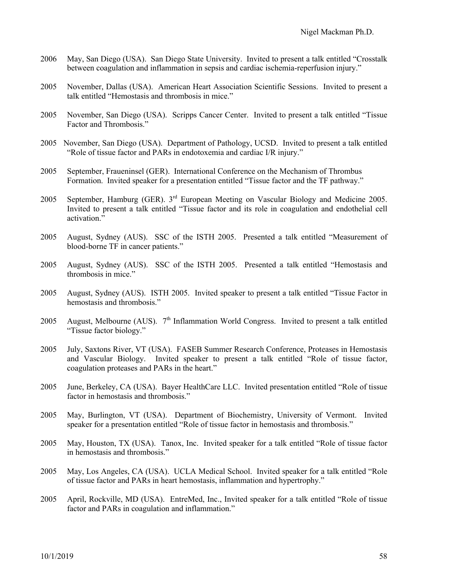- 2006 May, San Diego (USA). San Diego State University. Invited to present a talk entitled "Crosstalk between coagulation and inflammation in sepsis and cardiac ischemia-reperfusion injury."
- 2005 November, Dallas (USA). American Heart Association Scientific Sessions. Invited to present a talk entitled "Hemostasis and thrombosis in mice."
- 2005 November, San Diego (USA). Scripps Cancer Center. Invited to present a talk entitled "Tissue Factor and Thrombosis."
- 2005 November, San Diego (USA). Department of Pathology, UCSD. Invited to present a talk entitled "Role of tissue factor and PARs in endotoxemia and cardiac I/R injury."
- 2005 September, Fraueninsel (GER). International Conference on the Mechanism of Thrombus Formation. Invited speaker for a presentation entitled "Tissue factor and the TF pathway."
- 2005 September, Hamburg (GER). 3rd European Meeting on Vascular Biology and Medicine 2005. Invited to present a talk entitled "Tissue factor and its role in coagulation and endothelial cell activation."
- 2005 August, Sydney (AUS). SSC of the ISTH 2005. Presented a talk entitled "Measurement of blood-borne TF in cancer patients."
- 2005 August, Sydney (AUS). SSC of the ISTH 2005. Presented a talk entitled "Hemostasis and thrombosis in mice."
- 2005 August, Sydney (AUS). ISTH 2005. Invited speaker to present a talk entitled "Tissue Factor in hemostasis and thrombosis."
- 2005 August, Melbourne (AUS).  $7<sup>th</sup>$  Inflammation World Congress. Invited to present a talk entitled "Tissue factor biology."
- 2005 July, Saxtons River, VT (USA). FASEB Summer Research Conference, Proteases in Hemostasis and Vascular Biology. Invited speaker to present a talk entitled "Role of tissue factor, coagulation proteases and PARs in the heart."
- 2005 June, Berkeley, CA (USA). Bayer HealthCare LLC. Invited presentation entitled "Role of tissue factor in hemostasis and thrombosis."
- 2005 May, Burlington, VT (USA). Department of Biochemistry, University of Vermont. Invited speaker for a presentation entitled "Role of tissue factor in hemostasis and thrombosis."
- 2005 May, Houston, TX (USA). Tanox, Inc. Invited speaker for a talk entitled "Role of tissue factor in hemostasis and thrombosis."
- 2005 May, Los Angeles, CA (USA). UCLA Medical School. Invited speaker for a talk entitled "Role of tissue factor and PARs in heart hemostasis, inflammation and hypertrophy."
- 2005 April, Rockville, MD (USA). EntreMed, Inc., Invited speaker for a talk entitled "Role of tissue factor and PARs in coagulation and inflammation."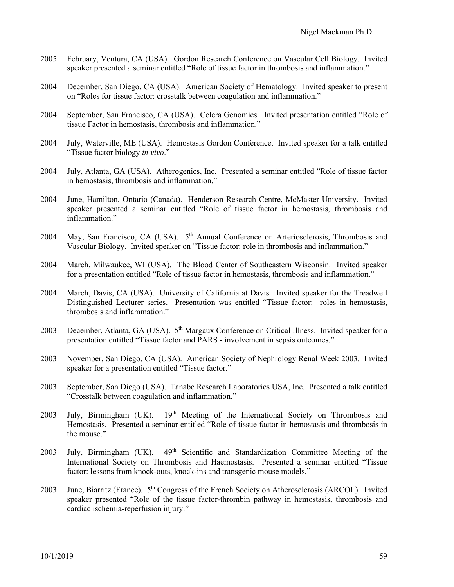- 2005 February, Ventura, CA (USA). Gordon Research Conference on Vascular Cell Biology. Invited speaker presented a seminar entitled "Role of tissue factor in thrombosis and inflammation."
- 2004 December, San Diego, CA (USA). American Society of Hematology. Invited speaker to present on "Roles for tissue factor: crosstalk between coagulation and inflammation."
- 2004 September, San Francisco, CA (USA). Celera Genomics. Invited presentation entitled "Role of tissue Factor in hemostasis, thrombosis and inflammation."
- 2004 July, Waterville, ME (USA). Hemostasis Gordon Conference. Invited speaker for a talk entitled "Tissue factor biology *in vivo*."
- 2004 July, Atlanta, GA (USA). Atherogenics, Inc. Presented a seminar entitled "Role of tissue factor in hemostasis, thrombosis and inflammation."
- 2004 June, Hamilton, Ontario (Canada). Henderson Research Centre, McMaster University. Invited speaker presented a seminar entitled "Role of tissue factor in hemostasis, thrombosis and inflammation."
- 2004 May, San Francisco, CA (USA). 5<sup>th</sup> Annual Conference on Arteriosclerosis, Thrombosis and Vascular Biology. Invited speaker on "Tissue factor: role in thrombosis and inflammation."
- 2004 March, Milwaukee, WI (USA). The Blood Center of Southeastern Wisconsin. Invited speaker for a presentation entitled "Role of tissue factor in hemostasis, thrombosis and inflammation."
- 2004 March, Davis, CA (USA). University of California at Davis. Invited speaker for the Treadwell Distinguished Lecturer series. Presentation was entitled "Tissue factor: roles in hemostasis, thrombosis and inflammation."
- 2003 December, Atlanta, GA (USA). 5<sup>th</sup> Margaux Conference on Critical Illness. Invited speaker for a presentation entitled "Tissue factor and PARS - involvement in sepsis outcomes."
- 2003 November, San Diego, CA (USA). American Society of Nephrology Renal Week 2003. Invited speaker for a presentation entitled "Tissue factor."
- 2003 September, San Diego (USA). Tanabe Research Laboratories USA, Inc. Presented a talk entitled "Crosstalk between coagulation and inflammation."
- 2003 July, Birmingham (UK). 19<sup>th</sup> Meeting of the International Society on Thrombosis and Hemostasis. Presented a seminar entitled "Role of tissue factor in hemostasis and thrombosis in the mouse."
- 2003 July, Birmingham (UK). 49<sup>th</sup> Scientific and Standardization Committee Meeting of the International Society on Thrombosis and Haemostasis. Presented a seminar entitled "Tissue factor: lessons from knock-outs, knock-ins and transgenic mouse models."
- 2003 June, Biarritz (France). 5<sup>th</sup> Congress of the French Society on Atherosclerosis (ARCOL). Invited speaker presented "Role of the tissue factor-thrombin pathway in hemostasis, thrombosis and cardiac ischemia-reperfusion injury."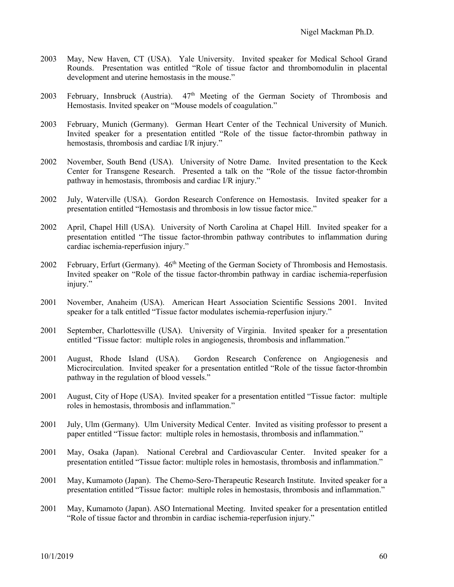- 2003 May, New Haven, CT (USA). Yale University. Invited speaker for Medical School Grand Rounds. Presentation was entitled "Role of tissue factor and thrombomodulin in placental development and uterine hemostasis in the mouse."
- 2003 February, Innsbruck (Austria).  $47<sup>th</sup>$  Meeting of the German Society of Thrombosis and Hemostasis. Invited speaker on "Mouse models of coagulation."
- 2003 February, Munich (Germany). German Heart Center of the Technical University of Munich. Invited speaker for a presentation entitled "Role of the tissue factor-thrombin pathway in hemostasis, thrombosis and cardiac I/R injury."
- 2002 November, South Bend (USA). University of Notre Dame. Invited presentation to the Keck Center for Transgene Research. Presented a talk on the "Role of the tissue factor-thrombin pathway in hemostasis, thrombosis and cardiac I/R injury."
- 2002 July, Waterville (USA). Gordon Research Conference on Hemostasis. Invited speaker for a presentation entitled "Hemostasis and thrombosis in low tissue factor mice."
- 2002 April, Chapel Hill (USA). University of North Carolina at Chapel Hill. Invited speaker for a presentation entitled "The tissue factor-thrombin pathway contributes to inflammation during cardiac ischemia-reperfusion injury."
- 2002 February, Erfurt (Germany). 46<sup>th</sup> Meeting of the German Society of Thrombosis and Hemostasis. Invited speaker on "Role of the tissue factor-thrombin pathway in cardiac ischemia-reperfusion injury."
- 2001 November, Anaheim (USA). American Heart Association Scientific Sessions 2001. Invited speaker for a talk entitled "Tissue factor modulates ischemia-reperfusion injury."
- 2001 September, Charlottesville (USA). University of Virginia. Invited speaker for a presentation entitled "Tissue factor: multiple roles in angiogenesis, thrombosis and inflammation."
- 2001 August, Rhode Island (USA). Gordon Research Conference on Angiogenesis and Microcirculation. Invited speaker for a presentation entitled "Role of the tissue factor-thrombin pathway in the regulation of blood vessels."
- 2001 August, City of Hope (USA). Invited speaker for a presentation entitled "Tissue factor: multiple roles in hemostasis, thrombosis and inflammation."
- 2001 July, Ulm (Germany). Ulm University Medical Center. Invited as visiting professor to present a paper entitled "Tissue factor: multiple roles in hemostasis, thrombosis and inflammation."
- 2001 May, Osaka (Japan). National Cerebral and Cardiovascular Center. Invited speaker for a presentation entitled "Tissue factor: multiple roles in hemostasis, thrombosis and inflammation."
- 2001 May, Kumamoto (Japan). The Chemo-Sero-Therapeutic Research Institute. Invited speaker for a presentation entitled "Tissue factor: multiple roles in hemostasis, thrombosis and inflammation."
- 2001 May, Kumamoto (Japan). ASO International Meeting. Invited speaker for a presentation entitled "Role of tissue factor and thrombin in cardiac ischemia-reperfusion injury."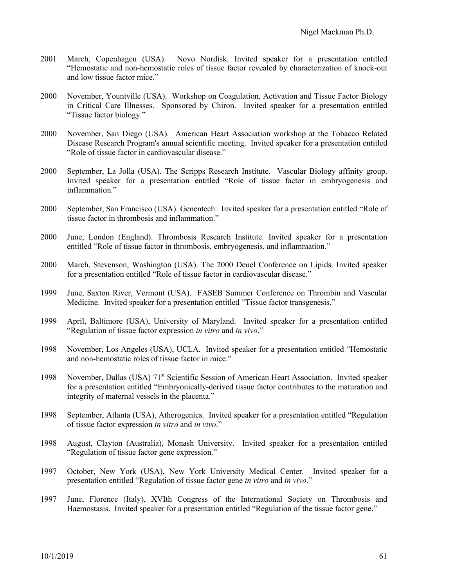- 2001 March, Copenhagen (USA). Novo Nordisk. Invited speaker for a presentation entitled "Hemostatic and non-hemostatic roles of tissue factor revealed by characterization of knock-out and low tissue factor mice."
- 2000 November, Yountville (USA). Workshop on Coagulation, Activation and Tissue Factor Biology in Critical Care Illnesses. Sponsored by Chiron. Invited speaker for a presentation entitled "Tissue factor biology."
- 2000 November, San Diego (USA). American Heart Association workshop at the Tobacco Related Disease Research Program's annual scientific meeting. Invited speaker for a presentation entitled "Role of tissue factor in cardiovascular disease."
- 2000 September, La Jolla (USA). The Scripps Research Institute. Vascular Biology affinity group. Invited speaker for a presentation entitled "Role of tissue factor in embryogenesis and inflammation."
- 2000 September, San Francisco (USA). Genentech. Invited speaker for a presentation entitled "Role of tissue factor in thrombosis and inflammation."
- 2000 June, London (England). Thrombosis Research Institute. Invited speaker for a presentation entitled "Role of tissue factor in thrombosis, embryogenesis, and inflammation."
- 2000 March, Stevenson, Washington (USA). The 2000 Deuel Conference on Lipids. Invited speaker for a presentation entitled "Role of tissue factor in cardiovascular disease."
- 1999 June, Saxton River, Vermont (USA). FASEB Summer Conference on Thrombin and Vascular Medicine. Invited speaker for a presentation entitled "Tissue factor transgenesis."
- 1999 April, Baltimore (USA), University of Maryland. Invited speaker for a presentation entitled "Regulation of tissue factor expression *in vitro* and *in vivo*."
- 1998 November, Los Angeles (USA), UCLA. Invited speaker for a presentation entitled "Hemostatic and non-hemostatic roles of tissue factor in mice."
- 1998 November, Dallas (USA) 71st Scientific Session of American Heart Association. Invited speaker for a presentation entitled "Embryonically-derived tissue factor contributes to the maturation and integrity of maternal vessels in the placenta."
- 1998 September, Atlanta (USA), Atherogenics. Invited speaker for a presentation entitled "Regulation of tissue factor expression *in vitro* and *in vivo*."
- 1998 August, Clayton (Australia), Monash University. Invited speaker for a presentation entitled "Regulation of tissue factor gene expression."
- 1997 October, New York (USA), New York University Medical Center. Invited speaker for a presentation entitled "Regulation of tissue factor gene *in vitro* and *in vivo*."
- 1997 June, Florence (Italy), XVIth Congress of the International Society on Thrombosis and Haemostasis. Invited speaker for a presentation entitled "Regulation of the tissue factor gene."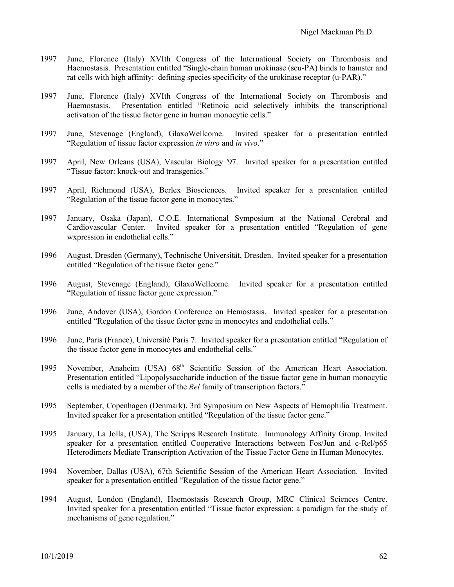- 1997 June, Florence (Italy) XVIth Congress of the International Society on Thrombosis and Haemostasis. Presentation entitled "Single-chain human urokinase (scu-PA) binds to hamster and rat cells with high affinity: defining species specificity of the urokinase receptor (u-PAR)."
- 1997 June, Florence (Italy) XVIth Congress of the International Society on Thrombosis and Haemostasis. Presentation entitled "Retinoic acid selectively inhibits the transcriptional activation of the tissue factor gene in human monocytic cells."
- 1997 June, Stevenage (England), GlaxoWellcome. Invited speaker for a presentation entitled "Regulation of tissue factor expression *in vitro* and *in vivo*."
- 1997 April, New Orleans (USA), Vascular Biology '97. Invited speaker for a presentation entitled "Tissue factor: knock-out and transgenics."
- 1997 April, Richmond (USA), Berlex Biosciences. Invited speaker for a presentation entitled "Regulation of the tissue factor gene in monocytes."
- 1997 January, Osaka (Japan), C.O.E. International Symposium at the National Cerebral and Cardiovascular Center. Invited speaker for a presentation entitled "Regulation of gene wxpression in endothelial cells."
- 1996 August, Dresden (Germany), Technische Universität, Dresden. Invited speaker for a presentation entitled "Regulation of the tissue factor gene."
- 1996 August, Stevenage (England), GlaxoWellcome. Invited speaker for a presentation entitled "Regulation of tissue factor gene expression."
- 1996 June, Andover (USA), Gordon Conference on Hemostasis. Invited speaker for a presentation entitled "Regulation of the tissue factor gene in monocytes and endothelial cells."
- 1996 June, Paris (France), Université Paris 7. Invited speaker for a presentation entitled "Regulation of the tissue factor gene in monocytes and endothelial cells."
- 1995 November, Anaheim (USA)  $68<sup>th</sup>$  Scientific Session of the American Heart Association. Presentation entitled "Lipopolysaccharide induction of the tissue factor gene in human monocytic cells is mediated by a member of the *Rel* family of transcription factors."
- 1995 September, Copenhagen (Denmark), 3rd Symposium on New Aspects of Hemophilia Treatment. Invited speaker for a presentation entitled "Regulation of the tissue factor gene."
- 1995 January, La Jolla, (USA), The Scripps Research Institute. Immunology Affinity Group. Invited speaker for a presentation entitled Cooperative Interactions between Fos/Jun and c-Rel/p65 Heterodimers Mediate Transcription Activation of the Tissue Factor Gene in Human Monocytes.
- 1994 November, Dallas (USA), 67th Scientific Session of the American Heart Association. Invited speaker for a presentation entitled "Regulation of the tissue factor gene."
- 1994 August, London (England), Haemostasis Research Group, MRC Clinical Sciences Centre. Invited speaker for a presentation entitled "Tissue factor expression: a paradigm for the study of mechanisms of gene regulation."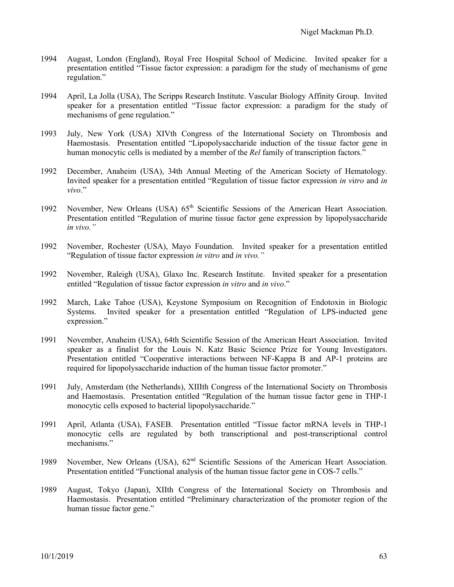- 1994 August, London (England), Royal Free Hospital School of Medicine. Invited speaker for a presentation entitled "Tissue factor expression: a paradigm for the study of mechanisms of gene regulation."
- 1994 April, La Jolla (USA), The Scripps Research Institute. Vascular Biology Affinity Group. Invited speaker for a presentation entitled "Tissue factor expression: a paradigm for the study of mechanisms of gene regulation."
- 1993 July, New York (USA) XIVth Congress of the International Society on Thrombosis and Haemostasis. Presentation entitled "Lipopolysaccharide induction of the tissue factor gene in human monocytic cells is mediated by a member of the *Rel* family of transcription factors."
- 1992 December, Anaheim (USA), 34th Annual Meeting of the American Society of Hematology. Invited speaker for a presentation entitled "Regulation of tissue factor expression *in v*i*tro* and *in vivo*."
- 1992 November, New Orleans (USA)  $65<sup>th</sup>$  Scientific Sessions of the American Heart Association. Presentation entitled "Regulation of murine tissue factor gene expression by lipopolysaccharide *in vivo."*
- 1992 November, Rochester (USA), Mayo Foundation. Invited speaker for a presentation entitled "Regulation of tissue factor expression *in vitro* and *in vivo."*
- 1992 November, Raleigh (USA), Glaxo Inc. Research Institute. Invited speaker for a presentation entitled "Regulation of tissue factor expression *in vitro* and *in vivo*."
- 1992 March, Lake Tahoe (USA), Keystone Symposium on Recognition of Endotoxin in Biologic Systems. Invited speaker for a presentation entitled "Regulation of LPS-inducted gene expression."
- 1991 November, Anaheim (USA), 64th Scientific Session of the American Heart Association. Invited speaker as a finalist for the Louis N. Katz Basic Science Prize for Young Investigators. Presentation entitled "Cooperative interactions between NF-Kappa B and AP-1 proteins are required for lipopolysaccharide induction of the human tissue factor promoter."
- 1991 July, Amsterdam (the Netherlands), XIIIth Congress of the International Society on Thrombosis and Haemostasis. Presentation entitled "Regulation of the human tissue factor gene in THP-1 monocytic cells exposed to bacterial lipopolysaccharide."
- 1991 April, Atlanta (USA), FASEB. Presentation entitled "Tissue factor mRNA levels in THP-1 monocytic cells are regulated by both transcriptional and post-transcriptional control mechanisms."
- 1989 November, New Orleans (USA),  $62<sup>nd</sup>$  Scientific Sessions of the American Heart Association. Presentation entitled "Functional analysis of the human tissue factor gene in COS-7 cells."
- 1989 August, Tokyo (Japan), XIIth Congress of the International Society on Thrombosis and Haemostasis. Presentation entitled "Preliminary characterization of the promoter region of the human tissue factor gene."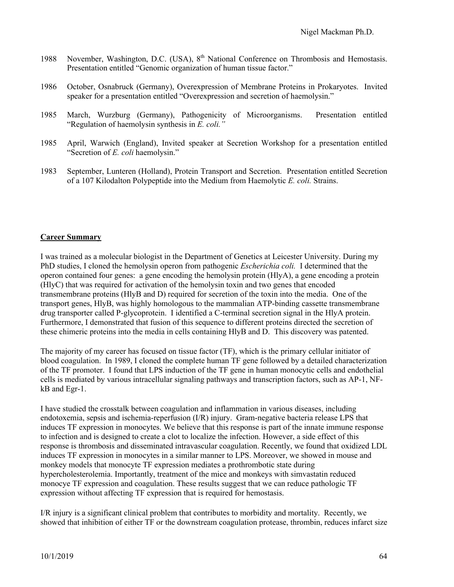- 1988 November, Washington, D.C. (USA), 8<sup>th</sup> National Conference on Thrombosis and Hemostasis. Presentation entitled "Genomic organization of human tissue factor."
- 1986 October, Osnabruck (Germany), Overexpression of Membrane Proteins in Prokaryotes. Invited speaker for a presentation entitled "Overexpression and secretion of haemolysin."
- 1985 March, Wurzburg (Germany), Pathogenicity of Microorganisms. Presentation entitled "Regulation of haemolysin synthesis in *E. coli."*
- 1985 April, Warwich (England), Invited speaker at Secretion Workshop for a presentation entitled "Secretion of *E. coli* haemolysin."
- 1983 September, Lunteren (Holland), Protein Transport and Secretion. Presentation entitled Secretion of a 107 Kilodalton Polypeptide into the Medium from Haemolytic *E. coli.* Strains.

### **Career Summary**

I was trained as a molecular biologist in the Department of Genetics at Leicester University. During my PhD studies, I cloned the hemolysin operon from pathogenic *Escherichia coli.* I determined that the operon contained four genes: a gene encoding the hemolysin protein (HlyA), a gene encoding a protein (HlyC) that was required for activation of the hemolysin toxin and two genes that encoded transmembrane proteins (HlyB and D) required for secretion of the toxin into the media. One of the transport genes, HlyB, was highly homologous to the mammalian ATP-binding cassette transmembrane drug transporter called P-glycoprotein. I identified a C-terminal secretion signal in the HlyA protein. Furthermore, I demonstrated that fusion of this sequence to different proteins directed the secretion of these chimeric proteins into the media in cells containing HlyB and D. This discovery was patented.

The majority of my career has focused on tissue factor (TF), which is the primary cellular initiator of blood coagulation. In 1989, I cloned the complete human TF gene followed by a detailed characterization of the TF promoter. I found that LPS induction of the TF gene in human monocytic cells and endothelial cells is mediated by various intracellular signaling pathways and transcription factors, such as AP-1, NFkB and Egr-1.

I have studied the crosstalk between coagulation and inflammation in various diseases, including endotoxemia, sepsis and ischemia-reperfusion (I/R) injury. Gram-negative bacteria release LPS that induces TF expression in monocytes. We believe that this response is part of the innate immune response to infection and is designed to create a clot to localize the infection. However, a side effect of this response is thrombosis and disseminated intravascular coagulation. Recently, we found that oxidized LDL induces TF expression in monocytes in a similar manner to LPS. Moreover, we showed in mouse and monkey models that monocyte TF expression mediates a prothrombotic state during hypercholesterolemia. Importantly, treatment of the mice and monkeys with simvastatin reduced monocye TF expression and coagulation. These results suggest that we can reduce pathologic TF expression without affecting TF expression that is required for hemostasis.

I/R injury is a significant clinical problem that contributes to morbidity and mortality. Recently, we showed that inhibition of either TF or the downstream coagulation protease, thrombin, reduces infarct size